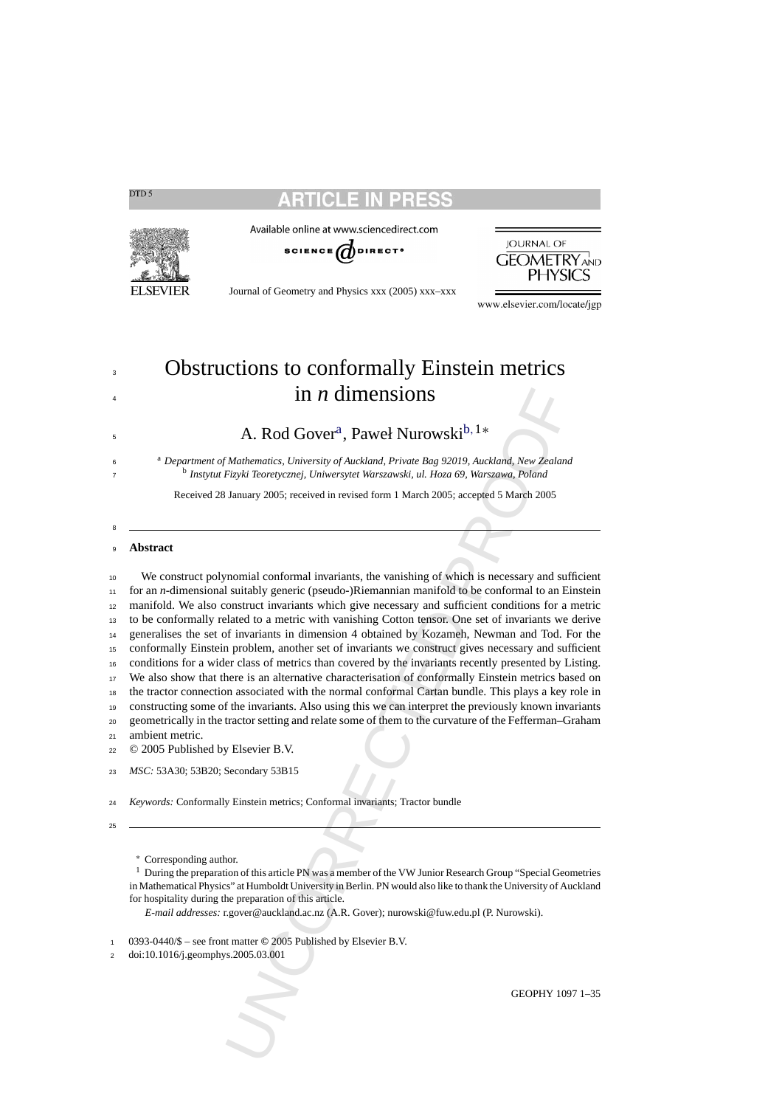

Available online at www.sciencedirect.com





Journal of Geometry and Physics xxx (2005) xxx–xxx

www.elsevier.com/locate/jgp

# Obstructions to conformally Einstein metrics in *n* dimensions

 $A. Rod Gover<sup>a</sup>. Paweł Nurowski<sup>b,1*</sup>$ 

<sup>a</sup> *Department of Mathematics, University of Auckland, Private Bag 92019, Auckland, New Zealand* <sup>b</sup> *Instytut Fizyki Teoretycznej, Uniwersytet Warszawski, ul. Hoza 69, Warszawa, Poland*

Received 28 January 2005; received in revised form 1 March 2005; accepted 5 March 2005

### **Abstract**

**IDMAGE ASSET ASSET AT A CONSTRANT CONSTRANT AND MONORATIVE AND MONORATIVE MANUTE CONSTRANT MANUTE MEANUAL MANUTE MEANUAL MEANUAL MEANUAL MEANUAL MEANUAL MEANUAL MEANUAL MEANUAL MEANUAL MEANUAL MEANUAL MEANUAL MEANUAL MEA**  We construct polynomial conformal invariants, the vanishing of which is necessary and sufficient for an *n*-dimensional suitably generic (pseudo-)Riemannian manifold to be conformal to an Einstein manifold. We also construct invariants which give necessary and sufficient conditions for a metric to be conformally related to a metric with vanishing Cotton tensor. One set of invariants we derive generalises the set of invariants in dimension 4 obtained by Kozameh, Newman and Tod. For the conformally Einstein problem, another set of invariants we construct gives necessary and sufficient conditions for a wider class of metrics than covered by the invariants recently presented by Listing. We also show that there is an alternative characterisation of conformally Einstein metrics based on the tractor connection associated with the normal conformal Cartan bundle. This plays a key role in constructing some of the invariants. Also using this we can interpret the previously known invariants geometrically in the tractor setting and relate some of them to the curvature of the Fefferman–Graham ambient metric. © 2005 Published by Elsevier B.V.

*MSC:* 53A30; 53B20; Secondary 53B15

*Keywords:* Conformally Einstein metrics; Conformal invariants; Tractor bundle

<sup>∗</sup> Corresponding author.

<sup>1</sup> During the preparation of this article PN was a member of the VW Junior Research Group "Special Geometries" in Mathematical Physics" at Humboldt University in Berlin. PN would also like to thank the University of Auckland for hospitality during the preparation of this article.

*E-mail addresses:* r.gover@auckland.ac.nz (A.R. Gover); nurowski@fuw.edu.pl (P. Nurowski).

0393-0440/\$ – see front matter **©** 2005 Published by Elsevier B.V.

doi:10.1016/j.geomphys.2005.03.001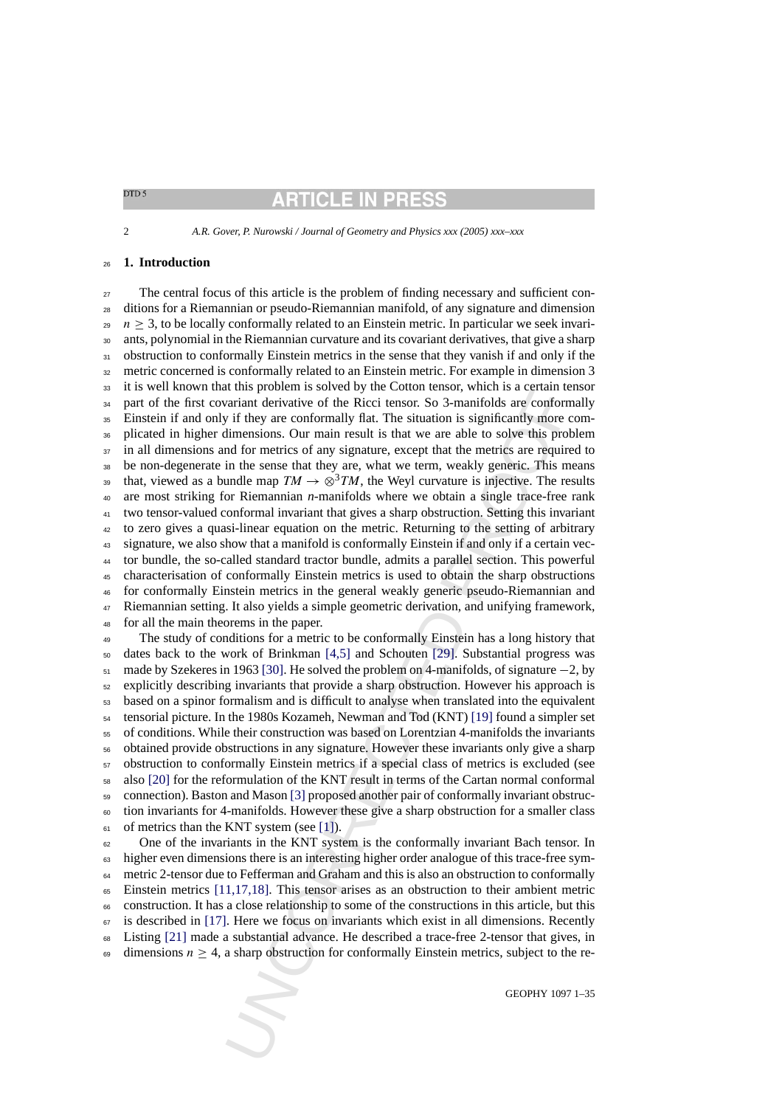*A.R. Gover, P. Nurowski / Journal of Geometry and Physics xxx (2005) xxx–xxx*

# **1. Introduction**

It this protocon is solved by the Count letters of which is a certain terminal and this probability of the [R](#page-33-0)icci tensor. So 3-manifolds are conforminated private or in the state of the Ricci tensor. So 3-manifolds are conf The central focus of this article is the problem of finding necessary and sufficient con- ditions for a Riemannian or pseudo-Riemannian manifold, of any signature and dimension  $29 \text{ } n \geq 3$ , to be locally conformally related to an Einstein metric. In particular we seek invari- ants, polynomial in the Riemannian curvature and its covariant derivatives, that give a sharp 31 obstruction to conformally Einstein metrics in the sense that they vanish if and only if the metric concerned is conformally related to an Einstein metric. For example in dimension 3 it is well known that this problem is solved by the Cotton tensor, which is a certain tensor <sup>34</sup> part of the first covariant derivative of the Ricci tensor. So 3-manifolds are conformally Einstein if and only if they are conformally flat. The situation is significantly more com- plicated in higher dimensions. Our main result is that we are able to solve this problem <sup>37</sup> in all dimensions and for metrics of any signature, except that the metrics are required to be non-degenerate in the sense that they are, what we term, weakly generic. This means that, viewed as a bundle map  $TM \to \otimes^3 TM$ , the Weyl curvature is injective. The results are most striking for Riemannian *n*-manifolds where we obtain a single trace-free rank two tensor-valued conformal invariant that gives a sharp obstruction. Setting this invariant to zero gives a quasi-linear equation on the metric. Returning to the setting of arbitrary signature, we also show that a manifold is conformally Einstein if and only if a certain vec- tor bundle, the so-called standard tractor bundle, admits a parallel section. This powerful characterisation of conformally Einstein metrics is used to obtain the sharp obstructions for conformally Einstein metrics in the general weakly generic pseudo-Riemannian and Riemannian setting. It also yields a simple geometric derivation, and unifying framework, for all the main theorems in the paper.

 The study of conditions for a metric to be conformally Einstein has a long history that dates back to the work of Brinkman [4,5] and Schouten [29]. Substantial progress was made by Szekeres in 1963 [30]. He solved the problem on 4-manifolds, of signature −2, by explicitly describing invariants that provide a sharp obstruction. However his approach is based on a spinor formalism and is difficult to analyse when translated into the equivalent tensorial picture. In the 1980s Kozameh, Newman and Tod (KNT) [19] found a simpler set of conditions. While their construction was based on Lorentzian 4-manifolds the invariants obtained provide obstructions in any signature. However these invariants only give a sharp obstruction to conformally Einstein metrics if a special class of metrics is excluded (see also [\[20\]](#page-34-0) for the reformulation of the KNT result in terms of the Cartan normal conformal connection). Baston and Mason [3] proposed another pair of conformally invariant obstruc- tion invariants for 4-manifolds. However these give a sharp obstruction for a smaller class of metrics than the KNT system (see [1]).

 One of the invariants in the KNT system is the conformally invariant Bach tensor. In <sup>63</sup> higher even dimensions there is an interesting higher order analogue of this trace-free sym- metric 2-tensor due to Fefferman and Graham and this is also an obstruction to conformally Einstein metrics [\[11,1](#page-34-0)7,18]. This tensor arises as an obstruction to their ambient metric construction. It has a close relationship to some of the constructions in this article, but this is described in [\[17\].](#page-34-0) Here we focus on invariants which exist in all dimensions. Recently Listing [\[21\]](#page-34-0) made a substantial advance. He described a trace-free 2-tensor that gives, in 69 dimensions  $n \geq 4$ , a sharp obstruction for conformally Einstein metrics, subject to the re-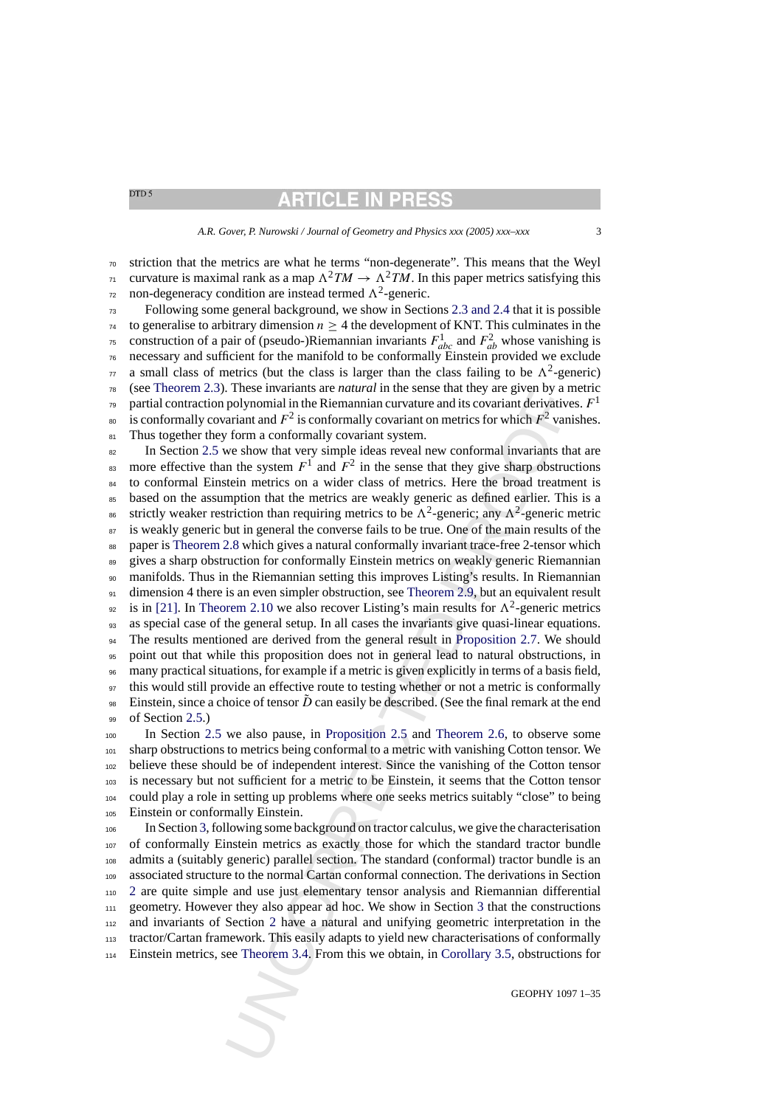# **ARTICLE IN PRESS**

*A.R. Gover, P. Nurowski / Journal of Geometry and Physics xxx (2005) xxx–xxx* 3

<sup>70</sup> striction that the metrics are what he terms "non-degenerate". This means that the Weyl  $\tau_1$  curvature is maximal rank as a map  $\Lambda^2TM \to \Lambda^2TM$ . In this paper metrics satisfying this  $\pi$  non-degeneracy condition are instead termed  $\Lambda^2$ -generic.

<sup>73</sup> Following some general background, we show in Sections [2.3 and 2.4](#page-5-0) that it is possible  $74$  to generalise to arbitrary dimension  $n > 4$  the development of KNT. This culminates in the <sup>75</sup> construction of a pair of (pseudo-)Riemannian invariants  $F_{abc}^1$  and  $F_{ab}^2$  whose vanishing is <sup>76</sup> necessary and sufficient for the manifold to be conformally Einstein provided we exclude  $\pi$  a small class of metrics (but the class is larger than the class failing to be  $\Lambda^2$ -generic) <sup>78</sup> (see [Theorem 2.3\).](#page-10-0) These invariants are *natural* in the sense that they are given by a metric partial contraction polynomial in the Riemannian curvature and its covariant derivatives.  $F<sup>1</sup>$ <sup>80</sup> is conformally covariant and  $F^2$  is conformally covariant on metrics for which  $F^2$  vanishes. 81 Thus together they form a conformally covariant system.

These morarants are *naturel* in the sense that they are given by a report to the some that the polynomial in the Riemannian curvature and its covariant derivative are and the polynomial in the Riemannian curvature and it <sup>82</sup> In Section [2.5](#page-11-0) we show that very simple ideas reveal new conformal invariants that are as more effective than the system  $F^1$  and  $F^2$  in the sense that they give sharp obstructions <sup>84</sup> to conformal Einstein metrics on a wider class of metrics. Here the broad treatment is <sup>85</sup> based on the assumption that the metrics are weakly generic as defined earlier. This is a <sup>86</sup> strictly weaker restriction than requiring metrics to be  $\Lambda^2$ -generic; any  $\Lambda^2$ -generic metric <sup>87</sup> is weakly generic but in general the converse fails to be true. One of the main results of the <sup>88</sup> paper is [Theorem 2.8](#page-14-0) which gives a natural conformally invariant trace-free 2-tensor which <sup>89</sup> gives a sharp obstruction for conformally Einstein metrics on weakly generic Riemannian <sup>90</sup> manifolds. Thus in the Riemannian setting this improves Listing's results. In Riemannian 91 dimension 4 there is an even simpler obstruction, see Theorem 2.9, but an equivalent result <sup>92</sup> is in [\[21\].](#page-34-0) In [Theorem 2.10](#page-15-0) we also recover Listing's main results for  $\Lambda^2$ -generic metrics <sup>93</sup> as special case of the general setup. In all cases the invariants give quasi-linear equations. <sup>94</sup> The results mentioned are derived from the general result in Proposition 2.7. We should <sup>95</sup> point out that while this proposition does not in general lead to natural obstructions, in <sup>96</sup> many practical situations, for example if a metric is given explicitly in terms of a basis field, <sup>97</sup> this would still provide an effective route to testing whether or not a metric is conformally <sup>98</sup> Einstein, since a choice of tensor  $\tilde{D}$  can easily be described. (See the final remark at the end 99 of Section [2.5.\)](#page-11-0)

 In Section [2.5](#page-11-0) we also pause, in Proposition 2.5 and Theorem 2.6, to observe some sharp obstructions to metrics being conformal to a metric with vanishing Cotton tensor. We believe these should be of independent interest. Since the vanishing of the Cotton tensor is necessary but not sufficient for a metric to be Einstein, it seems that the Cotton tensor could play a role in setting up problems where one seeks metrics suitably "close" to being Einstein or conformally Einstein.

 In Section [3, f](#page-16-0)ollowing some background on tractor calculus, we give the characterisation of conformally Einstein metrics as exactly those for which the standard tractor bundle admits a (suitably generic) parallel section. The standard (conformal) tractor bundle is an associated structure to the normal Cartan conformal connection. The derivations in Section [2](#page-3-0) are quite simple and use just elementary tensor analysis and Riemannian differential geometry. However they also appear ad hoc. We show in Section 3 that the constructions and invariants of Section 2 have a natural and unifying geometric interpretation in the tractor/Cartan framework. This easily adapts to yield new characterisations of conformally Einstein metrics, see Theorem 3.4. From this we obtain, in Corollary 3.5, obstructions for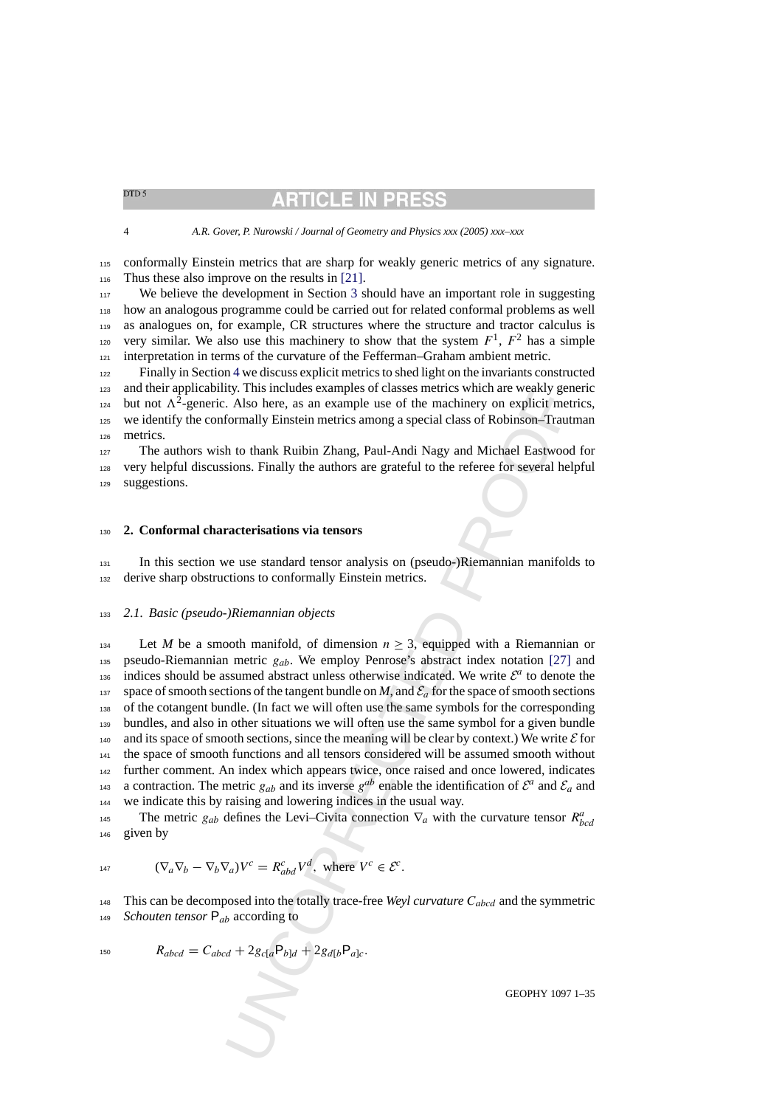# **ARTICLE IN PRE**

<span id="page-3-0"></span>4 *A.R. Gover, P. Nurowski / Journal of Geometry and Physics xxx (2005) xxx–xxx*

<sup>115</sup> conformally Einstein metrics that are sharp for weakly generic metrics of any signature. 116 Thus these also improve on the results in [\[21\].](#page-34-0)

<sup>117</sup> We believe the development in Section [3](#page-16-0) should have an important role in suggesting <sup>118</sup> how an analogous programme could be carried out for related conformal problems as well <sup>119</sup> as analogues on, for example, CR structures where the structure and tractor calculus is very similar. We also use this machinery to show that the system  $F^1$ ,  $F^2$  has a simple <sup>121</sup> interpretation in terms of the curvature of the Fefferman–Graham ambient metric.

<sup>122</sup> Finally in Section [4](#page-28-0) we discuss explicit metrics to shed light on the invariants constructed <sup>123</sup> and their applicability. This includes examples of classes metrics which are weakly generic <sup>124</sup> but not  $\Lambda^2$ -generic. Also here, as an example use of the machinery on explicit metrics, <sup>125</sup> we identify the conformally Einstein metrics among a special class of Robinson–Trautman <sup>126</sup> metrics.

<sup>127</sup> The authors wish to thank Ruibin Zhang, Paul-Andi Nagy and Michael Eastwood for <sup>128</sup> very helpful discussions. Finally the authors are grateful to the referee for several helpful <sup>129</sup> suggestions.

# <sup>130</sup> **2. Conformal characterisations via tensors**

<sup>131</sup> In this section we use standard tensor analysis on (pseudo-)Riemannian manifolds to <sup>132</sup> derive sharp obstructions to conformally Einstein metrics.

### <sup>133</sup> *2.1. Basic (pseudo-)Riemannian objects*

IV: This includes examples or classes metrics which are weakly getty.<br>
The Michaeles examples or classes metrics which are weaking the<br>
L. Also here, as an example use of the machinery on explicit met<br>
formally Einstein m 134 Let *M* be a smooth manifold, of dimension  $n \geq 3$ , equipped with a Riemannian or 135 pseudo-Riemannian metric  $g_{ab}$ . We employ Penrose's abstract index notation [27] and is indices should be assumed abstract unless otherwise indicated. We write  $\mathcal{E}^a$  to denote the 137 space of smooth sections of the tangent bundle on *M*, and  $\mathcal{E}_a$  for the space of smooth sections <sup>138</sup> of the cotangent bundle. (In fact we will often use the same symbols for the corresponding <sup>139</sup> bundles, and also in other situations we will often use the same symbol for a given bundle 140 and its space of smooth sections, since the meaning will be clear by context.) We write  $\mathcal E$  for <sup>141</sup> the space of smooth functions and all tensors considered will be assumed smooth without <sup>142</sup> further comment. An index which appears twice, once raised and once lowered, indicates <sup>143</sup> a contraction. The metric  $g_{ab}$  and its inverse  $g^{ab}$  enable the identification of  $\mathcal{E}^a$  and  $\mathcal{E}_a$  and <sup>144</sup> we indicate this by raising and lowering indices in the usual way.

The metric  $g_{ab}$  defines the Levi–Civita connection  $\nabla_a$  with the curvature tensor  $R^a_{bcd}$ <sup>146</sup> given by

$$
\text{(}\nabla_a \nabla_b - \nabla_b \nabla_a) V^c = R^c_{abd} V^d, \text{ where } V^c \in \mathcal{E}^c.
$$

148 This can be decomposed into the totally trace-free *Weyl curvature*  $C_{abcd}$  and the symmetric <sup>149</sup> *Schouten tensor* Pab according to

$$
R_{abcd} = C_{abcd} + 2g_{c[a}P_{b]d} + 2g_{d[b}P_{a]c}.
$$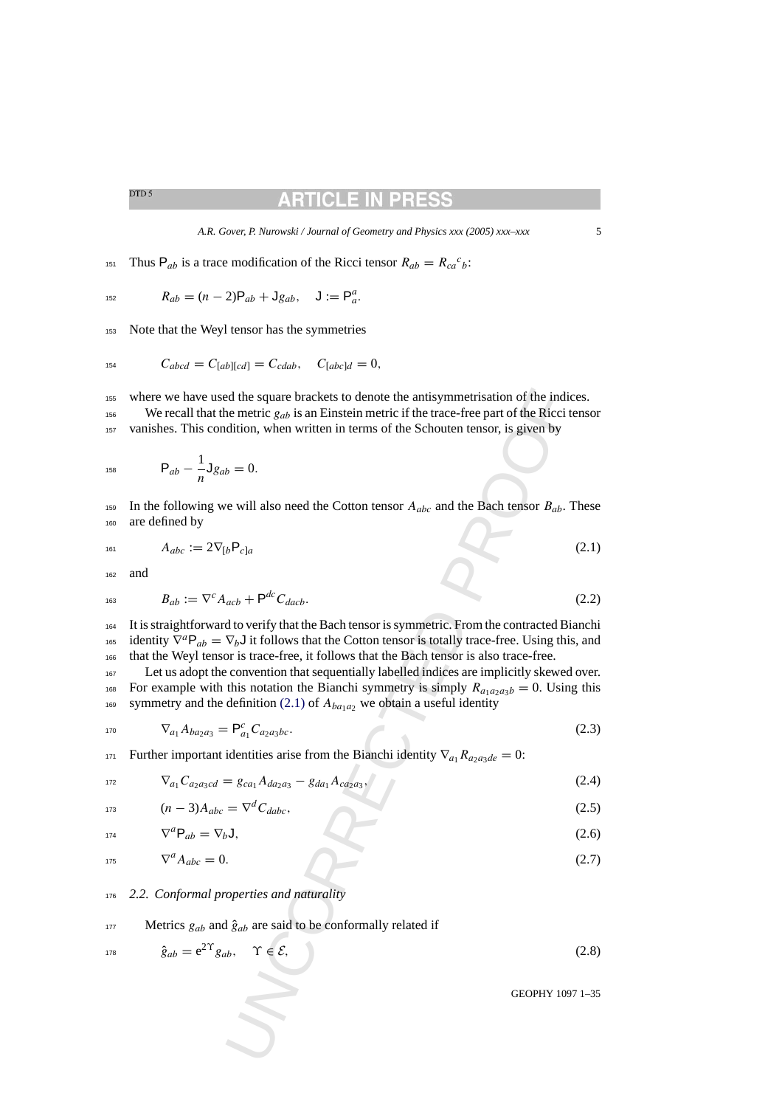# **RTICLE IN PRE**

*A.R. Gover, P. Nurowski / Journal of Geometry and Physics xxx (2005) xxx–xxx* 5

<span id="page-4-0"></span><sup>151</sup> Thus P<sub>ab</sub> is a trace modification of the Ricci tensor  $R_{ab} = R_{ca}{}^c{}_b$ :

$$
R_{ab} = (n-2)P_{ab} + Jg_{ab}, \quad J := P_a^a.
$$

<sup>153</sup> Note that the Weyl tensor has the symmetries

$$
C_{abcd} = C_{[ab][cd]} = C_{cdab}, \quad C_{[abc]d} = 0,
$$

<sup>155</sup> where we have used the square brackets to denote the antisymmetrisation of the indices. <sup>156</sup> We recall that the metric  $g_{ab}$  is an Einstein metric if the trace-free part of the Ricci tensor <sup>157</sup> vanishes. This condition, when written in terms of the Schouten tensor, is given by

$$
P_{ab} - \frac{1}{n}Jg_{ab} = 0.
$$

159 In the following we will also need the Cotton tensor  $A_{abc}$  and the Bach tensor  $B_{ab}$ . These <sup>160</sup> are defined by

161  $A_{abc} := 2 \nabla_{b} P_{c}$ a (2.1)

<sup>162</sup> and

$$
B_{ab} := \nabla^c A_{acb} + \mathsf{P}^{dc} C_{dacb}.
$$
\n
$$
(2.2)
$$

ed the square brackets to denote the antisymmetrisation of the indi-<br>
enertric  $g_{ab}$  is an Einstein metric if the trace-free part of the Ricci t<br>
dition, when written in terms of the Schouten tensor, is given by<br>  $b = 0$ . <sup>164</sup> It is straightforward to verify that the Bach tensor is symmetric. From the contracted Bianchi <sup>165</sup> identity  $\nabla^a \mathsf{P}_{ab} = \nabla_b \mathsf{J}$  it follows that the Cotton tensor is totally trace-free. Using this, and <sup>166</sup> that the Weyl tensor is trace-free, it follows that the Bach tensor is also trace-free.

<sup>167</sup> Let us adopt the convention that sequentially labelled indices are implicitly skewed over. <sup>168</sup> For example with this notation the Bianchi symmetry is simply  $R_{a_1a_2a_3b} = 0$ . Using this 169 symmetry and the definition (2.1) of  $A_{ba_1a_2}$  we obtain a useful identity

$$
\nabla_{a_1} A_{ba_2 a_3} = \mathsf{P}_{a_1}^c C_{a_2 a_3 b c}.
$$
\n(2.3)

171 Further important identities arise from the Bianchi identity  $\nabla_{a_1} R_{a_2 a_3 de} = 0$ :

$$
\nabla_{a_1} C_{a_2 a_3 c d} = g_{c a_1} A_{d a_2 a_3} - g_{d a_1} A_{c a_2 a_3},\tag{2.4}
$$

$$
u_1 = (n-3)A_{abc} = \nabla^d C_{dabc},\tag{2.5}
$$

$$
\nabla^a \mathsf{P}_{ab} = \nabla_b \mathsf{J},\tag{2.6}
$$

 $\nabla^a A_{abc} = 0.$  (2.7)

### <sup>176</sup> *2.2. Conformal properties and naturality*

### 177 Metrics  $g_{ab}$  and  $\hat{g}_{ab}$  are said to be conformally related if

$$
\hat{g}_{ab} = e^{2\Upsilon} g_{ab}, \quad \Upsilon \in \mathcal{E}, \tag{2.8}
$$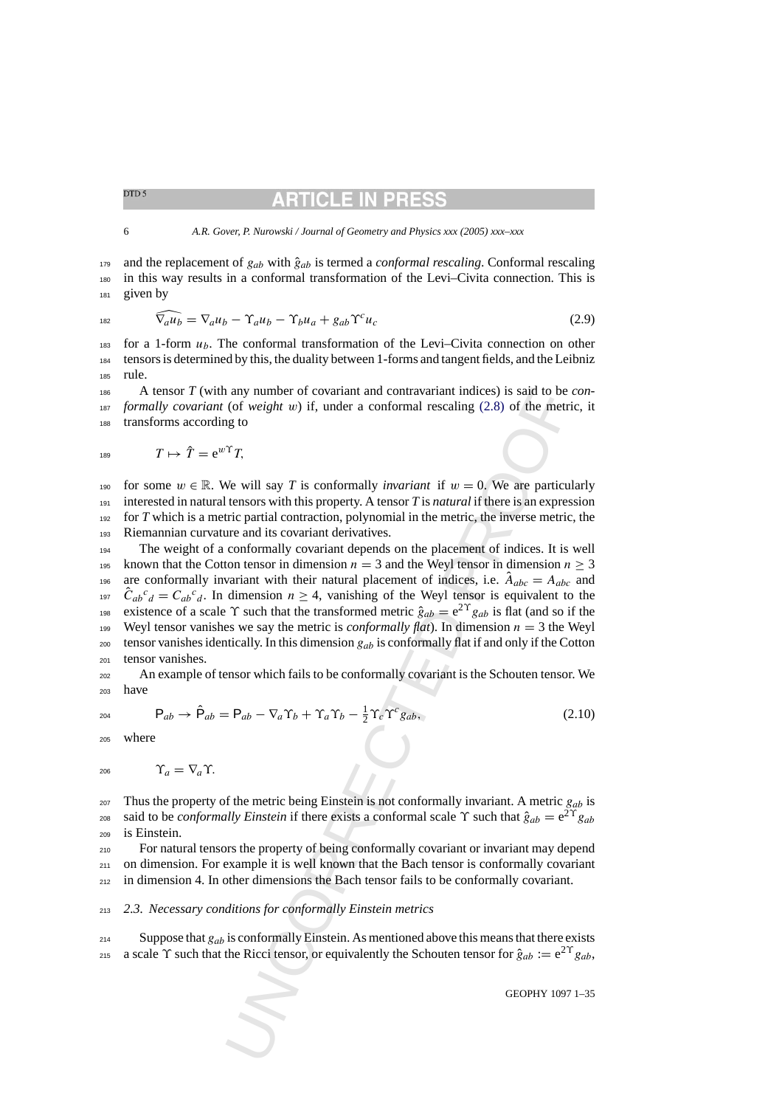# **ARTICLE IN PRI**

<span id="page-5-0"></span> $179$  and the replacement of  $g_{ab}$  with  $\hat{g}_{ab}$  is termed a *conformal rescaling*. Conformal rescaling <sup>180</sup> in this way results in a conformal transformation of the Levi–Civita connection. This is <sup>181</sup> given by

$$
\widehat{\nabla_a u_b} = \nabla_a u_b - \Upsilon_a u_b - \Upsilon_b u_a + g_{ab} \Upsilon^c u_c \tag{2.9}
$$

<sup>183</sup> for a 1-form  $u<sub>b</sub>$ . The conformal transformation of the Levi–Civita connection on other <sup>184</sup> tensors is determined by this, the duality between 1-forms and tangent fields, and the Leibniz <sup>185</sup> rule.

<sup>186</sup> A tensor *T* (with any number of covariant and contravariant indices) is said to be *con-*<sup>187</sup> *formally covariant* (of *weight* w) if, under a conformal rescaling (2.8) of the metric, it <sup>188</sup> transforms according to

$$
T \mapsto \hat{T} = e^{w\Upsilon} T,
$$

190 for some  $w \in \mathbb{R}$ . We will say *T* is conformally *invariant* if  $w = 0$ . We are particularly interested in natural tensors with this property. A tensor *T* is *natural* if there is an expression for *T* which is a metric partial contraction, polynomial in the metric, the inverse metric, the Riemannian curvature and its covariant derivatives.

a any number of covariant and contravariant indices) is said to be<br>a any number of covariant and contravariant indices) is said to be<br>10 (of *weight w*) if, under a conformal rescaling (2.8) of the metric<br>growth say *T* i <sup>194</sup> The weight of a conformally covariant depends on the placement of indices. It is well 195 known that the Cotton tensor in dimension  $n = 3$  and the Weyl tensor in dimension  $n \geq 3$ are conformally invariant with their natural placement of indices, i.e.  $\hat{A}_{abc} = A_{abc}$  and <sup>197</sup>  $\hat{C}_{ab}{}^c{}_d = C_{ab}{}^c{}_d$ . In dimension  $n \geq 4$ , vanishing of the Weyl tensor is equivalent to the existence of a scale  $\Upsilon$  such that the transformed metric  $\hat{g}_{ab} = e^{2\Upsilon} g_{ab}$  is flat (and so if the 199 Weyl tensor vanishes we say the metric is *conformally flat*). In dimension  $n = 3$  the Weyl 200 tensor vanishes identically. In this dimension  $g_{ab}$  is conformally flat if and only if the Cotton <sup>201</sup> tensor vanishes.

<sup>202</sup> An example of tensor which fails to be conformally covariant is the Schouten tensor. We <sup>203</sup> have

$$
P_{ab} \qquad \qquad \mathsf{P}_{ab}
$$

$$
P_{ab} \rightarrow \hat{P}_{ab} = P_{ab} - \nabla_a \Upsilon_b + \Upsilon_a \Upsilon_b - \frac{1}{2} \Upsilon_c \Upsilon^c g_{ab}, \qquad (2.10)
$$

<sup>205</sup> where

$$
206 \qquad \qquad \Upsilon_a = \nabla_a \Upsilon.
$$

 $_{207}$  Thus the property of the metric being Einstein is not conformally invariant. A metric  $g_{ab}$  is <sup>208</sup> said to be *conformally Einstein* if there exists a conformal scale  $\Upsilon$  such that  $\hat{g}_{ab} = e^{2\Upsilon} g_{ab}$ <sup>209</sup> is Einstein.

<sup>210</sup> For natural tensors the property of being conformally covariant or invariant may depend  $_{211}$  on dimension. For example it is well known that the Bach tensor is conformally covariant <sup>212</sup> in dimension 4. In other dimensions the Bach tensor fails to be conformally covariant.

# <sup>213</sup> *2.3. Necessary conditions for conformally Einstein metrics*

 $214$  Suppose that  $g_{ab}$  is conformally Einstein. As mentioned above this means that there exists 215 a scale  $\Upsilon$  such that the Ricci tensor, or equivalently the Schouten tensor for  $\hat{g}_{ab} := e^{2\Upsilon} g_{ab}$ ,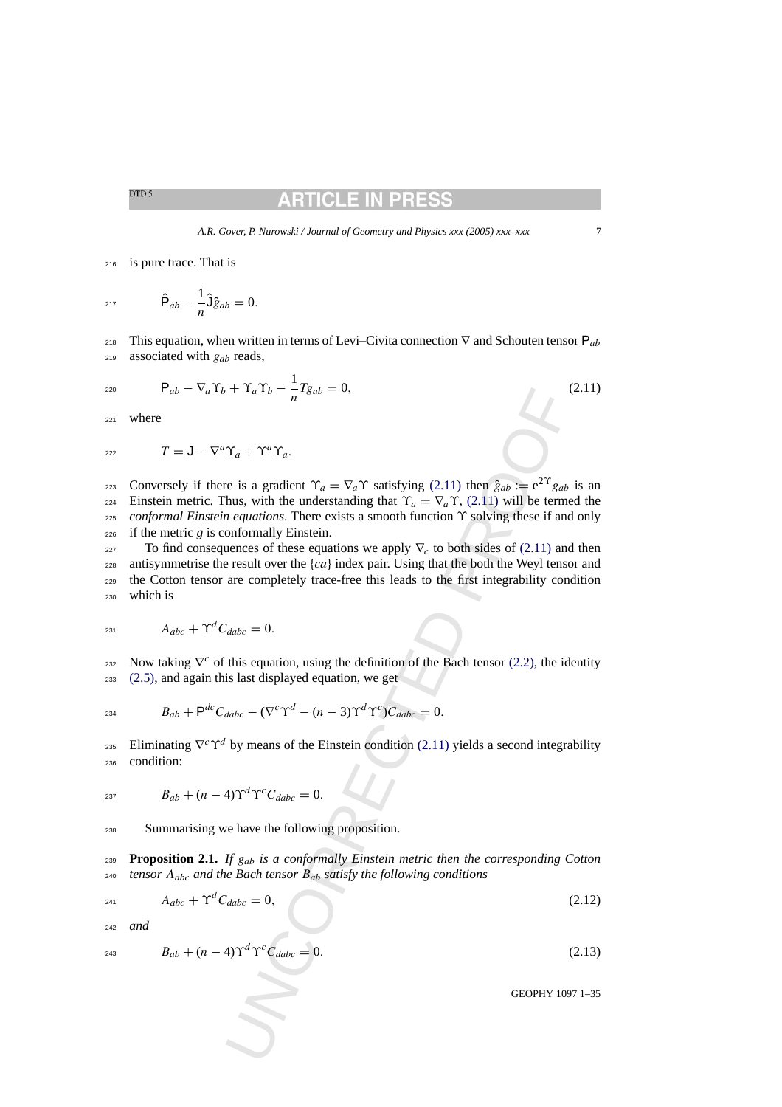# RTICLE IN

<span id="page-6-0"></span><sup>216</sup> is pure trace. That is

<sub>217</sub>  $\hat{P}_{ab} - \frac{1}{n} \hat{J} \hat{g}_{ab} = 0.$ 

218 This equation, when written in terms of Levi–Civita connection  $\nabla$  and Schouten tensor  $P_{ab}$ 219 associated with  $g_{ab}$  reads,

$$
P_{ab} - \nabla_a \Upsilon_b + \Upsilon_a \Upsilon_b - \frac{1}{n} T g_{ab} = 0, \qquad (2.11)
$$

<sup>221</sup> where

$$
T = J - \nabla^a \Upsilon_a + \Upsilon^a \Upsilon_a.
$$

 $V_1 + T a^T b = \frac{1}{n} I g_{ab} = 0,$ <br>  $T_a + T^a T_a$ .<br>
The result of  $\chi_a = \nabla_a T$  satisfying (2.11) then  $g_{ab} := e^{2T} g_{ab}$ <br>
thus, with the understanding that  $T_a = \nabla_a T$ , (2.11) will be term<br> *equations*. There exists a smooth functio conversely if there is a gradient  $\Upsilon_a = \nabla_a \Upsilon$  satisfying (2.11) then  $\hat{g}_{ab} := e^{2\Upsilon} g_{ab}$  is an <sup>224</sup> Einstein metric. Thus, with the understanding that  $\Upsilon_a = \nabla_a \Upsilon$ , (2.11) will be termed the <sup>225</sup> *conformal Einstein equations*. There exists a smooth function ϒ solving these if and only  $226$  if the metric *g* is conformally Einstein.

227 To find consequences of these equations we apply  $\nabla_c$  to both sides of (2.11) and then 228 antisymmetrise the result over the  ${ca}$  index pair. Using that the both the Weyl tensor and <sup>229</sup> the Cotton tensor are completely trace-free this leads to the first integrability condition <sup>230</sup> which is

$$
A_{abc} + \Upsilon^d C_{dabc} = 0.
$$

Now taking  $\nabla^c$  of this equation, using the definition of the Bach tensor (2.2), the identity <sup>233</sup> [\(2.5\), a](#page-4-0)nd again this last displayed equation, we get

$$
B_{ab} + \mathsf{P}^{dc} C_{dabc} - (\nabla^c \Upsilon^d - (n-3) \Upsilon^d \Upsilon^c) C_{dabc} = 0.
$$

 $235$  Eliminating  $\nabla^c \Upsilon^d$  by means of the Einstein condition (2.11) yields a second integrability <sup>236</sup> condition:

$$
B_{ab} + (n-4)\Upsilon^d \Upsilon^c C_{dabc} = 0.
$$

<sup>238</sup> Summarising we have the following proposition.

<sup>239</sup> **Proposition 2.1.** *If* gab *is a conformally Einstein metric then the corresponding Cotton* <sup>240</sup> *tensor* Aabc *and the Bach tensor* Bab *satisfy the following conditions*

$$
A_{abc} + \Upsilon^d C_{dabc} = 0,\tag{2.12}
$$

<sup>242</sup> *and*

$$
B_{ab} + (n-4)\Upsilon^d \Upsilon^c C_{dabc} = 0.
$$
 (2.13)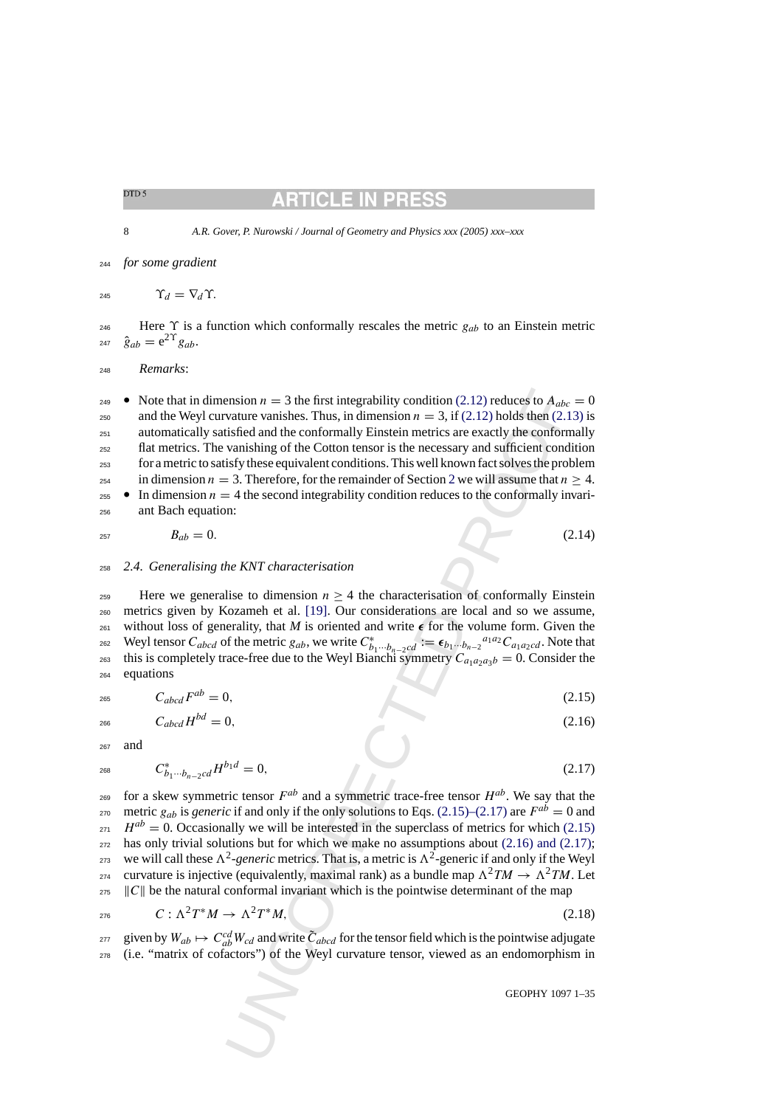# TICLE IN

<span id="page-7-0"></span>8 *A.R. Gover, P. Nurowski / Journal of Geometry and Physics xxx (2005) xxx–xxx*

<sup>244</sup> *for some gradient*

245  $\Upsilon_d = \nabla_d \Upsilon$ .

<sup>246</sup> Here  $\Upsilon$  is a function which conformally rescales the metric  $g_{ab}$  to an Einstein metric 247  $\hat{g}_{ab} = e^{2\Upsilon} g_{ab}$ .

<sup>248</sup> *Remarks*:

ension  $n = 3$  the first integrability condition (2.12) reduces to  $A_{abc}$ <br>variate variaties. Thus, in dimension  $n = 3$ , if  $(2.12)$  bolds then (2.1<br>tistical and the conformally Einstein metrics are exactly the conformal<br>va • Note that in dimension  $n = 3$  the first integrability condition (2.12) reduces to  $A_{abc} = 0$ 250 and the Weyl curvature vanishes. Thus, in dimension  $n = 3$ , if (2.12) holds then [\(2.13\)](#page-6-0) is <sup>251</sup> automatically satisfied and the conformally Einstein metrics are exactly the conformally <sup>252</sup> flat metrics. The vanishing of the Cotton tensor is the necessary and sufficient condition <sup>253</sup> for a metric to satisfy these equivalent conditions. This well known fact solves the problem 254 in dimension  $n = 3$ . Therefore, for the remainder of Section 2 we will assume that  $n \geq 4$ . **•** In dimension  $n = 4$  the second integrability condition reduces to the conformally invari-<sup>256</sup> ant Bach equation:

$$
B_{ab} = 0. \t\t(2.14)
$$

<sup>258</sup> *2.4. Generalising the KNT characterisation*

259 Here we generalise to dimension  $n \geq 4$  the characterisation of conformally Einstein <sup>260</sup> metrics given by Kozameh et al. [19]. Our considerations are local and so we assume, 261 without loss of generality, that *M* is oriented and write  $\epsilon$  for the volume form. Given the 262 Weyl tensor  $C_{abcd}$  of the metric  $g_{ab}$ , we write  $C^*_{b_1\cdots b_{n-2}cd} := \epsilon_{b_1\cdots b_{n-2}}{}^{a_1a_2}C_{a_1a_2cd}$ . Note that <sup>263</sup> this is completely trace-free due to the Weyl Bianchi symmetry  $C_{a_1a_2a_3b} = 0$ . Consider the <sup>264</sup> equations

$$
C_{abcd}F^{ab}=0,\t\t(2.15)
$$

 $C_{abcd}H^{bd} = 0,$  (2.16)

<sup>267</sup> and

$$
^{268}
$$

$$
C_{b_1\cdots b_{n-2}cd}^* H^{b_1d} = 0,\t\t(2.17)
$$

for a skew symmetric tensor  $F^{ab}$  and a symmetric trace-free tensor  $H^{ab}$ . We say that the *zro* metric  $g_{ab}$  is *generic* if and only if the only solutions to Eqs. (2.15)–(2.17) are  $F^{ab} = 0$  and  $H^{ab} = 0$ . Occasionally we will be interested in the superclass of metrics for which (2.15)  $272$  has only trivial solutions but for which we make no assumptions about (2.16) and (2.17); <sup>273</sup> we will call these  $\Lambda^2$ -generic metrics. That is, a metric is  $\Lambda^2$ -generic if and only if the Weyl curvature is injective (equivalently, maximal rank) as a bundle map  $\Lambda^2TM \to \Lambda^2TM$ . Let  $\|C\|$  be the natural conformal invariant which is the pointwise determinant of the map

$$
c: \Lambda^2 T^* M \to \Lambda^2 T^* M, \tag{2.18}
$$

given by  $W_{ab} \mapsto C_{ab}^{cd} W_{cd}$  and write  $\tilde{C}_{abcd}$  for the tensor field which is the pointwise adjugate <sup>278</sup> (i.e. "matrix of cofactors") of the Weyl curvature tensor, viewed as an endomorphism in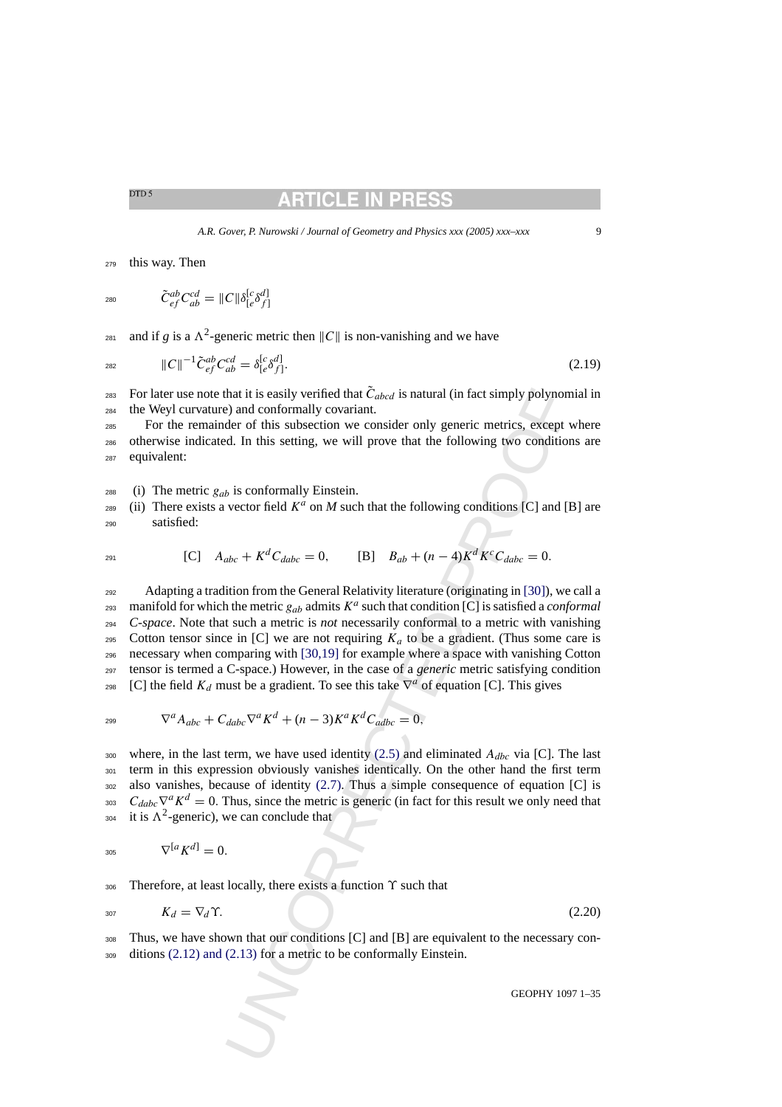# RTICLE IN PR

*A.R. Gover, P. Nurowski / Journal of Geometry and Physics xxx (2005) xxx–xxx* 9

<span id="page-8-0"></span><sup>279</sup> this way. Then

280  $\tilde{C}_{ef}^{ab}C_{ab}^{cd} = \|C\|\delta_{[e}^{[c}\delta_{f]}^{d]}$ 

and if *g* is a  $\Lambda^2$ -generic metric then  $||C||$  is non-vanishing and we have

$$
\|C\|^{-1}\tilde{C}_{ef}^{ab}C_{ab}^{cd} = \delta_{[e}^{[c}\delta_{f]}^{d]}.
$$
\n(2.19)

<sup>283</sup> For later use note that it is easily verified that  $\tilde{C}_{abcd}$  is natural (in fact simply polynomial in <sup>284</sup> the Weyl curvature) and conformally covariant.

<sup>285</sup> For the remainder of this subsection we consider only generic metrics, except where <sup>286</sup> otherwise indicated. In this setting, we will prove that the following two conditions are <sup>287</sup> equivalent:

288 (i) The metric  $g_{ab}$  is conformally Einstein.

 $_{289}$  (ii) There exists a vector field  $K^a$  on *M* such that the following conditions [C] and [B] are <sup>290</sup> satisfied:

$$
{}_{291} \t[C] \tA_{abc} + K^d C_{dabc} = 0, \t[B] \tB_{ab} + (n-4)K^d K^c C_{dabc} = 0.
$$

that it is easily vertified that  $\overline{C}_{abcd}$  is natural (in fact simply polynon<br>
2) and conformally covariant.<br>
decrof this subsection we consider only generic metrics, except ved cherent for this testing, we will prove th <sup>292</sup> Adapting a tradition from the General Relativity literature (originating in [30]), we call a manifold for which the metric  $g_{ab}$  admits  $K^a$  such that condition [C] is satisfied a *conformal* <sup>294</sup> *C-space*. Note that such a metric is *not* necessarily conformal to a metric with vanishing 295 Cotton tensor since in [C] we are not requiring  $K_a$  to be a gradient. (Thus some care is <sup>296</sup> necessary when comparing with [30,19] for example where a space with vanishing Cotton <sup>297</sup> tensor is termed a C-space.) However, in the case of a *generic* metric satisfying condition <sup>298</sup> [C] the field  $K_d$  must be a gradient. To see this take  $\nabla^a$  of equation [C]. This gives

$$
\nabla^a A_{abc} + C_{dabc} \nabla^a K^d + (n-3) K^a K^d C_{adbc} = 0,
$$

300 where, in the last term, we have used identity (2.5) and eliminated  $A_{dbc}$  via [C]. The last <sup>301</sup> term in this expression obviously vanishes identically. On the other hand the first term  $302$  also vanishes, because of identity (2.7). Thus a simple consequence of equation [C] is  $C_{dabc}\nabla^a K^d = 0$ . Thus, since the metric is generic (in fact for this result we only need that  $\lambda^2$ -generic), we can conclude that

$$
{}_{305} \qquad \nabla^{[a} K^{d]} = 0.
$$

306 Therefore, at least locally, there exists a function  $\Upsilon$  such that

$$
K_d = \nabla_d \Upsilon. \tag{2.20}
$$

<sup>308</sup> Thus, we have shown that our conditions [C] and [B] are equivalent to the necessary con-<sup>309</sup> ditions [\(2.12\) and \(2.13\)](#page-6-0) for a metric to be conformally Einstein.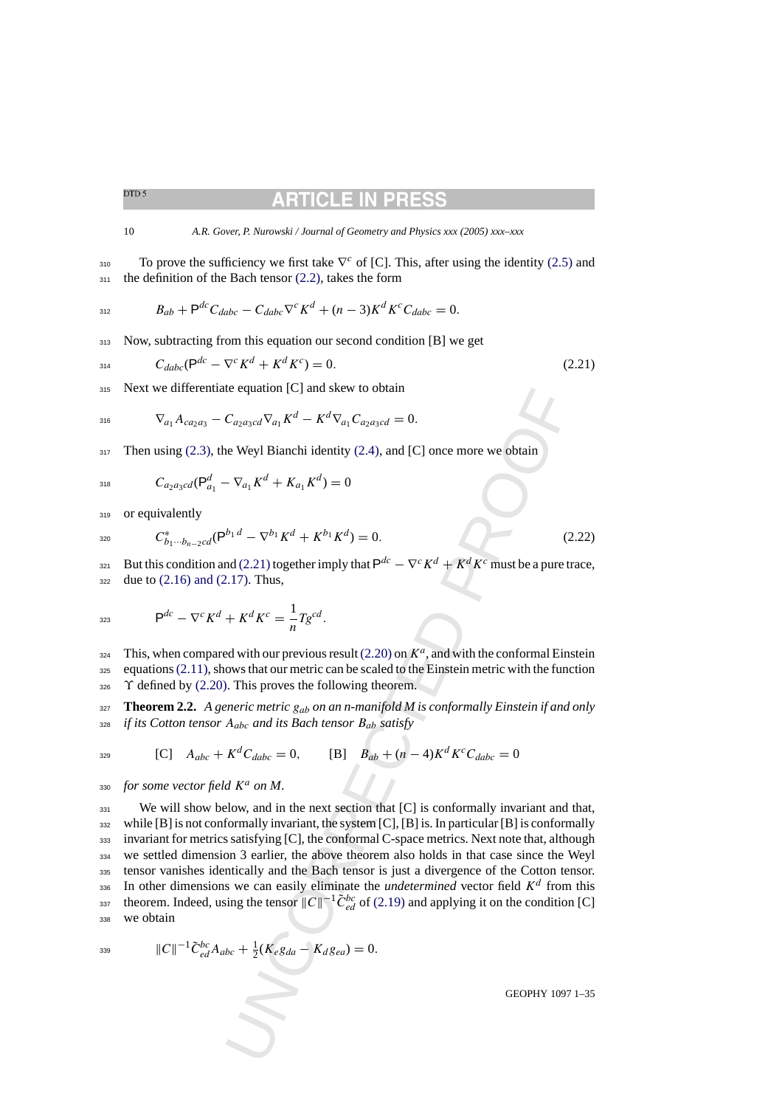**RTICLE IN PR** 

<span id="page-9-0"></span>10 *A.R. Gover, P. Nurowski / Journal of Geometry and Physics xxx (2005) xxx–xxx*

 $_{310}$  To prove the sufficiency we first take  $\nabla^c$  of [C]. This, after using the identity [\(2.5\)](#page-4-0) and  $311$  the definition of the Bach tensor [\(2.2\), t](#page-4-0)akes the form

$$
B_{ab} + \mathsf{P}^{dc} C_{dabc} - C_{dabc} \nabla^c K^d + (n-3) K^d K^c C_{dabc} = 0.
$$

<sup>313</sup> Now, subtracting from this equation our second condition [B] we get

$$
C_{dabc}(\mathsf{P}^{dc} - \nabla^c K^d + K^d K^c) = 0. \tag{2.21}
$$

<sup>315</sup> Next we differentiate equation [C] and skew to obtain

$$
\nabla_{a_1} A_{ca_2a_3} - C_{a_2a_3cd} \nabla_{a_1} K^d - K^d \nabla_{a_1} C_{a_2a_3cd} = 0.
$$

 $317$  Then using [\(2.3\),](#page-4-0) the Weyl Bianchi identity (2.4), and [C] once more we obtain

$$
C_{a_2a_3cd}(\mathsf{P}^d_{a_1}-\nabla_{a_1}K^d+K_{a_1}K^d)=0
$$

319 or equivalently

$$
C_{b_1\cdots b_{n-2}cd}^*(\mathsf{P}^{b_1d}-\nabla^{b_1}K^d+K^{b_1}K^d)=0.
$$
\n(2.22)

But this condition and (2.21) together imply that  $P^{dc} - \nabla^c K^d + K^d K^c$  must be a pure trace,  $322$  due to  $(2.16)$  and  $(2.17)$ . Thus,

$$
P^{dc} - \nabla^c K^d + K^d K^c = \frac{1}{n} T g^{cd}.
$$

This, when compared with our previous result (2.20) on 
$$
K^a
$$
, and with the conformal Einstein equations (2.11), shows that our metric can be scaled to the Einstein metric with the function  $\gamma$  defined by (2.20). This proves the following theorem.

<sup>327</sup> **Theorem 2.2.** *A generic metric* gab *on an n-manifold M is conformally Einstein if and only* <sup>328</sup> *if its Cotton tensor* Aabc *and its Bach tensor* Bab *satisfy*

$$
329\quad
$$

[C] 
$$
A_{abc} + K^d C_{dabc} = 0
$$
, [B]  $B_{ab} + (n-4)K^d K^c C_{dabc} = 0$ 

330 *for some vector field*  $K^a$  on M.

Le equation [C] and skew to obtain<br>  $C_{\alpha_2\alpha_3\alpha'}V_{\alpha_1}K^d - K^d\nabla_{\alpha_1}C_{\alpha_2\alpha_3\alpha'} = 0.$ <br>
we Weyl Bianchi identity (2.4), and [C] once more we obtain<br>  $-\nabla_{\alpha_1}K^d + K_{\alpha_1}K^d = 0$ <br>  $\psi_1x^d - \nabla^{b_1}K^d + K^{b_1}K^d = 0$ <br> 331 We will show below, and in the next section that [C] is conformally invariant and that, <sup>332</sup> while [B] is not conformally invariant, the system [C], [B] is. In particular [B] is conformally <sup>333</sup> invariant for metrics satisfying [C], the conformal C-space metrics. Next note that, although <sup>334</sup> we settled dimension 3 earlier, the above theorem also holds in that case since the Weyl <sup>335</sup> tensor vanishes identically and the Bach tensor is just a divergence of the Cotton tensor.  $1336$  In other dimensions we can easily eliminate the *undetermined* vector field  $K^d$  from this theorem. Indeed, using the tensor  $||C||^{-1}\tilde{C}_{ed}^{bc}$  of (2.19) and applying it on the condition [C] 338 we obtain

$$
\|C\|^{-1}\tilde{C}_{ed}^{bc}A_{abc} + \frac{1}{2}(K_{e}g_{da} - K_{d}g_{ea}) = 0.
$$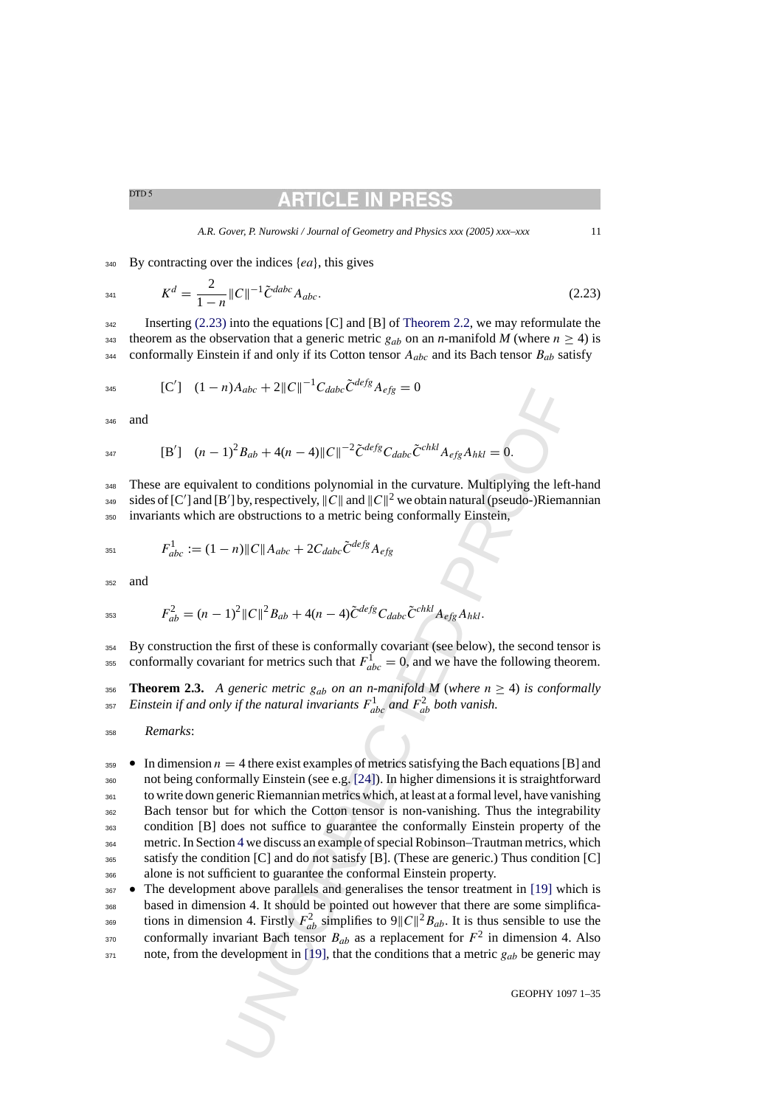# RTICLE IN PRI

*A.R. Gover, P. Nurowski / Journal of Geometry and Physics xxx (2005) xxx–xxx* 11

<span id="page-10-0"></span> $340$  By contracting over the indices  $\{ea\}$ , this gives

$$
K^d = \frac{2}{1-n} ||C||^{-1} \tilde{C}^{dabc} A_{abc}.
$$
\n(2.23)

<sup>342</sup> Inserting (2.23) into the equations [C] and [B] of [Theorem 2.2, w](#page-9-0)e may reformulate the 343 theorem as the observation that a generic metric  $g_{ab}$  on an *n*-manifold *M* (where  $n \ge 4$ ) is 344 conformally Einstein if and only if its Cotton tensor  $A_{abc}$  and its Bach tensor  $B_{ab}$  satisfy

345 
$$
[C'] \quad (1-n)A_{abc} + 2||C||^{-1}C_{dabc}\tilde{C}^{defg}A_{efg} = 0
$$

<sup>346</sup> and

$$
{}_{347} \qquad [B'] \quad (n-1)^2 B_{ab} + 4(n-4) \|C\|^{-2} \tilde{C}^{defg} C_{dabc} \tilde{C}^{chkl} A_{efg} A_{hkl} = 0.
$$

<sup>348</sup> These are equivalent to conditions polynomial in the curvature. Multiplying the left-hand 349 sides of [C'] and [B'] by, respectively,  $||C||$  and  $||C||^2$  we obtain natural (pseudo-)Riemannian <sup>350</sup> invariants which are obstructions to a metric being conformally Einstein,

$$
F_{abc}^1 := (1 - n) \|C\| A_{abc} + 2C_{dabc} \tilde{C}^{defg} A_{efg}
$$

<sup>352</sup> and

$$
F_{ab}^2 = (n-1)^2 \|C\|^2 B_{ab} + 4(n-4)\tilde{C}^{defg} C_{dabc} \tilde{C}^{chkl} A_{efg} A_{hkl}.
$$

<sup>354</sup> By construction the first of these is conformally covariant (see below), the second tensor is conformally covariant for metrics such that  $F_{abc}^1 = 0$ , and we have the following theorem.

**356 Theorem 2.3.** A generic metric g<sub>ab</sub> on an n-manifold M (where  $n \geq 4$ ) is conformally  $E$ *instein if and only if the natural invariants*  $F_{abc}^1$  *and*  $F_{ab}^2$  *both vanish.* 

<sup>358</sup> *Remarks*:

1) $A_{abc} + 2||C||$  $A_{abc} + 2||C||$  $A_{abc} + 2||C||$   $^{n}C_{dabc}C^{n,s}s A_{efg} = 0$ <br>
1) $^{2}B_{ab} + 4(n - 4)||C||^{-2}\zeta^{defg}C_{dabc}\zeta^{chkl}A_{efg}A_{hkl} = 0.$ <br>
and to conditions polynomial in the curvature. Multiplying the left<br>
1)  $|D_{s}$ , respectively,  $||C||$  and  $||C||^{2}$  we obtain  $\bullet$  In dimension  $n = 4$  there exist examples of metrics satisfying the Bach equations [B] and not being conformally Einstein (see e.g. [24]). In higher dimensions it is straightforward to write down generic Riemannian metrics which, at least at a formal level, have vanishing Bach tensor but for which the Cotton tensor is non-vanishing. Thus the integrability condition [B] does not suffice to guarantee the conformally Einstein property of the metric. In Section 4 we discuss an example of special Robinson–Trautman metrics, which satisfy the condition [C] and do not satisfy [B]. (These are generic.) Thus condition [C] alone is not sufficient to guarantee the conformal Einstein property.

<sup>367</sup> • The development above parallels and generalises the tensor treatment in [19] which is <sup>368</sup> based in dimension 4. It should be pointed out however that there are some simplifica- $\sum_{a}$  simplifies to  $9||C||^2B_{ab}$ . It is thus sensible to use the conformally invariant Bach tensor  $B_{ab}$  as a replacement for  $F^2$  in dimension 4. Also  $371$  note, from the development in [19], that the conditions that a metric  $g_{ab}$  be generic may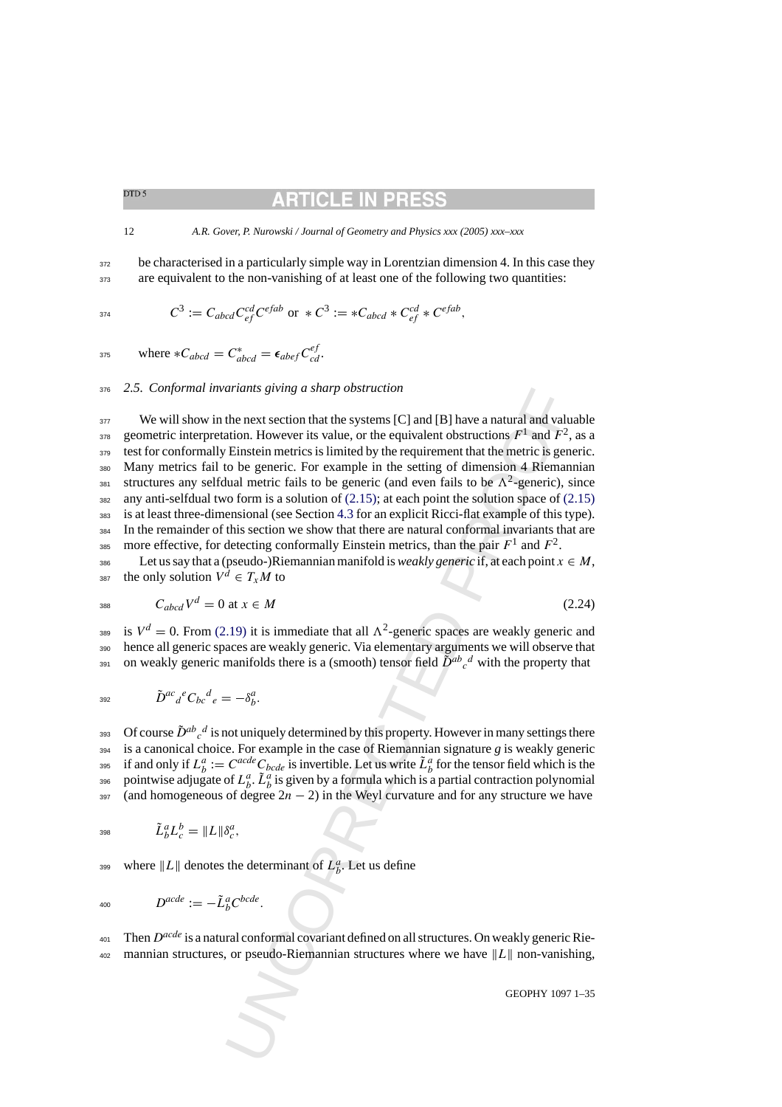<span id="page-11-0"></span>12 *A.R. Gover, P. Nurowski / Journal of Geometry and Physics xxx (2005) xxx–xxx*

<sup>372</sup> be characterised in a particularly simple way in Lorentzian dimension 4. In this case they <sup>373</sup> are equivalent to the non-vanishing of at least one of the following two quantities:

$$
C^3 := C_{abcd} C_{ef}^{cd} C^{efab} \text{ or } * C^3 := *C_{abcd} * C_{ef}^{cd} * C^{efab},
$$

375 where  $*C_{abcd} = C^*_{abcd} = \epsilon_{abef} C^{ef}_{cd}$ .

<sup>376</sup> *2.5. Conformal invariants giving a sharp obstruction*

ariants giving a sharp obstruction<br>the next section that the systems [C] and [B] have a natural and value<br>the next section that the systems [C] and [B] have a natural and value<br>the next section is value, or the equiverent <sup>377</sup> We will show in the next section that the systems [C] and [B] have a natural and valuable geometric interpretation. However its value, or the equivalent obstructions  $F^1$  and  $F^2$ , as a <sup>379</sup> test for conformally Einstein metrics is limited by the requirement that the metric is generic. <sup>380</sup> Many metrics fail to be generic. For example in the setting of dimension 4 Riemannian structures any selfdual metric fails to be generic (and even fails to be  $\Lambda^2$ -generic), since  $382$  any anti-selfdual two form is a solution of [\(2.15\)](#page-7-0); at each point the solution space of (2.15) <sup>383</sup> is at least three-dimensional (see Section 4.3 for an explicit Ricci-flat example of this type). <sup>384</sup> In the remainder of this section we show that there are natural conformal invariants that are 385 more effective, for detecting conformally Einstein metrics, than the pair  $F^1$  and  $F^2$ .

386 Let us say that a (pseudo-)Riemannian manifold is *weakly generic* if, at each point  $x \in M$ , 387 the only solution  $V^d \in T_xM$  to

$$
C_{abcd}V^d = 0 \text{ at } x \in M \tag{2.24}
$$

<sup>389</sup> is  $V^d = 0$ . From [\(2.19\)](#page-8-0) it is immediate that all  $\Lambda^2$ -generic spaces are weakly generic and <sup>390</sup> hence all generic spaces are weakly generic. Via elementary arguments we will observe that 391 on weakly generic manifolds there is a (smooth) tensor field  $\tilde{D}^{ab}{}_{c}{}^{d}$  with the property that

$$
\tilde{D}^{ac}{}_{d}{}^{e}C_{bc}{}^{d}{}_{e}=-\delta^{a}_{b}.
$$

393 • Of course  $\tilde{D}^{ab}{}_c{}^d$  is not uniquely determined by this property. However in many settings there  $394$  is a canonical choice. For example in the case of Riemannian signature *g* is weakly generic <sup>395</sup> if and only if  $L_b^a := C^{acde}C_{bcde}$  is invertible. Let us write  $\tilde{L}_b^a$  for the tensor field which is the 396 pointwise adjugate of  $L_b^a$ .  $\tilde{L}_b^a$  is given by a formula which is a partial contraction polynomial 397 (and homogeneous of degree  $2n - 2$ ) in the Weyl curvature and for any structure we have

$$
z_{98} \qquad \qquad \tilde{L}_b^a L_c^b = \|L\| \delta_c^a,
$$

399 where  $||L||$  denotes the determinant of  $L_b^a$ . Let us define

$$
D^{acde} := -\tilde{L}_b^a C^{bcde}.
$$

<sup>401</sup> Then  $D^{acde}$  is a natural conformal covariant defined on all structures. On weakly generic Rie-402 mannian structures, or pseudo-Riemannian structures where we have  $||L||$  non-vanishing,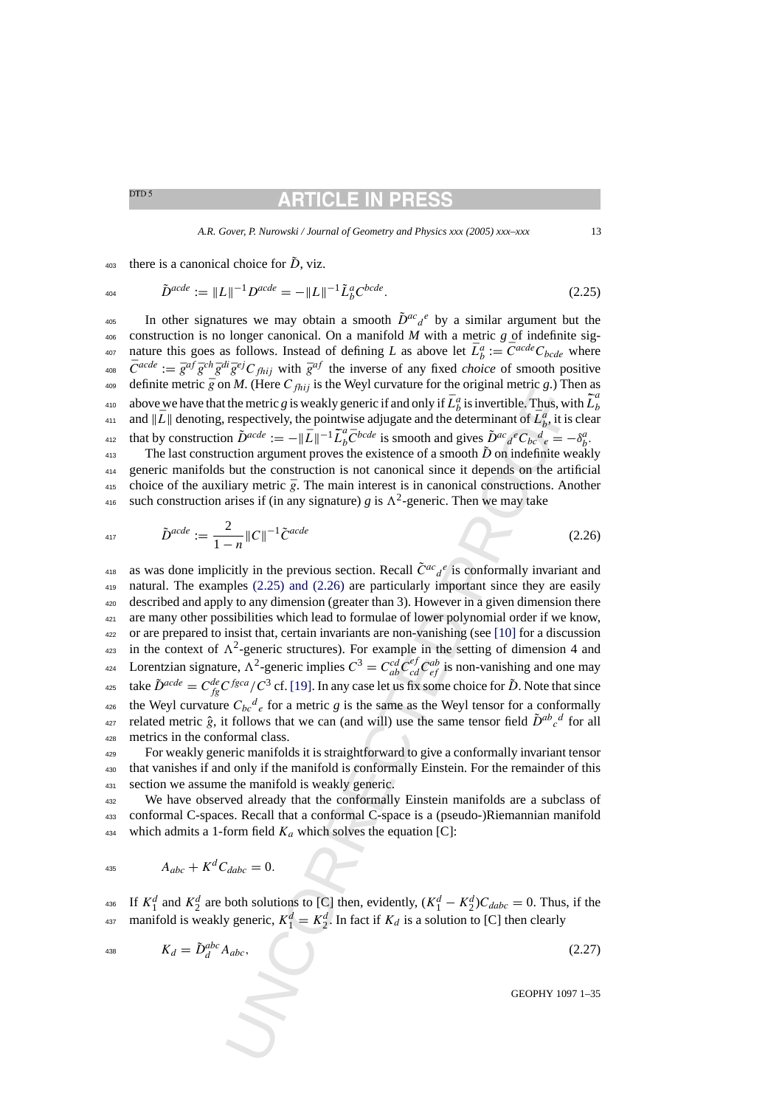# RTICLE IN PRI

*A.R. Gover, P. Nurowski / Journal of Geometry and Physics xxx (2005) xxx–xxx* 13

<span id="page-12-0"></span> $t_{403}$  there is a canonical choice for  $\ddot{D}$ , viz.

$$
^{404}
$$

$$
\tilde{D}^{acde} := \|L\|^{-1} D^{acde} = -\|L\|^{-1} \tilde{L}_b^a C^{bcde}.
$$
\n(2.25)

405 In other signatures we may obtain a smooth  $\tilde{D}^{ac}a^e$  by a similar argument but the <sup>406</sup> construction is no longer canonical. On a manifold *M* with a metric *g* of indefinite signature this goes as follows. Instead of defining *L* as above let  $\bar{L}_b^a := \bar{C}^{acde}C_{bcde}$  where <sup>408</sup>  $\bar{C}^{acde} := \bar{g}^{af} \bar{g}^{ch} \bar{g}^{di} \bar{g}^{ej} C_{fhij}$  with  $\bar{g}^{af}$  the inverse of any fixed *choice* of smooth positive 409 definite metric  $\bar{g}$  on *M*. (Here C<sub>fhij</sub> is the Weyl curvature for the original metric *g*.) Then as <sup>410</sup> above we have that the metric *g* is weakly generic if and only if  $\bar{L}_b^a$  is invertible. Thus, with  $\tilde{L}_b^a$ and  $\|\bar{L}\|$  denoting, respectively, the pointwise adjugate and the determinant of  $\bar{L}_b^a$ , it is clear that by construction  $\tilde{D}^{acde} := -\|\tilde{L}\|^{-1} \tilde{L}_b^a \bar{C}^{bcde}$  is smooth and gives  $\tilde{D}^{ac}{}_a^e C_{bc}{}^d{}_e = -\delta_b^a$ . <sup>413</sup> The last construction argument proves the existence of a smooth  $\tilde{D}$  on indefinite weakly <sup>414</sup> generic manifolds but the construction is not canonical since it depends on the artificial

415 choice of the auxiliary metric  $\bar{g}$ . The main interest is in canonical constructions. Another <sup>416</sup> such construction arises if (in any signature) *g* is  $\Lambda^2$ -generic. Then we may take

$$
\tilde{D}^{acde} := \frac{2}{1-n} ||C||^{-1} \tilde{C}^{acde}
$$
\n(2.26)

*n*.π. (neve U<sub>*m*)</sub> s and weyt-calculate for a congumn metric or a particle of my congumn interacting 5 in *D*<sub>r</sub><sup>nde</sup> : = - |L<sup>T</sup>I-*T*<sub>2</sub>/<sup>2</sup><sub>C</sub>-ta<sub>c</sub> = - |LT<sub>I</sub>-T<sup>1</sup>/<sub>2</sub><sup>7</sup><sub>C</sub> <sup>2</sup><sub>C-ta</sub><sup>2</sup> = - |LT<sub>I</sub><sup>-T</sup>I<sup>T</sup><sub>2</sub><sup>7</sup>C<sub>2</sub> 418 as was done implicitly in the previous section. Recall  $ilde{C}^{ac}{}_{d}{}^{e}$  is conformally invariant and <sup>419</sup> natural. The examples (2.25) and (2.26) are particularly important since they are easily <sup>420</sup> described and apply to any dimension (greater than 3). However in a given dimension there <sup>421</sup> are many other possibilities which lead to formulae of lower polynomial order if we know, <sup>422</sup> or are prepared to insist that, certain invariants are non-vanishing (see [10] for a discussion <sup>423</sup> in the context of  $\Lambda^2$ -generic structures). For example in the setting of dimension 4 and <sup>424</sup> Lorentzian signature,  $\Lambda^2$ -generic implies  $C^3 = C_{ab}^{cd} C_{cd}^{ef} C_{cd}^{ab}$  is non-vanishing and one may <sup>425</sup> take  $\tilde{D}^{acde} = C_{fg}^{de}C^{fgca}/C^3$  cf. [19]. In any case let us fix some choice for  $\tilde{D}$ . Note that since <sup>426</sup> the Weyl curvature  $C_{bc}^{d}$  for a metric *g* is the same as the Weyl tensor for a conformally <sup>427</sup> related metric  $\hat{g}$ , it follows that we can (and will) use the same tensor field  $\tilde{D}^{ab}{}_{c}{}^d$  for all <sup>428</sup> metrics in the conformal class.

<sup>429</sup> For weakly generic manifolds it is straightforward to give a conformally invariant tensor <sup>430</sup> that vanishes if and only if the manifold is conformally Einstein. For the remainder of this <sup>431</sup> section we assume the manifold is weakly generic.

<sup>432</sup> We have observed already that the conformally Einstein manifolds are a subclass of <sup>433</sup> conformal C-spaces. Recall that a conformal C-space is a (pseudo-)Riemannian manifold 434 which admits a 1-form field  $K_a$  which solves the equation [C]:

$$
A_{abc} + K^d C_{dabc} = 0.
$$

<sup>436</sup> If  $K_1^d$  and  $K_2^d$  are both solutions to [C] then, evidently,  $(K_1^d - K_2^d)C_{dabc} = 0$ . Thus, if the <sup>437</sup> manifold is weakly generic,  $K_1^d = K_2^d$ . In fact if  $K_d$  is a solution to [C] then clearly

$$
K_d = \tilde{D}_d^{abc} A_{abc},\tag{2.27}
$$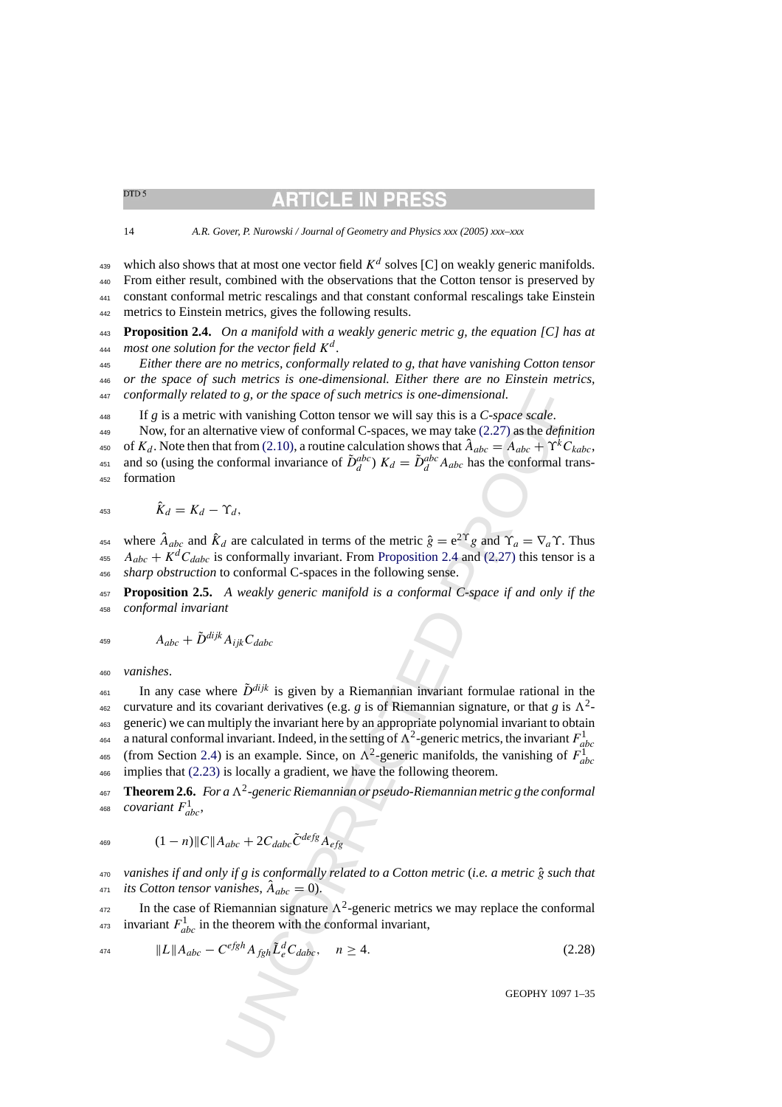**RTICLE IN PRI** 

<span id="page-13-0"></span>

14 *A.R. Gover, P. Nurowski / Journal of Geometry and Physics xxx (2005) xxx–xxx*

439 which also shows that at most one vector field  $K^d$  solves [C] on weakly generic manifolds. From either result, combined with the observations that the Cotton tensor is preserved by constant conformal metric rescalings and that constant conformal rescalings take Einstein metrics to Einstein metrics, gives the following results.

<sup>443</sup> **Proposition 2.4.** *On a manifold with a weakly generic metric g, the equation [C] has at* <sup>444</sup> most one solution for the vector field  $K^d$ .

<sup>445</sup> *Either there are no metrics, conformally related to g, that have vanishing Cotton tensor* <sup>446</sup> *or the space of such metrics is one-dimensional. Either there are no Einstein metrics,* <sup>447</sup> *conformally related to g, or the space of such metrics is one-dimensional.*

<sup>448</sup> If *g* is a metric with vanishing Cotton tensor we will say this is a *C-space scale*.

<sup>449</sup> Now, for an alternative view of conformal C-spaces, we may take (2.27) as the *definition* 450 of  $K_d$ . Note then that from (2.10), a routine calculation shows that  $\hat{A}_{abc} = A_{abc} + \Upsilon^k C_{kabc}$ , as and so (using the conformal invariance of  $\tilde{D}_d^{abc}$ )  $K_d = \tilde{D}_d^{abc} A_{abc}$  has the conformal trans-<sup>452</sup> formation

$$
453 \qquad \qquad \hat{K}_d = K_d - \Upsilon_d,
$$

454 where  $\hat{A}_{abc}$  and  $\hat{K}_d$  are calculated in terms of the metric  $\hat{g} = e^{2\Upsilon}g$  and  $\Upsilon_a = \nabla_a \Upsilon$ . Thus <sup>455</sup>  $A_{abc} + K^{d}C_{dabc}$  is conformally invariant. From Proposition 2.4 and (2.27) this tensor is a <sup>456</sup> *sharp obstruction* to conformal C-spaces in the following sense.

<sup>457</sup> **Proposition 2.5.** *A weakly generic manifold is a conformal C-space if and only if the* <sup>458</sup> *conformal invariant*

$$
A_{abc} + \tilde{D}^{dijk} A_{ijk} C_{dabc}
$$

<sup>460</sup> *vanishes*.

*I* to g, or the space of such metrics is one-dimensional.<br>
vith vanishing Cotton tensor we will say this is a C-space scale.<br>
with vanishing Cotto tensor we will say that is a C-space scale.<br>
mative view of conformal C-s <sup>461</sup> In any case where  $\tilde{D}^{dijk}$  is given by a Riemannian invariant formulae rational in the <sup>462</sup> curvature and its covariant derivatives (e.g. *g* is of Riemannian signature, or that *g* is  $\Lambda^2$ -<sup>463</sup> generic) we can multiply the invariant here by an appropriate polynomial invariant to obtain 464 a natural conformal invariant. Indeed, in the setting of  $\Lambda^2$ -generic metrics, the invariant  $F_{abc}^1$ 465 (from Section [2.4\)](#page-7-0) is an example. Since, on  $\Lambda^2$ -generic manifolds, the vanishing of  $F_{abc}^1$ <sup>466</sup> implies that [\(2.23\)](#page-10-0) is locally a gradient, we have the following theorem.

 $467$  **Theorem 2.6.** *For a*  $\Lambda^2$ -generic Riemannian or pseudo-Riemannian metric g the conformal <sup>468</sup> *covariant*  $F_{abc}^1$ ,

<sup>469</sup>  $(1 - n)\|C\|A_{abc} + 2C_{dabc}\tilde{C}^{defg}A_{efg}$ 

<sup>470</sup> *vanishes if and only if g is conformally related to a Cotton metric* (*i.e. a metric* gˆ *such that its Cotton tensor vanishes,*  $\ddot{A}_{abc} = 0$ .

<sup>472</sup> In the case of Riemannian signature  $\Lambda^2$ -generic metrics we may replace the conformal <sup>473</sup> invariant  $F_{abc}^1$  in the theorem with the conformal invariant,

$$
||L||A_{abc} - C^{efgh}A_{fgh}\tilde{L}_e^d C_{dabc}, \quad n \ge 4.
$$
\n(2.28)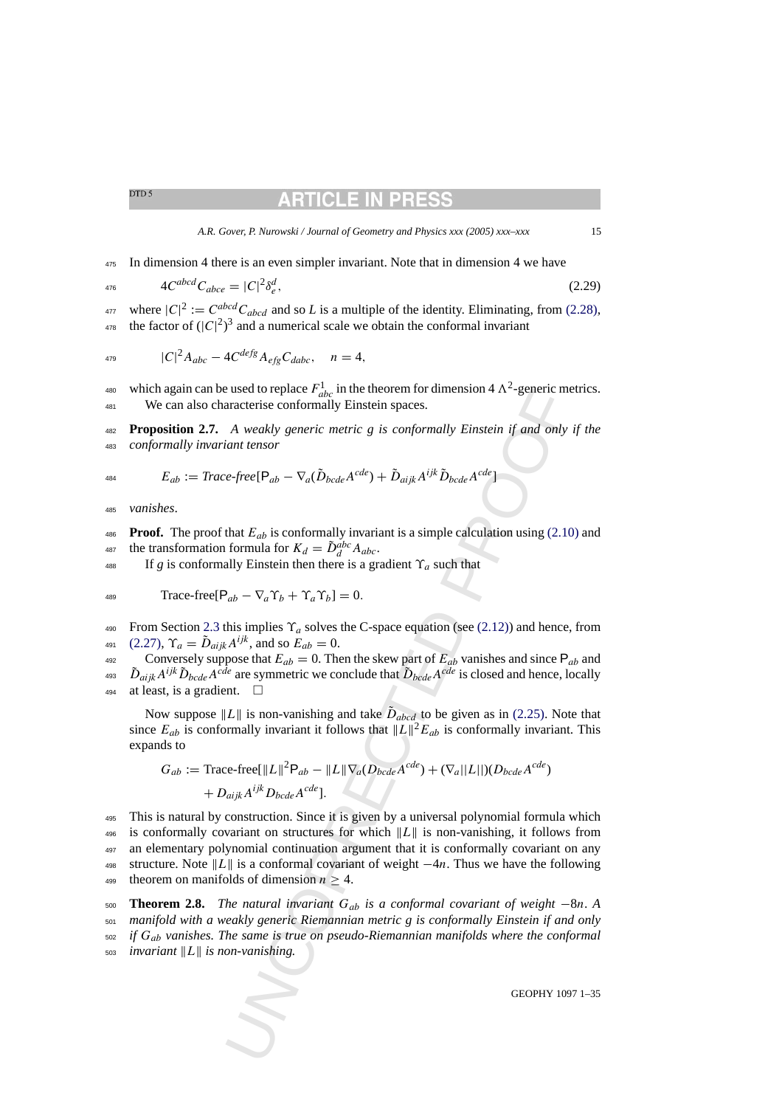# RTICLE IN PR

*A.R. Gover, P. Nurowski / Journal of Geometry and Physics xxx (2005) xxx–xxx* 15

<span id="page-14-0"></span><sup>475</sup> In dimension 4 there is an even simpler invariant. Note that in dimension 4 we have

$$
4C^{abcd}C_{abc} = |C|^2 \delta_e^d,\tag{2.29}
$$

<sup>477</sup> where  $|C|^2 := C^{abcd}C_{abcd}$  and so *L* is a multiple of the identity. Eliminating, from [\(2.28\),](#page-13-0) <sup>478</sup> the factor of  $(|C|^2)^3$  and a numerical scale we obtain the conformal invariant

$$
{}_{479} \t |C|^2 A_{abc} - 4C^{defg} A_{efg} C_{dabc}, \t n = 4,
$$

<sup>480</sup> which again can be used to replace  $F_{abc}^1$  in the theorem for dimension 4  $\Lambda^2$ -generic metrics. <sup>481</sup> We can also characterise conformally Einstein spaces.

<sup>482</sup> **Proposition 2.7.** *A weakly generic metric g is conformally Einstein if and only if the* <sup>483</sup> *conformally invariant tensor*

$$
E_{ab} := Trace-free[\mathsf{P}_{ab} - \nabla_a(\tilde{D}_{bcde}A^{cde}) + \tilde{D}_{aijk}A^{ijk}\tilde{D}_{bcde}A^{cde}]
$$

<sup>485</sup> *vanishes*.

486 **Proof.** The proof that  $E_{ab}$  is conformally invariant is a simple calculation using [\(2.10\)](#page-5-0) and 487 the transformation formula for  $K_d = \tilde{D}_d^{abc} A_{abc}$ .

488 If *g* is conformally Einstein then there is a gradient  $\Upsilon_a$  such that

$$
Trac{}{\text{trace-free}}[\mathsf{P}_{ab} - \nabla_a \Upsilon_b + \Upsilon_a \Upsilon_b] = 0.
$$

490 From Section [2.3](#page-5-0) this implies  $\Upsilon_a$  solves the C-space equation (see (2.12)) and hence, from 491 [\(2.27\),](#page-12-0)  $\Upsilon_a = \tilde{D}_{aijk} A^{ijk}$ , and so  $E_{ab} = 0$ .

492 Conversely suppose that  $E_{ab} = 0$ . Then the skew part of  $E_{ab}$  vanishes and since  $P_{ab}$  and <sup>493</sup>  $\tilde{D}_{aijk}A^{ijk}\tilde{D}_{bcde}A^{cde}$  are symmetric we conclude that  $\tilde{D}_{bcde}A^{cde}$  is closed and hence, locally 494 at least, is a gradient.  $\square$ 

Now suppose  $||L||$  is non-vanishing and take  $\tilde{D}_{abcd}$  to be given as in (2.25). Note that since  $E_{ab}$  is conformally invariant it follows that  $||L||^2 E_{ab}$  is conformally invariant. This expands to

$$
G_{ab} := \text{Trace-free}[\|L\|^2 \mathsf{P}_{ab} - \|L\|\nabla_a(D_{bcde}A^{cde}) + (\nabla_a ||L||)(D_{bcde}A^{cde})
$$
  
+  $D_{aijk}A^{ijk}D_{bcde}A^{cde}].$ 

used to replace  $F_{abc}$  in the theorem for dimension 4  $\Lambda$ <sup>-</sup>-generic means to replace  $F_{abc}$  in the theorem for dimension  $\Lambda$ <sup>-</sup>-generic means aracterise conformally Einstein spaces.<br>
A weakly generic metric g is confor <sup>495</sup> This is natural by construction. Since it is given by a universal polynomial formula which 496 is conformally covariant on structures for which  $||L||$  is non-vanishing, it follows from <sup>497</sup> an elementary polynomial continuation argument that it is conformally covariant on any 498 structure. Note  $||L||$  is a conformal covariant of weight  $-4n$ . Thus we have the following 499 theorem on manifolds of dimension  $n \geq 4$ .

 **Theorem 2.8.** *The natural invariant* Gab *is a conformal covariant of weight* −8n. *A manifold with a weakly generic Riemannian metric g is conformally Einstein if and only if* Gab *vanishes. The same is true on pseudo-Riemannian manifolds where the conformal invariant*  $||L||$  *is non-vanishing.*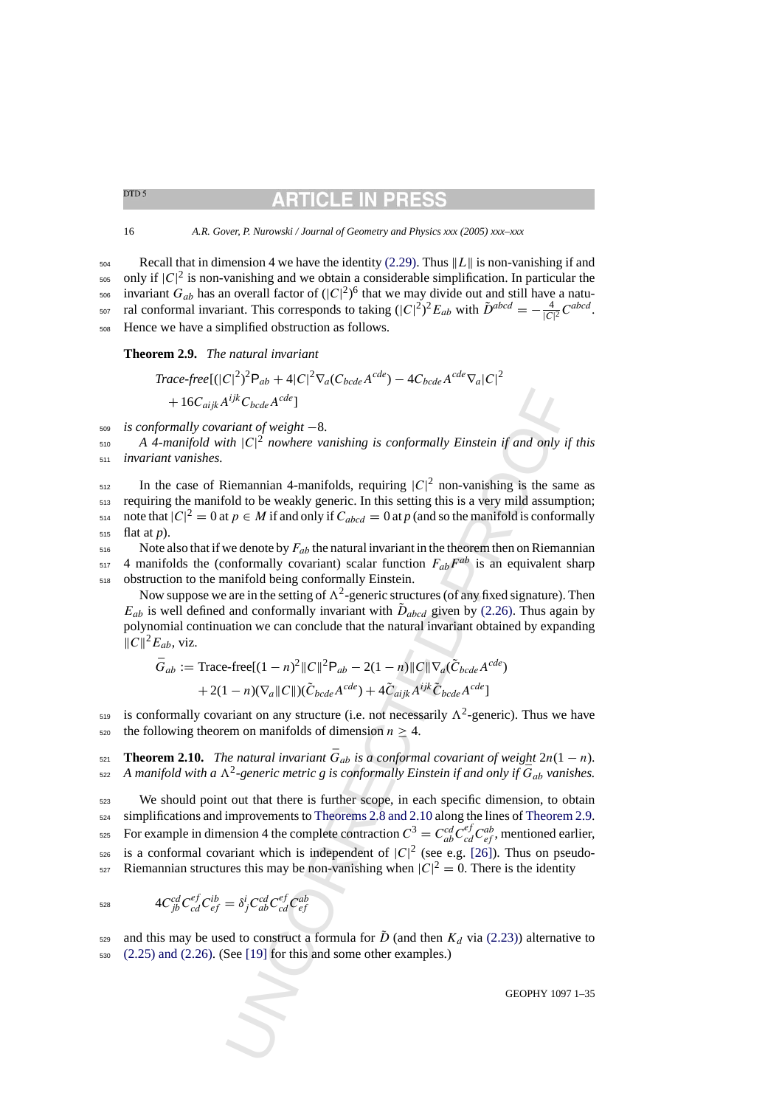# RTICLE IN

<span id="page-15-0"></span>16 *A.R. Gover, P. Nurowski / Journal of Geometry and Physics xxx (2005) xxx–xxx*

 $_{504}$  Recall that in dimension 4 we have the identity [\(2.29\). T](#page-14-0)hus  $\|L\|$  is non-vanishing if and  $_{505}$  only if  $|C|^2$  is non-vanishing and we obtain a considerable simplification. In particular the  $\epsilon_{\rm 506}$  invariant  $G_{ab}$  has an overall factor of  $(|C|^2)^6$  that we may divide out and still have a natu-<sup>507</sup> ral conformal invariant. This corresponds to taking  $(|C|^2)^2 E_{ab}$  with  $\tilde{D}^{abcd} = -\frac{4}{|C|^2} C^{abcd}$ . <sup>508</sup> Hence we have a simplified obstruction as follows.

# **Theorem 2.9.** *The natural invariant*

$$
Trace-free [(|C|^2)^2 \mathsf{P}_{ab} + 4|C|^2 \nabla_a (C_{bcde} A^{cde}) - 4C_{bcde} A^{cde} \nabla_a |C|^2
$$
  
+ 16C<sub>aijk</sub> A<sup>ijk</sup> C<sub>bcde</sub> A<sup>cde</sup>]

<sup>509</sup> *is conformally covariant of weight* −8.

 $\mathcal{A}$  4-manifold with  $|C|^2$  nowhere vanishing is conformally Einstein if and only if this <sup>511</sup> *invariant vanishes.*

 $\sum_{512}$  In the case of Riemannian 4-manifolds, requiring  $|C|^2$  non-vanishing is the same as  $513$  requiring the manifold to be weakly generic. In this setting this is a very mild assumption; 514 note that  $|C|^2 = 0$  at  $p \in M$  if and only if  $C_{abcd} = 0$  at p (and so the manifold is conformally <sup>515</sup> flat at *p*).

 $516$  Note also that if we denote by  $F_{ab}$  the natural invariant in the theorem then on Riemannian  $_{517}$  4 manifolds the (conformally covariant) scalar function  $F_{ab}F^{ab}$  is an equivalent sharp <sup>518</sup> obstruction to the manifold being conformally Einstein.

Now suppose we are in the setting of  $\Lambda^2$ -generic structures (of any fixed signature). Then  $E_{ab}$  is well defined and conformally invariant with  $\tilde{D}_{abcd}$  given by (2.26). Thus again by polynomial continuation we can conclude that the natural invariant obtained by expanding  $||C||^2E_{ab}$ , viz.

$$
\bar{G}_{ab} := \text{Trace-free}[(1 - n)^2 ||C||^2 \mathbf{P}_{ab} - 2(1 - n)||C||\nabla_a(\tilde{C}_{bcde}A^{cde})
$$

$$
+ 2(1 - n)(\nabla_a ||C||)(\tilde{C}_{bcde}A^{cde}) + 4\tilde{C}_{aijk}A^{ijk}\tilde{C}_{bcde}A^{cde}]
$$

is conformally covariant on any structure (i.e. not necessarily  $\Lambda^2$ -generic). Thus we have 520 the following theorem on manifolds of dimension  $n \geq 4$ .

**Theorem 2.10.** *The natural invariant*  $\bar{G}_{ab}$  *is a conformal covariant of weight*  $2n(1 - n)$ *.*  $\bar{z}$  A manifold with a  $\Lambda^2$ -generic metric g is conformally Einstein if and only if  $\bar{G}_{ab}$  vanishes.

 $A^{ijk}C_{bcde}A^{cde}$  $A^{ijk}C_{bcde}A^{cde}$  $A^{ijk}C_{bcde}A^{cde}$ <br>  $B^{ijk}C_{bcde}A^{cde}$ <br>  $B^{ijk}C_{bcde}A^{cde}$ <br>  $B^{ijk}C_{bcde}A^{cde}$ <br>  $B^{ijk}C|A^{jk}$  are exampling is conformally Einstein if and only if<br>  $B^{ijk}C|A^{jk}$  are examplined as, requiring  $|C|^2$  non-vanishing is the same<br>  $tp \in M$ <sup>523</sup> We should point out that there is further scope, in each specific dimension, to obtain  $524$  simplifications and improvements to Theorems 2.8 and 2.10 along the lines of Theorem 2.9. <sup>525</sup> For example in dimension 4 the complete contraction  $C^3 = C_{ab}^{cd} C_{cd}^{ef} C_{ef}^{ab}$ , mentioned earlier,  $526$  is a conformal covariant which is independent of  $|C|^2$  (see e.g. [26]). Thus on pseudoszy Riemannian structures this may be non-vanishing when  $|C|^2 = 0$ . There is the identity

$$
{}_{528} \qquad \qquad 4C_{jb}^{cd}C_{cd}^{ef}C_{ef}^{ib} = \delta^i_{j}C_{ab}^{cd}C_{cd}^{ef}C_{ef}^{ab}
$$

<sup>529</sup> and this may be used to construct a formula for  $\tilde{D}$  (and then  $K_d$  via (2.23)) alternative to  $530$   $(2.25)$  and  $(2.26)$ . (See [19] for this and some other examples.)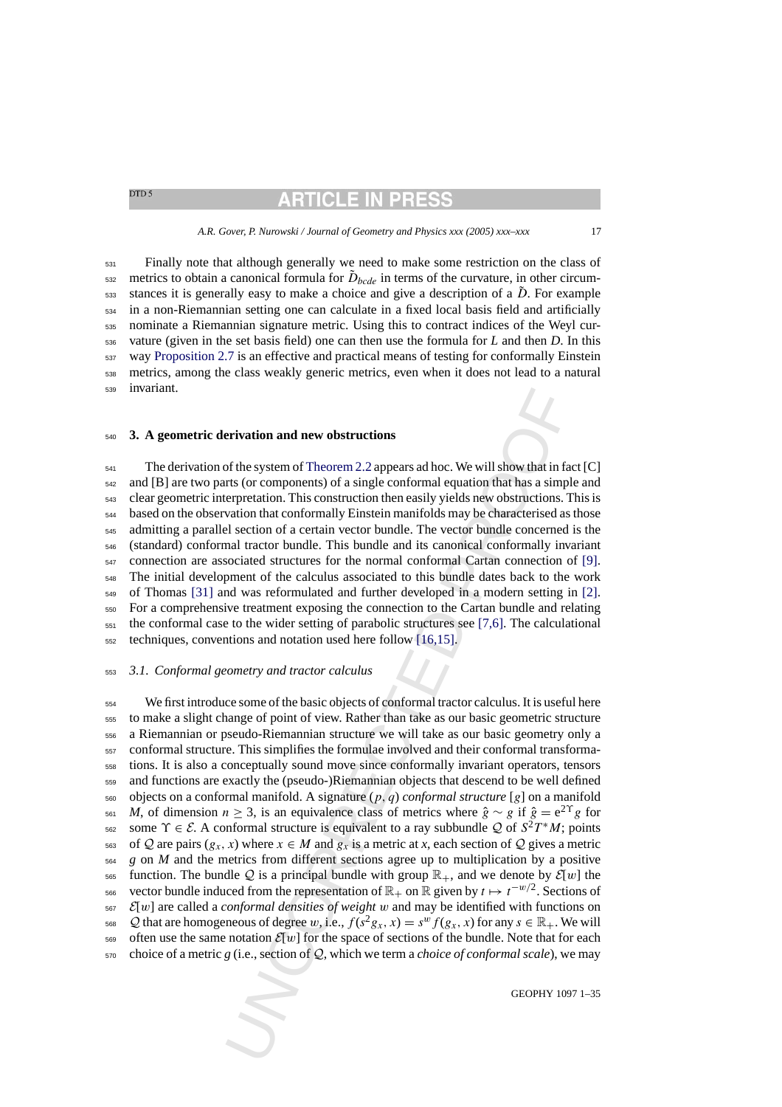# **ARTICLE IN PRESS**

#### *A.R. Gover, P. Nurowski / Journal of Geometry and Physics xxx (2005) xxx–xxx* 17

<span id="page-16-0"></span> Finally note that although generally we need to make some restriction on the class of  $\epsilon_{532}$  metrics to obtain a canonical formula for  $\tilde{D}_{bcde}$  in terms of the curvature, in other circumssa stances it is generally easy to make a choice and give a description of a  $\tilde{D}$ . For example in a non-Riemannian setting one can calculate in a fixed local basis field and artificially nominate a Riemannian signature metric. Using this to contract indices of the Weyl cur- vature (given in the set basis field) one can then use the formula for *L* and then *D*. In this way [Proposition 2.7](#page-14-0) is an effective and practical means of testing for conformally Einstein metrics, among the class weakly generic metrics, even when it does not lead to a natural invariant.

### **3. A geometric derivation and new obstructions**

<sup>541</sup> The derivation of the system of Theorem 2.2 appears ad hoc. We will show that in fact [C] and [B] are two parts (or components) of a single conformal equation that has a simple and clear geometric interpretation. This construction then easily yields new obstructions. This is based on the observation that conformally Einstein manifolds may be characterised as those admitting a parallel section of a certain vector bundle. The vector bundle concerned is the (standard) conformal tractor bundle. This bundle and its canonical conformally invariant connection are associated structures for the normal conformal Cartan connection of [\[9\].](#page-34-0) The initial development of the calculus associated to this bundle dates back to the work of Thomas [\[31\]](#page-34-0) and was reformulated and further developed in a modern setting in [\[2\].](#page-33-0) For a comprehensive treatment exposing the connection to the Cartan bundle and relating the conformal case to the wider setting of parabolic structures see [7,6]. The calculational techniques, conventions and notation used here follow [16,15].

### *3.1. Conformal geometry and tractor calculus*

**erivation and new obstructions**<br>of the system of Theorem 2.2 appears ad hoc. We will show that in fasts (or components) of a single conformal equation that has a simple<br>repretation. This construction then easily yields n We first introduce some of the basic objects of conformal tractor calculus. It is useful here to make a slight change of point of view. Rather than take as our basic geometric structure a Riemannian or pseudo-Riemannian structure we will take as our basic geometry only a conformal structure. This simplifies the formulae involved and their conformal transforma- tions. It is also a conceptually sound move since conformally invariant operators, tensors and functions are exactly the (pseudo-)Riemannian objects that descend to be well defined objects on a conformal manifold. A signature  $(p, q)$  *conformal structure* [g] on a manifold <sup>561</sup> *M*, of dimension  $n \ge 3$ , is an equivalence class of metrics where  $\hat{g} \sim g$  if  $\hat{g} = e^{2\Upsilon}g$  for sse some  $\Upsilon \in \mathcal{E}$ . A conformal structure is equivalent to a ray subbundle Q of  $S^2T^*M$ ; points 563 of Q are pairs  $(g_x, x)$  where  $x \in M$  and  $g_x$  is a metric at x, each section of Q gives a metric *g* on *M* and the metrics from different sections agree up to multiplication by a positive 565 function. The bundle Q is a principal bundle with group  $\mathbb{R}_+$ , and we denote by  $\mathcal{E}[w]$  the 566 vector bundle induced from the representation of  $\mathbb{R}_+$  on  $\mathbb R$  given by  $t \mapsto t^{-w/2}$ . Sections of  $\mathcal{E}[w]$  are called a *conformal densities of weight* w and may be identified with functions on 568 Q that are homogeneous of degree w, i.e.,  $f(s^2g_x, x) = s^w f(g_x, x)$  for any  $s \in \mathbb{R}_+$ . We will 569 often use the same notation  $\mathcal{E}[w]$  for the space of sections of the bundle. Note that for each choice of a metric *g* (i.e., section of Q, which we term a *choice of conformal scale*), we may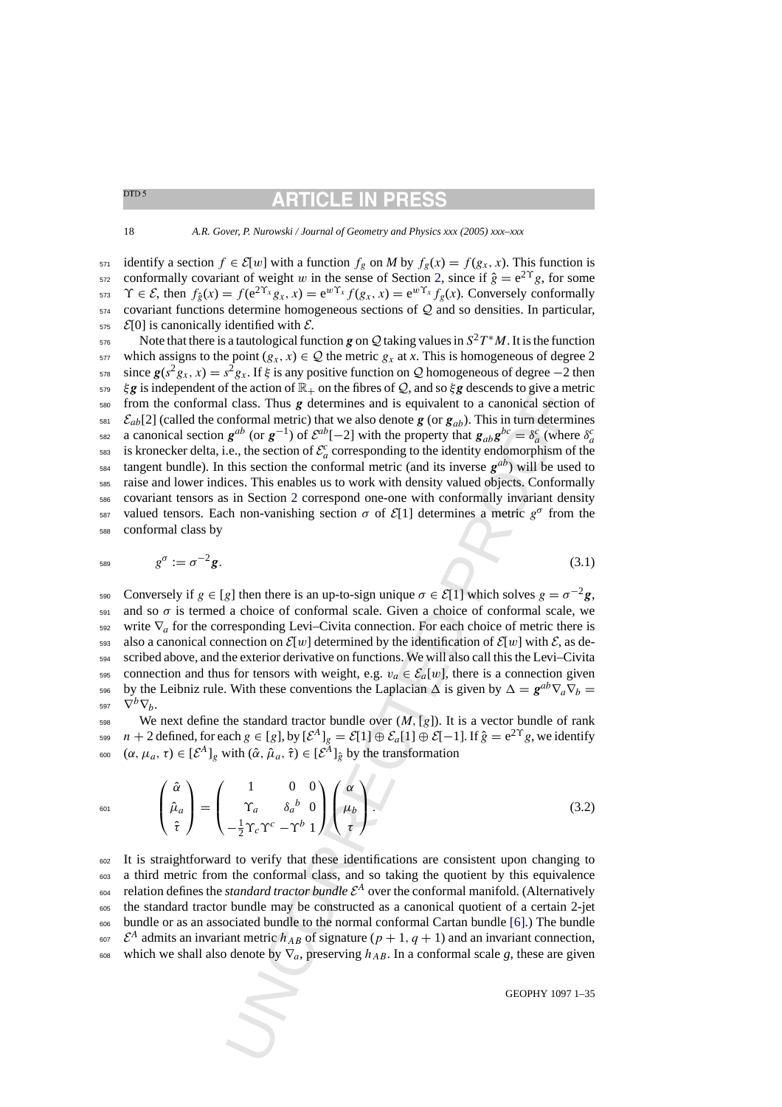**ARTICLE IN PRE** 

<span id="page-17-0"></span>18 *A.R. Gover, P. Nurowski / Journal of Geometry and Physics xxx (2005) xxx–xxx*

571 identify a section  $f \in \mathcal{E}[w]$  with a function  $f_g$  on *M* by  $f_g(x) = f(g_x, x)$ . This function is <sup>572</sup> conformally covariant of weight w in the sense of Section [2,](#page-3-0) since if  $\hat{g} = e^{2\Upsilon}g$ , for some 573  $\Upsilon \in \mathcal{E}$ , then  $f_{\hat{e}}(x) = f(e^{2\Upsilon_x}g_x, x) = e^{w\Upsilon_x}f(g_x, x) = e^{w\Upsilon_x}f_e(x)$ . Conversely conformally  $574$  covariant functions determine homogeneous sections of Q and so densities. In particular,  $575$   $\mathcal{E}[0]$  is canonically identified with  $\mathcal{E}$ .

the actor of  $\mathbb{R}_+$  on the hotes of  $Q$ , and so  $\xi g$  descends fo give am<br>
d class. Thus  $g$  determines and is equivalent to a canonical section<br>formal metric) that we also denote  $g$  (or  $g_{ab}$ ). This in turn determ<br> Note that there is a tautological function *g* on Q taking values in  $S^2T^*M$ . It is the function 577 which assigns to the point  $(g_x, x) \in \mathcal{Q}$  the metric  $g_x$  at x. This is homogeneous of degree 2 s<sub>78</sub> since  $g(s^2g_x, x) = s^2g_x$ . If  $\xi$  is any positive function on Q homogeneous of degree –2 then  $579\quad \xi g$  is independent of the action of  $\mathbb{R}_+$  on the fibres of Q, and so  $\xi g$  descends to give a metric <sup>580</sup> from the conformal class. Thus *g* determines and is equivalent to a canonical section of  $\varepsilon_{ab}$   $\mathcal{E}_{ab}[2]$  (called the conformal metric) that we also denote *g* (or  $g_{ab}$ ). This in turn determines  $\epsilon_{\text{582}}$  a canonical section  $g^{ab}$  (or  $g^{-1}$ ) of  $\mathcal{E}^{ab}[-2]$  with the property that  $g_{ab}g^{bc} = \delta_a^c$  (where  $\delta_a^c$  $\epsilon$ <sub>583</sub> is kronecker delta, i.e., the section of  $\mathcal{E}^c_a$  corresponding to the identity endomorphism of the tangent bundle). In this section the conformal metric (and its inverse  $g^{ab}$ ) will be used to <sup>585</sup> raise and lower indices. This enables us to work with density valued objects. Conformally <sup>586</sup> covariant tensors as in Section 2 correspond one-one with conformally invariant density <sup>587</sup> valued tensors. Each non-vanishing section σ of  $\mathcal{E}[1]$  determines a metric  $g^{\sigma}$  from the <sup>588</sup> conformal class by

$$
g^{\sigma} := \sigma^{-2} g. \tag{3.1}
$$

Conversely if  $g \in [g]$  then there is an up-to-sign unique  $\sigma \in \mathcal{E}[1]$  which solves  $g = \sigma^{-2}g$ , 591 and so  $\sigma$  is termed a choice of conformal scale. Given a choice of conformal scale, we 592 write  $\nabla_a$  for the corresponding Levi–Civita connection. For each choice of metric there is 593 also a canonical connection on  $\mathcal{E}[w]$  determined by the identification of  $\mathcal{E}[w]$  with  $\mathcal{E}$ , as de-<sup>594</sup> scribed above, and the exterior derivative on functions. We will also call this the Levi–Civita 595 connection and thus for tensors with weight, e.g.  $v_a \in \mathcal{E}_a[w]$ , there is a connection given by the Leibniz rule. With these conventions the Laplacian  $\Delta$  is given by  $\Delta = \mathbf{g}^{ab} \nabla_a \nabla_b =$ 597  $\nabla^b \nabla_h$ .

598 We next define the standard tractor bundle over  $(M, [g])$ . It is a vector bundle of rank <sup>599</sup>  $n + 2$  defined, for each  $g \in [g]$ , by  $[\mathcal{E}^A]_g = \mathcal{E}[1] \oplus \mathcal{E}_a[1] \oplus \mathcal{E}[-1]$ . If  $\hat{g} = e^{2\Upsilon}g$ , we identify <sup>600</sup>  $(\alpha, \mu_a, \tau) \in [\mathcal{E}^A]_g$  with  $(\hat{\alpha}, \hat{\mu}_a, \hat{\tau}) \in [\mathcal{E}^A]_{\hat{g}}$  by the transformation

$$
\hat{\mu}_{\alpha 1} \qquad \begin{pmatrix} \hat{\alpha} \\ \hat{\mu}_a \\ \hat{\tau} \end{pmatrix} = \begin{pmatrix} 1 & 0 & 0 \\ \Upsilon_a & \delta_a{}^b & 0 \\ -\frac{1}{2}\Upsilon_c\Upsilon^c - \Upsilon^b & 1 \end{pmatrix} \begin{pmatrix} \alpha \\ \mu_b \\ \tau \end{pmatrix}.
$$
 (3.2)

<sup>602</sup> It is straightforward to verify that these identifications are consistent upon changing to <sup>603</sup> a third metric from the conformal class, and so taking the quotient by this equivalence  $_{604}$  relation defines the *standard tractor bundle*  $\mathcal{E}^{A}$  over the conformal manifold. (Alternatively <sup>605</sup> the standard tractor bundle may be constructed as a canonical quotient of a certain 2-jet <sup>606</sup> bundle or as an associated bundle to the normal conformal Cartan bundle [6].) The bundle <sup>607</sup>  $\mathcal{E}^A$  admits an invariant metric  $h_{AB}$  of signature  $(p+1, q+1)$  and an invariant connection, 608 which we shall also denote by  $\nabla_a$ , preserving  $h_{AB}$ . In a conformal scale *g*, these are given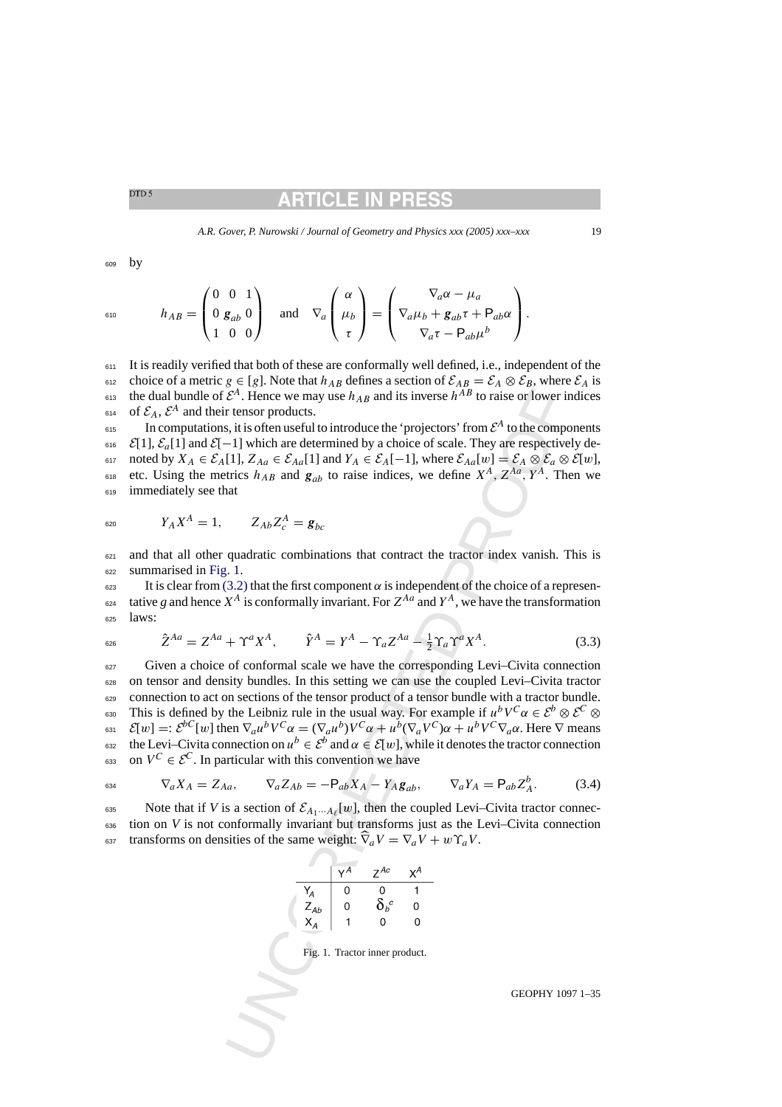# RTICLET

<span id="page-18-0"></span><sup>609</sup> by

$$
h_{AB} = \begin{pmatrix} 0 & 0 & 1 \\ 0 & g_{ab} & 0 \\ 1 & 0 & 0 \end{pmatrix} \quad \text{and} \quad \nabla_a \begin{pmatrix} \alpha \\ \mu_b \\ \tau \end{pmatrix} = \begin{pmatrix} \nabla_a \alpha - \mu_a \\ \nabla_a \mu_b + g_{ab} \tau + P_{ab} \alpha \\ \nabla_a \tau - P_{ab} \mu^b \end{pmatrix}.
$$

611 It is readily verified that both of these are conformally well defined, i.e., independent of the 612 choice of a metric  $g \in [g]$ . Note that  $h_{AB}$  defines a section of  $\mathcal{E}_{AB} = \mathcal{E}_A \otimes \mathcal{E}_B$ , where  $\mathcal{E}_A$  is <sup>613</sup> the dual bundle of  $\mathcal{E}^A$ . Hence we may use  $h_{AB}$  and its inverse  $h^{AB}$  to raise or lower indices <sup>614</sup> of  $\mathcal{E}_A$ ,  $\mathcal{E}^A$  and their tensor products.

 $\epsilon$ <sup>15</sup> In computations, it is often useful to introduce the 'projectors' from  $\mathcal{E}^A$  to the components 616  $\mathcal{E}[1], \mathcal{E}_a[1]$  and  $\mathcal{E}[-1]$  which are determined by a choice of scale. They are respectively de-617 noted by  $X_A \in \mathcal{E}_A[1], Z_{Aa} \in \mathcal{E}_{Aa}[1]$  and  $Y_A \in \mathcal{E}_A[-1]$ , where  $\mathcal{E}_{Aa}[w] = \mathcal{E}_A \otimes \mathcal{E}_a \otimes \mathcal{E}[w]$ , <sup>618</sup> etc. Using the metrics  $h_{AB}$  and  $g_{ab}$  to raise indices, we define  $X^A$ ,  $Z^{Aa}$ ,  $Y^A$ . Then we <sup>619</sup> immediately see that

$$
V_A X^A = 1, \t Z_{Ab} Z_c^A = \mathbf{g}_{bc}
$$

 $621$  and that all other quadratic combinations that contract the tractor index vanish. This is <sup>622</sup> summarised in Fig. 1.

 $623$  It is clear from (3.2) that the first component  $\alpha$  is independent of the choice of a representative *g* and hence  $X^A$  is conformally invariant. For  $Z^{Aa}$  and  $Y^A$ , we have the transformation <sup>625</sup> laws:

$$
\hat{Z}^{Aa} = Z^{Aa} + \Upsilon^a X^A, \qquad \hat{Y}^A = Y^A - \Upsilon_a Z^{Aa} - \frac{1}{2} \Upsilon_a \Upsilon^a X^A. \tag{3.3}
$$

Set. Thence we may use  $h_{AB}$  and its inverse  $h^{XB}$  to raise or lower in<br>
the reaso products.<br>
Thence we may use  $h_{AB}$  and its inverse  $h^{XB}$  to raise or lower in<br>
the station throughout to introduce the 'projectors' <sup>627</sup> Given a choice of conformal scale we have the corresponding Levi–Civita connection <sup>628</sup> on tensor and density bundles. In this setting we can use the coupled Levi–Civita tractor 629 connection to act on sections of the tensor product of a tensor bundle with a tractor bundle. Esso This is defined by the Leibniz rule in the usual way. For example if  $u^bV^c\alpha \in \mathcal{E}^b \otimes \mathcal{E}^c \otimes$  $\mathcal{E}[w] =: \mathcal{E}^{bC}[w]$  then  $\nabla_a u^b V^C \alpha = (\nabla_a u^b) V^C \alpha + u^b (\nabla_a V^C) \alpha + u^b V^C \nabla_a \alpha$ . Here  $\nabla$  means the Levi–Civita connection on  $u^b \in \mathcal{E}^b$  and  $\alpha \in \mathcal{E}[w]$ , while it denotes the tractor connection <sup>633</sup> on  $V^C \in \mathcal{E}^C$ . In particular with this convention we have

$$
\nabla_a X_A = Z_{Aa}, \qquad \nabla_a Z_{Ab} = -\mathsf{P}_{ab} X_A - Y_A \mathsf{g}_{ab}, \qquad \nabla_a Y_A = \mathsf{P}_{ab} Z_A^b. \tag{3.4}
$$

Note that if *V* is a section of  $\mathcal{E}_{A_1\cdots A_\ell}[w]$ , then the coupled Levi–Civita tractor connec-<sup>636</sup> tion on *V* is not conformally invariant but transforms just as the Levi–Civita connection 637 transforms on densities of the same weight:  $\hat{\nabla}_a V = \nabla_a V + w \Upsilon_a V$ .

|                | γ <sup>A</sup> | $Z^{Ac}$           | χА |
|----------------|----------------|--------------------|----|
| Y <sub>A</sub> | Ω              | Ω                  |    |
| $Z_{Ab}$       | 0              | $\delta_{b}^{\ c}$ | ი  |
| $X_A$          |                | O                  | Ω  |

Fig. 1. Tractor inner product.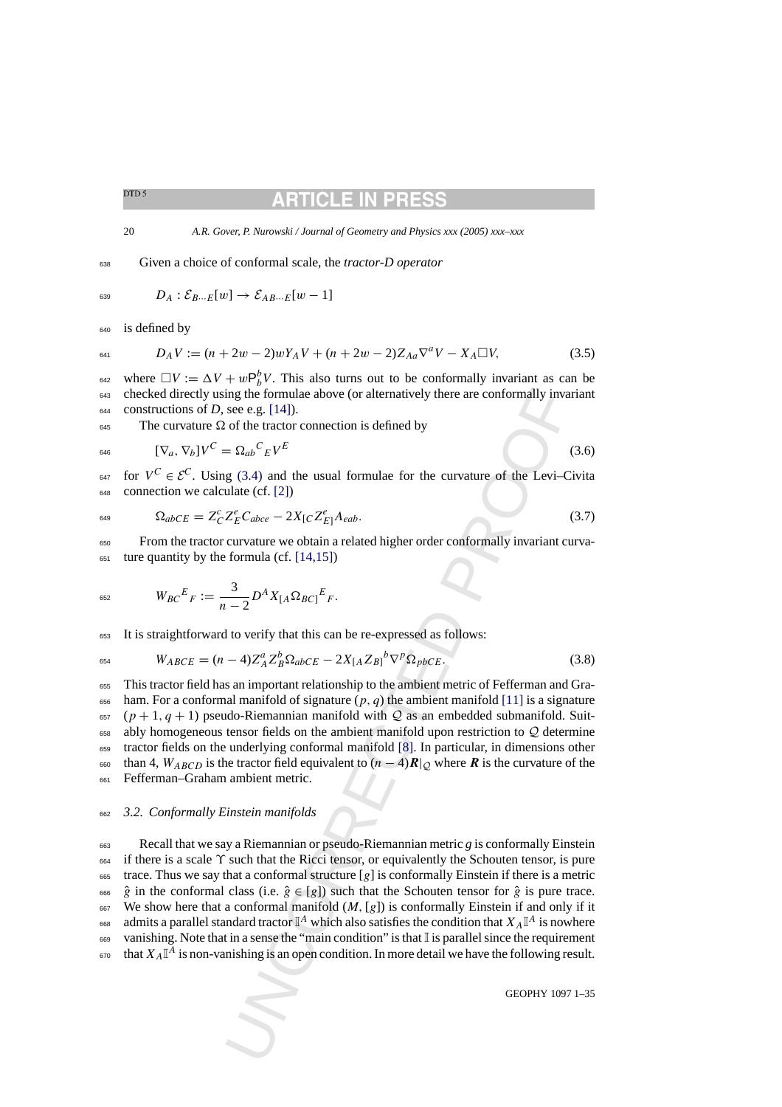#### RTICLE IN PR

<span id="page-19-0"></span>20 *A.R. Gover, P. Nurowski / Journal of Geometry and Physics xxx (2005) xxx–xxx*

# <sup>638</sup> Given a choice of conformal scale, the *tractor-D operator*

$$
\mathfrak{g}_{39} \qquad D_A: \mathcal{E}_{B\cdots E}[w] \to \mathcal{E}_{AB\cdots E}[w-1]
$$

<sup>640</sup> is defined by

$$
D_A V := (n + 2w - 2)wY_A V + (n + 2w - 2)Z_{Aa} \nabla^a V - X_A \square V, \tag{3.5}
$$

<sup>642</sup> where  $\Box V := \Delta V + wP_b^bV$ . This also turns out to be conformally invariant as can be <sup>643</sup> checked directly using the formulae above (or alternatively there are conformally invariant  $644$  constructions of *D*, see e.g. [14]).

 $_{645}$  The curvature  $\Omega$  of the tractor connection is defined by

$$
E_{646} \qquad [\nabla_a, \nabla_b]V^C = \Omega_{ab}{}^C{}_E V^E \qquad (3.6)
$$

647 for  $V^C \in \mathcal{E}^C$ . Using (3.4) and the usual formulae for the curvature of the Levi–Civita <sup>648</sup> connection we calculate (cf. [2])

$$
\Omega_{abCE} = Z_C^c Z_E^e C_{abce} - 2X_{[C} Z_{E]}^e A_{eab}.
$$
\n(3.7)

 $650$  From the tractor curvature we obtain a related higher order conformally invariant curva- $651$  ture quantity by the formula (cf. [14,15])

$$
W_{BC}{}^E{}_F := \frac{3}{n-2} D^A X_{[A} \Omega_{BC]}{}^E{}_F.
$$

<sup>653</sup> It is straightforward to verify that this can be re-expressed as follows:

$$
W_{ABCE} = (n-4)Z_A^a Z_B^b \Omega_{abCE} - 2X_{[A}Z_{B]}^b \nabla^p \Omega_{pbCE}.
$$
\n(3.8)

 This tractor field has an important relationship to the ambient metric of Fefferman and Gra-656 ham. For a conformal manifold of signature  $(p, q)$  the ambient manifold [11] is a signature (p + 1, q + 1) pseudo-Riemannian manifold with Q as an embedded submanifold. Suit- ably homogeneous tensor fields on the ambient manifold upon restriction to Q determine tractor fields on the underlying conformal manifold [8]. In particular, in dimensions other 660 than 4,  $W_{ABCD}$  is the tractor field equivalent to  $(n-4)R|_Q$  where **R** is the curvature of the Fefferman–Graham ambient metric.

# <sup>662</sup> *3.2. Conformally Einstein manifolds*

ing the formulae above (or alternatively there are conformally inva<br>see e.g. [14]).<br>
see e.g. [14]).<br>
of the tractor connection is defined by<br>
g (3.4) and the usual formulae for the curvature of the Levi-[C](#page-34-0)<br>
ulate (cf. [2] <sup>663</sup> Recall that we say a Riemannian or pseudo-Riemannian metric *g* is conformally Einstein <sup>664</sup> if there is a scale ϒ such that the Ricci tensor, or equivalently the Schouten tensor, is pure  $665$  trace. Thus we say that a conformal structure [g] is conformally Einstein if there is a metric 666  $\hat{g}$  in the conformal class (i.e.  $\hat{g} \in [g]$ ) such that the Schouten tensor for  $\hat{g}$  is pure trace. 667 We show here that a conformal manifold  $(M, [g])$  is conformally Einstein if and only if it 668 admits a parallel standard tractor  $\mathbb{I}^A$  which also satisfies the condition that  $X_A \mathbb{I}^A$  is nowhere 669 vanishing. Note that in a sense the "main condition" is that  $\mathbb{I}$  is parallel since the requirement  $\epsilon_{\rm 70}$  that  $X_A \mathbb{I}^A$  is non-vanishing is an open condition. In more detail we have the following result.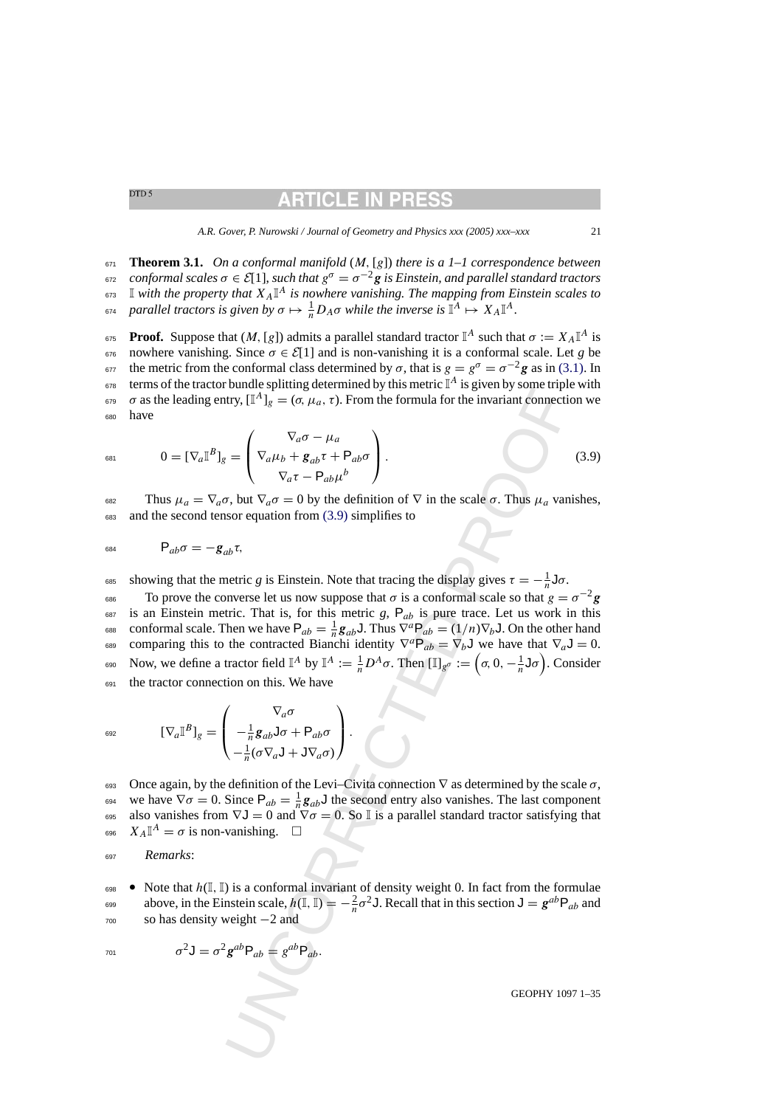# RTICLE IN PRI

*A.R. Gover, P. Nurowski / Journal of Geometry and Physics xxx (2005) xxx–xxx* 21

<span id="page-20-0"></span><sup>671</sup> **Theorem 3.1.** *On a conformal manifold* (M, [g]) *there is a 1–1 correspondence between*  $σ$  *conformal scales*  $σ ∈ E[1]$ , *such that*  $g<sup>σ</sup> = σ<sup>−2</sup> g$  *is Einstein, and parallel standard tractors*  $\sigma$ <sup>3</sup> I with the property that  $X_A \mathbb{I}^A$  is nowhere vanishing. The mapping from Einstein scales to <sup>674</sup> parallel tractors is given by  $\sigma \mapsto \frac{1}{n} D_A \sigma$  while the inverse is  $\mathbb{I}^A \mapsto X_A \mathbb{I}^A$ .

**Proof.** Suppose that  $(M, [g])$  admits a parallel standard tractor  $\mathbb{I}^A$  such that  $\sigma := X_A \mathbb{I}^A$  is 676 nowhere vanishing. Since  $σ ∈ E[1]$  and is non-vanishing it is a conformal scale. Let *g* be the metric from the conformal class determined by σ, that is  $g = g^{\sigma} = \sigma^{-2} g$  as in [\(3.1\). I](#page-17-0)n terms of the tractor bundle splitting determined by this metric  $\mathbb{I}^A$  is given by some triple with σ as the leading entry,  $[\mathbb{I}^A]_g = (\sigma, \mu_a, \tau)$ . From the formula for the invariant connection we <sup>680</sup> have

$$
{}_{681} \qquad 0 = [\nabla_a \mathbb{I}^B]_g = \begin{pmatrix} \nabla_a \sigma - \mu_a \\ \nabla_a \mu_b + \mathbf{g}_{ab} \tau + \mathbf{P}_{ab} \sigma \\ \nabla_a \tau - \mathbf{P}_{ab} \mu^b \end{pmatrix} . \tag{3.9}
$$

682 Thus  $\mu_a = \nabla_a \sigma$ , but  $\nabla_a \sigma = 0$  by the definition of  $\nabla$  in the scale  $\sigma$ . Thus  $\mu_a$  vanishes, <sup>683</sup> and the second tensor equation from (3.9) simplifies to

$$
\mathsf{B}_{ab}\sigma=-\mathbf{g}_{ab}\tau,
$$

ss showing that the metric *g* is Einstein. Note that tracing the display gives  $\tau = -\frac{1}{n}$ **J** $\sigma$ .

value spanning accuration of the formula for the scale  $\sigma$ . They is a set  $\mathbf{E}[\mathbf{x}]\mathbf{E} = (\sigma, \mu_a, \tau)$ . From the formula for the invariant connection of  $\nabla_a \sigma - \mu_a$ <br>  $\nabla_a \tau = \begin{pmatrix} \nabla_a \mu_b + g_{ab} \tau + P_{ab} \sigma \\ \nabla_a \tau - P_{ab} \mu$ Fo prove the converse let us now suppose that  $\sigma$  is a conformal scale so that  $g = \sigma^{-2}g$  $687$  is an Einstein metric. That is, for this metric *g*,  $P_{ab}$  is pure trace. Let us work in this <sup>688</sup> conformal scale. Then we have  $P_{ab} = \frac{1}{n} g_{ab} J$ . Thus  $\nabla^a P_{ab} = (1/n) \nabla_b J$ . On the other hand comparing this to the contracted Bianchi identity  $\nabla^a P_{ab} = \nabla_b J$  we have that  $\nabla_a J = 0$ . 690 Now, we define a tractor field  $\mathbb{I}^A$  by  $\mathbb{I}^A := \frac{1}{n}D^A\sigma$ . Then  $[\mathbb{I}]_{g^\sigma} := (\sigma, 0, -\frac{1}{n}\mathsf{J}\sigma)$ . Consider <sup>691</sup> the tractor connection on this. We have

$$
[\nabla_a \mathbb{I}^B]_g = \begin{pmatrix} \nabla_a \sigma \\ -\frac{1}{n} g_{ab} \mathsf{J} \sigma + \mathsf{P}_{ab} \sigma \\ -\frac{1}{n} (\sigma \nabla_a \mathsf{J} + \mathsf{J} \nabla_a \sigma) \end{pmatrix}.
$$

693 Once again, by the definition of the Levi–Civita connection  $\nabla$  as determined by the scale  $\sigma$ , we have  $\nabla \sigma = 0$ . Since  $P_{ab} = \frac{1}{n} g_{ab} J$  the second entry also vanishes. The last component 695 also vanishes from  $\nabla J = 0$  and  $\nabla \sigma = 0$ . So I is a parallel standard tractor satisfying that 696  $X_A \mathbb{I}^A = \sigma$  is non-vanishing.  $\Box$ 

<sup>697</sup> *Remarks*:

698 • Note that  $h(\mathbb{I}, \mathbb{I})$  is a conformal invariant of density weight 0. In fact from the formulae above, in the Einstein scale,  $h(\mathbb{I}, \mathbb{I}) = -\frac{2}{n}\sigma^2 J$ . Recall that in this section  $J = g^{ab}P_{ab}$  and <sup>700</sup> so has density weight −2 and

$$
\sigma^2 \mathsf{J} = \sigma^2 \mathsf{g}^{ab} \mathsf{P}_{ab} = g^{ab} \mathsf{P}_{ab}.
$$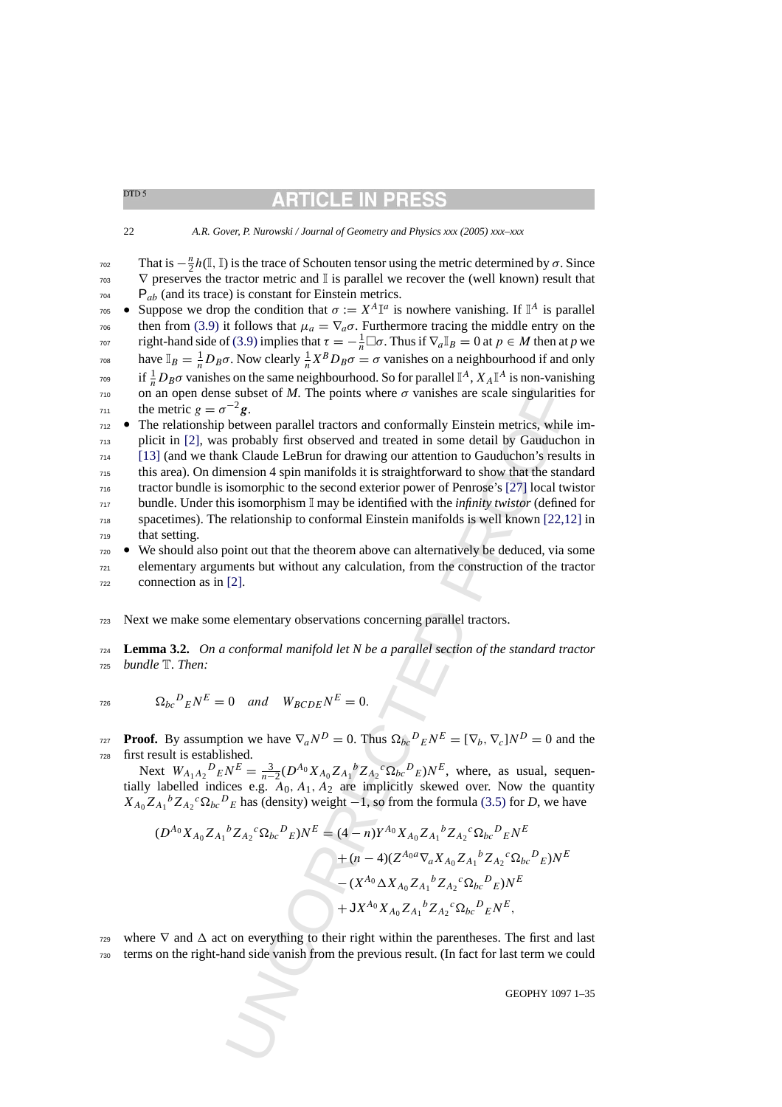# RTICLE IN

### 22 *A.R. Gover, P. Nurowski / Journal of Geometry and Physics xxx (2005) xxx–xxx*

- That is  $-\frac{n}{2}h(\mathbb{I},\mathbb{I})$  is the trace of Schouten tensor using the metric determined by  $\sigma$ . Since  $\nabla$  preserves the tractor metric and I is parallel we recover the (well known) result that  $P_{ab}$  (and its trace) is constant for Einstein metrics.
- <sup>705</sup> Suppose we drop the condition that  $\sigma := X^A \mathbb{I}^a$  is nowhere vanishing. If  $\mathbb{I}^A$  is parallel <sup>706</sup> then from [\(3.9\)](#page-20-0) it follows that  $\mu_a = \nabla_a \sigma$ . Furthermore tracing the middle entry on the right-hand side of [\(3.9\)](#page-20-0) implies that  $\tau = -\frac{1}{n}\Box\sigma$ . Thus if  $\nabla_a \mathbb{I}_B = 0$  at  $p \in M$  then at p we have  $\mathbb{I}_B = \frac{1}{n} D_B \sigma$ . Now clearly  $\frac{1}{n} X^B D_B \sigma = \sigma$  vanishes on a neighbourhood if and only <sup>709</sup> if  $\frac{1}{n}D_B\sigma$  vanishes on the same neighbourhood. So for parallel  $\mathbb{I}^A$ ,  $X_A\mathbb{I}^A$  is non-vanishing  $710$  on an open dense subset of *M*. The points where  $\sigma$  vanishes are scale singularities for  $\tau_{11}$  the metric  $g = \sigma^{-2} g$ .

e subset of *M*. The points where  $\sigma$  vanishes are scale singularitie<br>  $\epsilon$  subset of *M*. The points where  $\sigma$  vanishes are scale singularitie<br>
between parallel tractors and conformally Einstein metrics, while<br>
between • The relationship between parallel tractors and conformally Einstein metrics, while im- plicit in [\[2\],](#page-33-0) was probably first observed and treated in some detail by Gauduchon in [\[13\]](#page-34-0) (and we thank Claude LeBrun for drawing our attention to Gauduchon's results in this area). On dimension 4 spin manifolds it is straightforward to show that the standard tractor bundle is isomorphic to the second exterior power of Penrose's [27] local twistor bundle. Under this isomorphism I may be identified with the *infinity twistor* (defined for spacetimes). The relationship to conformal Einstein manifolds is well known [22[,12\]](#page-34-0) in that setting.

- $720 \bullet$  We should also point out that the theorem above can alternatively be deduced, via some <sup>721</sup> elementary arguments but without any calculation, from the construction of the tractor <sup>722</sup> connection as in [2].
- <sup>723</sup> Next we make some elementary observations concerning parallel tractors.

<sup>724</sup> **Lemma 3.2.** *On a conformal manifold let Nbe a parallel section of the standard tractor* <sup>725</sup> *bundle* T. *Then:*

<sup>726</sup>  $\Omega_{bc}{}^D{}_E N^E = 0$  and  $W_{BCDE} N^E = 0$ .

**Proof.** By assumption we have  $\nabla_a N^D = 0$ . Thus  $\Omega_{bc}{}^D{}_E N^E = [\nabla_b, \nabla_c] N^D = 0$  and the <sup>728</sup> first result is established.

Next  $W_{A_1A_2}{}^D{}_E N^E = \frac{3}{n-2} (D^{A_0} X_{A_0} Z_{A_1}{}^b Z_{A_2}{}^c \Omega_{bc}{}^D{}_E) N^E$ , where, as usual, sequentially labelled indices e.g.  $A_0$ ,  $A_1$ ,  $A_2$  are implicitly skewed over. Now the quantity  $X_{A_0}Z_{A_1}{}^bZ_{A_2}{}^c\Omega_{bc}{}^D{}_E$  has (density) weight  $-1$ , so from the formula (3.5) for *D*, we have

$$
(D^{A_0} X_{A_0} Z_{A_1}{}^b Z_{A_2}{}^c \Omega_{bc}{}^D{}_E) N^E = (4 - n) Y^{A_0} X_{A_0} Z_{A_1}{}^b Z_{A_2}{}^c \Omega_{bc}{}^D{}_E N^E
$$
  
+ 
$$
(n - 4)(Z^{A_0 a} \nabla_a X_{A_0} Z_{A_1}{}^b Z_{A_2}{}^c \Omega_{bc}{}^D{}_E) N^E
$$
  
- 
$$
(X^{A_0} \Delta X_{A_0} Z_{A_1}{}^b Z_{A_2}{}^c \Omega_{bc}{}^D{}_E) N^E
$$
  
+ 
$$
J X^{A_0} X_{A_0} Z_{A_1}{}^b Z_{A_2}{}^c \Omega_{bc}{}^D{}_E N^E,
$$

where  $\nabla$  and  $\Delta$  act on everything to their right within the parentheses. The first and last <sup>730</sup> terms on the right-hand side vanish from the previous result. (In fact for last term we could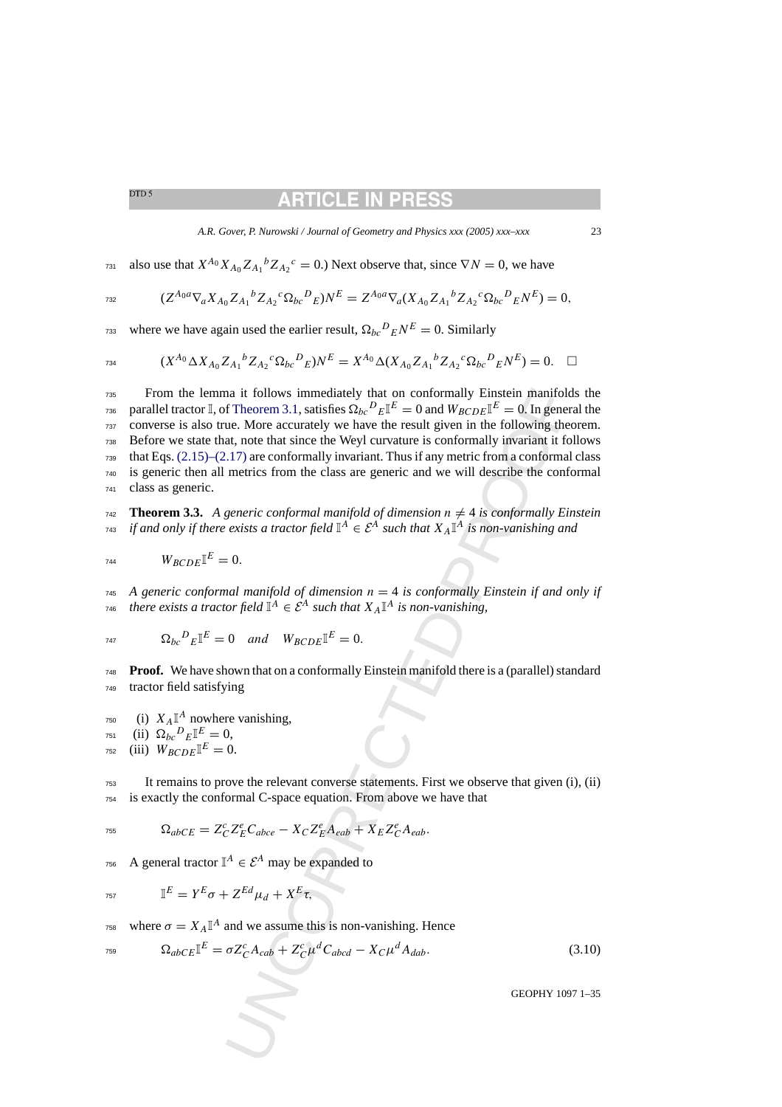# RTICLE IN

#### *A.R. Gover, P. Nurowski / Journal of Geometry and Physics xxx (2005) xxx–xxx* 23

<span id="page-22-0"></span><sup>731</sup> also use that  $X^{A_0} X_{A_0} Z_{A_1}{}^b Z_{A_2}{}^c = 0$ .) Next observe that, since  $\nabla N = 0$ , we have

$$
(Z^{A_0 a} \nabla_a X_{A_0} Z_{A_1}{}^b Z_{A_2}{}^c \Omega_{bc}{}^D{}_E) N^E = Z^{A_0 a} \nabla_a (X_{A_0} Z_{A_1}{}^b Z_{A_2}{}^c \Omega_{bc}{}^D{}_E N^E) = 0,
$$

<sup>733</sup> where we have again used the earlier result,  $\Omega_{bc}{}^{D}{}_{E}N^{E} = 0$ . Similarly

$$
(X^{A_0} \Delta X_{A_0} Z_{A_1}{}^b Z_{A_2}{}^c \Omega_{bc}{}^D{}_E)N^E = X^{A_0} \Delta (X_{A_0} Z_{A_1}{}^b Z_{A_2}{}^c \Omega_{bc}{}^D{}_E N^E) = 0. \quad \Box
$$

ma it follows immediately that on conformally Einstein manifold<br>
if Theorem 3.1, satisfas  $\Omega_{bc}v_E T^E = 0$  and  $W_{bcODE} T^E = 0$  in general<br>
for Theorem 3.1, satisfas  $\Omega_{bc}v_E T^E = 0$  and  $W_{bcODE} T^E = 0$ . In general<br>
a.t, note From the lemma it follows immediately that on conformally Einstein manifolds the <sup>736</sup> parallel tractor I, of Theorem 3.1, satisfies  $\Omega_{bc}{}^D{}_E\mathbb{I}^E=0$  and  $W_{BCDE}\mathbb{I}^E=0.$  In general the converse is also true. More accurately we have the result given in the following theorem. Before we state that, note that since the Weyl curvature is conformally invariant it follows that Eqs.  $(2.15)-(2.17)$  are conformally invariant. Thus if any metric from a conformal class is generic then all metrics from the class are generic and we will describe the conformal class as generic.

**Theorem 3.3.** A generic conformal manifold of dimension  $n \neq 4$  is conformally Einstein *if and only if there exists a tractor field*  $\mathbb{I}^A$  ∈  $\mathcal{E}^A$  *such that*  $X_A\mathbb{I}^A$  *is non-vanishing and* 

$$
W_{BCDE}\mathbb{I}^E=0.
$$

 $_{745}$  A generic conformal manifold of dimension  $n = 4$  is conformally Einstein if and only if *there exists a tractor field*  $I^A \in \mathcal{E}^A$  *such that*  $X_A I^A$  *is non-vanishing,* 

$$
R_{bc}{}^D{}_E \mathbb{I}^E = 0 \quad and \quad W_{BCDE} \mathbb{I}^E = 0.
$$

<sup>748</sup> **Proof.** We have shown that on a conformally Einstein manifold there is a (parallel) standard <sup>749</sup> tractor field satisfying

 $_{750}$  (i)  $X_A \mathbb{I}^A$  nowhere vanishing, 751 (ii)  $\Omega_{bc}{}^{D}{}_{E} \mathbb{I}^{E} = 0$ ,  $V_{BCDF}$ <sup>[E</sup> = 0.]

<sup>753</sup> It remains to prove the relevant converse statements. First we observe that given (i), (ii) <sup>754</sup> is exactly the conformal C-space equation. From above we have that

$$
\tau_{55} \qquad \Omega_{abcE} = Z^c_C Z^e_E C_{abce} - X_C Z^e_E A_{eab} + X_E Z^e_C A_{eab}.
$$

<sup>756</sup> A general tractor  $\mathbb{I}^A \in \mathcal{E}^A$  may be expanded to

$$
\mathbb{I}^E = Y^E \sigma + Z^{Ed} \mu_d + X^E \tau,
$$

<sup>758</sup> where  $\sigma = X_A \mathbb{I}^A$  and we assume this is non-vanishing. Hence

$$
\Omega_{abCE} \mathbb{I}^E = \sigma Z^c_C A_{cab} + Z^c_C \mu^d C_{abcd} - X_C \mu^d A_{dab}.
$$
\n(3.10)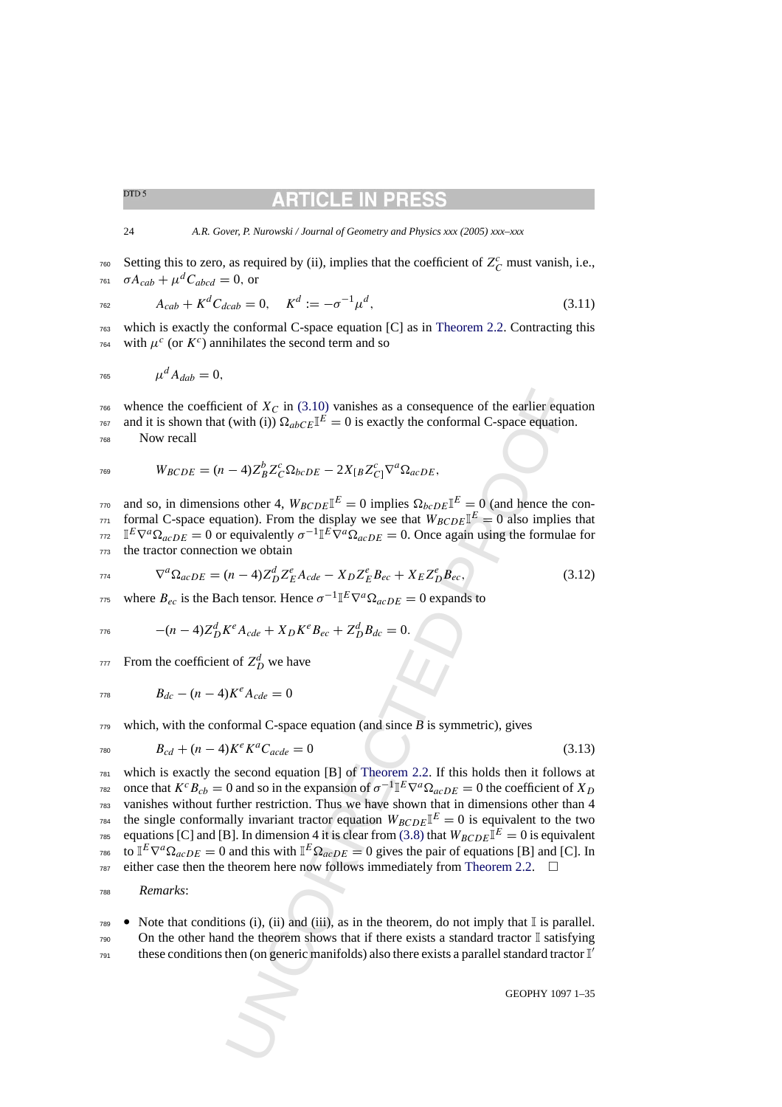<span id="page-23-0"></span>24 *A.R. Gover, P. Nurowski / Journal of Geometry and Physics xxx (2005) xxx–xxx*

 $\frac{760}{100}$  Setting this to zero, as required by (ii), implies that the coefficient of  $Z_c^c$  must vanish, i.e., <sup>761</sup>  $\sigma A_{cab} + \mu^d C_{abcd} = 0$ , or

 $A_{cab} + K^d C_{dcab} = 0, \quad K^d := -\sigma^{-1} \mu^d,$ (3.11)

<sup>763</sup> which is exactly the conformal C-space equation [C] as in [Theorem 2.2.](#page-9-0) Contracting this  $\pi$ <sup>c</sup> (or  $K^c$ ) annihilates the second term and so

$$
765 \qquad \qquad \mu^d A_{dab} = 0,
$$

 $766$  whence the coefficient of  $X_C$  in (3.10) vanishes as a consequence of the earlier equation <sup>767</sup> and it is shown that (with (i))  $\Omega_{abcE}I^E = 0$  is exactly the conformal C-space equation. <sup>768</sup> Now recall

$$
W_{BCDE} = (n-4)Z_B^b Z_C^c \Omega_{bcDE} - 2X_{[B} Z_{C]}^c \nabla^a \Omega_{acDE},
$$

 $\alpha_{170}$  and so, in dimensions other 4,  $W_{BCDE}$   $\mathbb{I}^E = 0$  implies  $\Omega_{bcDE}$   $\mathbb{I}^E = 0$  (and hence the conformal C-space equation). From the display we see that  $W_{BCDE}$   $\mathbb{I}^E = 0$  also implies that  $I^{\text{E}}\nabla^a\Omega_{acDE} = 0$  or equivalently  $\sigma^{-1}\mathbb{I}^E\nabla^a\Omega_{acDE} = 0$ . Once again using the formulae for <sup>773</sup> the tractor connection we obtain

$$
\nabla^a \Omega_{acDE} = (n-4) Z_D^d Z_E^e A_{cde} - X_D Z_E^e B_{ec} + X_E Z_D^e B_{ec}, \qquad (3.12)
$$

<sup>775</sup> where  $B_{ec}$  is the Bach tensor. Hence  $\sigma^{-1} \mathbb{I}^E \nabla^a \Omega_{acDE} = 0$  expands to

$$
- (n-4)Z_D^d K^e A_{cde} + X_D K^e B_{ec} + Z_D^d B_{dc} = 0.
$$

From the coefficient of  $Z_D^d$  we have

$$
B_{dc} - (n-4)K^e A_{cde} = 0
$$

 $779$  which, with the conformal C-space equation (and since  $\overline{B}$  is symmetric), gives

$$
B_{cd} + (n-4)K^{e}K^{a}C_{acde} = 0
$$
\n(3.13)

ient of  $X_C$  in (3.10) vanishes as a consequence of the earlier equal (vitih (ii)  $\Omega_{abcCE} \mathbb{I}^E = 0$  is exactly the conformal C-space equation<br>  $-4)Z_B^b Z_C^c \Omega_{bcDE} = 2X_{[B}Z_C^c \mathbb{I}^E = 0$  implies  $\Omega_{bcDE} \mathbb{I}^E = 0$  (and  $781$  which is exactly the second equation [B] of Theorem 2.2. If this holds then it follows at <sup>782</sup> once that  $K^cB_{cb} = 0$  and so in the expansion of  $\sigma^{-1}\mathbb{I}^E\nabla^a\Omega_{acDE} = 0$  the coefficient of  $X_D$ <sup>783</sup> vanishes without further restriction. Thus we have shown that in dimensions other than 4 <sup>784</sup> the single conformally invariant tractor equation  $W_{BCDE}I^{E} = 0$  is equivalent to the two <sup>785</sup> equations [C] and [B]. In dimension 4 it is clear from (3.8) that  $W_{BCDE}I^E = 0$  is equivalent <sup>786</sup> to  $I^E \nabla^a \Omega_{acDE} = 0$  and this with  $I^E \Omega_{acDE} = 0$  gives the pair of equations [B] and [C]. In  $787$  either case then the theorem here now follows immediately from Theorem 2.2.  $\Box$ 

<sup>788</sup> *Remarks*:

 $789$  • Note that conditions (i), (ii) and (iii), as in the theorem, do not imply that I is parallel.  $790$  On the other hand the theorem shows that if there exists a standard tractor I satisfying these conditions then (on generic manifolds) also there exists a parallel standard tractor  $\mathbb{I}'$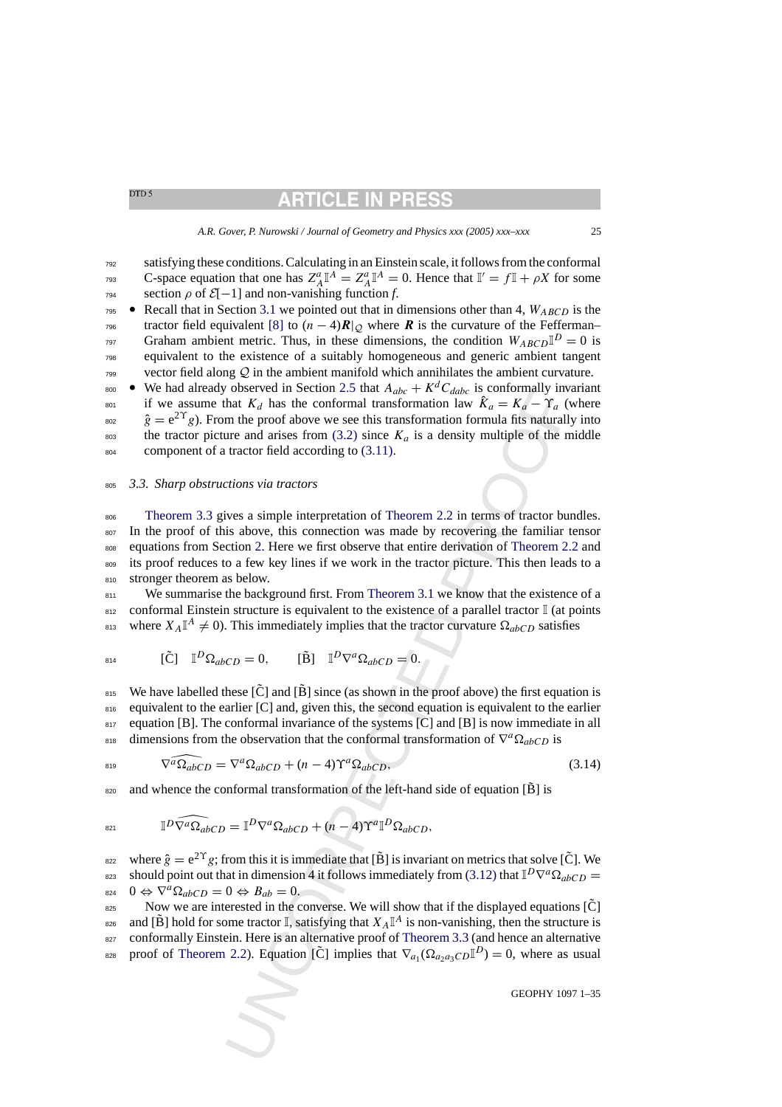<sup>792</sup> satisfying these conditions. Calculating in an Einstein scale, it follows from the conformal  $S_{\text{P33}}$  C-space equation that one has  $Z_A^a \mathbb{I}^A = Z_A^a \mathbb{I}^A = 0$ . Hence that  $\mathbb{I}' = f \mathbb{I} + \rho X$  for some  $\gamma$ <sup>34</sup> section  $\rho$  of  $\mathcal{E}[-1]$  and non-vanishing function *f*.

- **•** Recall that in Section [3.1](#page-16-0) we pointed out that in dimensions other than 4,  $W_{ABCD}$  is the  $\tau_{96}$  tractor field equivalent [\[8\]](#page-34-0) to  $(n-4)R|\varphi$  where *R* is the curvature of the Fefferman– Graham ambient metric. Thus, in these dimensions, the condition  $W_{ABCD} \mathbb{I}^D = 0$  is <sup>798</sup> equivalent to the existence of a suitably homogeneous and generic ambient tangent  $799$  vector field along  $Q$  in the ambient manifold which annihilates the ambient curvature.
- We had already observed in Section 2.5 that  $A_{abc} + K^d C_{dabc}$  is conformally invariant if we assume that  $K_d$  has the conformal transformation law  $\hat{K}_a = K_a - \Upsilon_a$  (where <sup>802</sup>  $\hat{g} = e^{2\Upsilon}g$ . From the proof above we see this transformation formula fits naturally into <sup>803</sup> the tractor picture and arises from  $(3.2)$  since  $K_a$  is a density multiple of the middle 804 component of a tractor field according to  $(3.11)$ .

### <sup>805</sup> *3.3. Sharp obstructions via tractors*

observed in Section 2.5 bita  $\Lambda_{abc} + K^* \cdot \omega_{abc}$  is conformally inw<br>
cohoserved in Section 2.5 bita  $\Lambda_{abc} + K^* \cdot \omega_{abc}$  is conformal transformation have  $\hat{K}_a = K_a - \Upsilon_a$  ( $\Upsilon_a$ )<br>
then the proof above we see this transforma <sup>806</sup> [Theorem 3.3](#page-22-0) gives a simple interpretation of Theorem 2.2 in terms of tractor bundles. <sup>807</sup> In the proof of this above, this connection was made by recovering the familiar tensor 808 equations from Section 2. Here we first observe that entire derivation of [Theorem 2.2](#page-9-0) and 809 its proof reduces to a few key lines if we work in the tractor picture. This then leads to a 810 stronger theorem as below.

811 We summarise the background first. From Theorem 3.1 we know that the existence of a 812 conformal Einstein structure is equivalent to the existence of a parallel tractor I (at points BE 813 where  $X_A \mathbb{I}^A \neq 0$ . This immediately implies that the tractor curvature  $\Omega_{abcD}$  satisfies

$$
B_{14} \qquad [\tilde{C}] \quad \mathbb{I}^D \Omega_{abCD} = 0, \qquad [\tilde{B}] \quad \mathbb{I}^D \nabla^a \Omega_{abCD} = 0.
$$

 $_{815}$  We have labelled these  $[\tilde{C}]$  and  $[\tilde{B}]$  since (as shown in the proof above) the first equation is 816 equivalent to the earlier [C] and, given this, the second equation is equivalent to the earlier 817 equation [B]. The conformal invariance of the systems [C] and [B] is now immediate in all  $\delta^{88}$  dimensions from the observation that the conformal transformation of  $\nabla^a \Omega_{abCD}$  is

$$
\widehat{\nabla^a \Omega_{abCD}} = \nabla^a \Omega_{abCD} + (n-4) \Upsilon^a \Omega_{abCD},\tag{3.14}
$$

and whence the conformal transformation of the left-hand side of equation  $[\tilde{B}]$  is

$$
\mathbb{I}^D \widehat{\nabla^a \Omega_{ab}} CD = \mathbb{I}^D \nabla^a \Omega_{ab} CD + (n-4) \Upsilon^a \mathbb{I}^D \Omega_{ab} CD,
$$

where  $\hat{g} = e^{2\Upsilon}g$ ; from this it is immediate that [B] is invariant on metrics that solve [C]. We should point out that in dimension 4 it follows immediately from (3.12) that  $\mathbb{I}^D\nabla^a\Omega_{abCD} =$ 824 0  $\Leftrightarrow \nabla^a \Omega_{abCD} = 0 \Leftrightarrow B_{ab} = 0.$ 

Now we are interested in the converse. We will show that if the displayed equations  $[\tilde{C}]$ and  $[\tilde{B}]$  hold for some tractor  $\mathbb{I}$ , satisfying that  $X_A \mathbb{I}^A$  is non-vanishing, then the structure is 827 conformally Einstein. Here is an alternative proof of Theorem 3.3 (and hence an alternative proof of [Theorem 2.2\).](#page-9-0) Equation [C] implies that  $\nabla_{a_1}(\Omega_{a_2a_3CD}\mathbb{I}^D) = 0$ , where as usual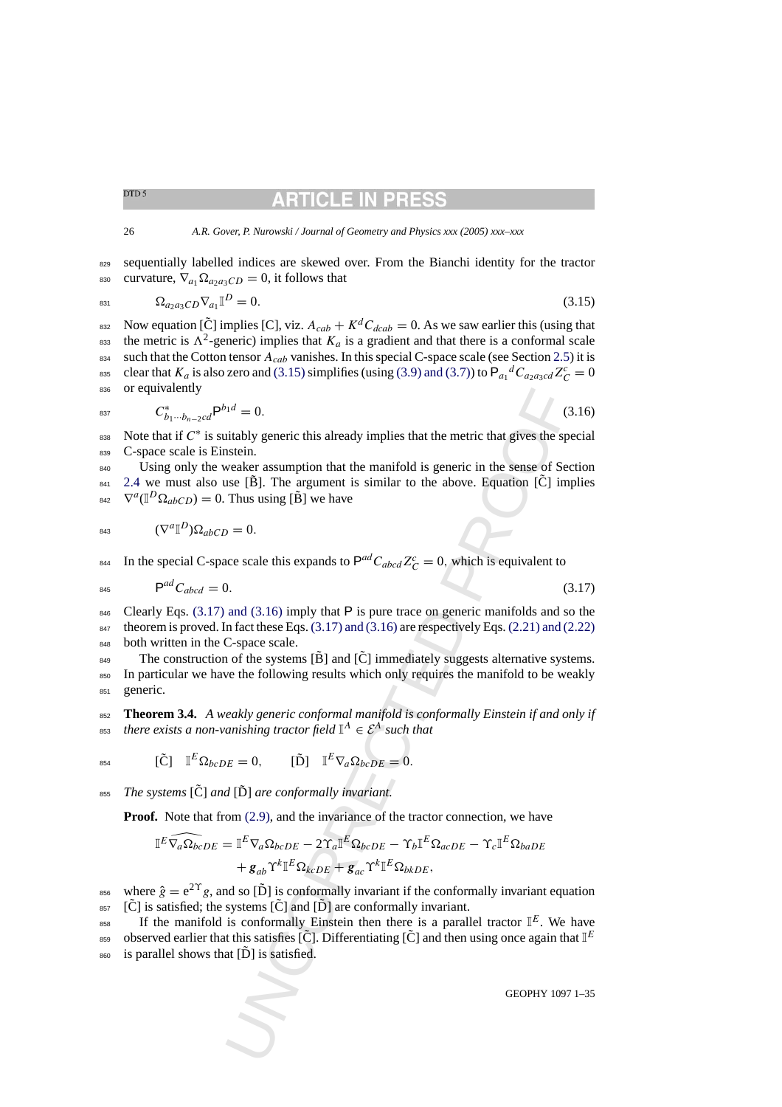# RTICLE IN PR

#### <span id="page-25-0"></span>26 *A.R. Gover, P. Nurowski / Journal of Geometry and Physics xxx (2005) xxx–xxx*

829 sequentially labelled indices are skewed over. From the Bianchi identity for the tractor 830 curvature,  $\nabla_{a_1} \Omega_{a_2 a_3 CD} = 0$ , it follows that

$$
\Omega_{a_2 a_3 C D} \nabla_{a_1} \mathbb{I}^D = 0. \tag{3.15}
$$

832 Now equation  $[\tilde{C}]$  implies  $[C]$ , viz.  $A_{cab} + K^d C_{dcab} = 0$ . As we saw earlier this (using that <sup>833</sup> the metric is  $\Lambda^2$ -generic) implies that  $K_a$  is a gradient and that there is a conformal scale 834 such that the Cotton tensor  $A_{cab}$  vanishes. In this special C-space scale (see Section [2.5\)](#page-11-0) it is <sup>835</sup> clear that  $K_a$  is also zero and (3.15) simplifies (using [\(3.9\) and \(3.7\)\) t](#page-20-0)o  $P_{a_1}{}^d C_{a_2 a_3 c d} Z_c^c = 0$ 836 or equivalently

$$
C_{b_1\cdots b_{n-2}cd}^* \mathsf{P}^{b_1d} = 0. \tag{3.16}
$$

838 Note that if  $C^*$  is suitably generic this already implies that the metric that gives the special <sup>839</sup> C-space scale is Einstein.

 $P^{nd} = 0$ .<br>
(c)<br>
intably generic this already implies that the metric that gives the spatien.<br>
insteln.<br>
suse [B]. The argument is similar to the above. Equation [C] im<br>
Thus using [B] we have<br>  $\rho = 0$ .<br>
and (3.16) imply 840 Using only the weaker assumption that the manifold is generic in the sense of Section  $_{841}$  [2.4](#page-7-0) we must also use [B]. The argument is similar to the above. Equation [C] implies <sup>842</sup>  $\nabla^a(\mathbb{I}^D \Omega_{abCD}) = 0$ . Thus using [B ] we have

$$
B43 \qquad (\nabla^a \mathbb{I}^D) \Omega_{abCD} = 0.
$$

<sup>844</sup> In the special C-space scale this expands to  $P^{ad}C_{abcd}Z_C^c = 0$ , which is equivalent to

$$
P^{ad}C_{abcd} = 0. \tag{3.17}
$$

846 Clearly Eqs.  $(3.17)$  and  $(3.16)$  imply that P is pure trace on generic manifolds and so the <sup>847</sup> theorem is proved. In fact these Eqs. (3.17) and (3.16) are respectively Eqs. [\(2.21\) and \(2.22\)](#page-9-0) 848 both written in the C-space scale.

 $_{849}$  The construction of the systems [B] and [C] immediately suggests alternative systems. <sup>850</sup> In particular we have the following results which only requires the manifold to be weakly <sup>851</sup> generic.

<sup>852</sup> **Theorem 3.4.** *A weakly generic conformal manifold is conformally Einstein if and only if* <sup>853</sup> *there exists a non-vanishing tractor field*  $\mathbb{I}^A \in \mathcal{E}^A$  *such that* 

$$
{}_{854} \qquad [\tilde{C}] \quad \mathbb{I}^E \Omega_{bcDE} = 0, \qquad [\tilde{D}] \quad \mathbb{I}^E \nabla_a \Omega_{bcDE} = 0.
$$

*The systems* [C] ˜ *and* [ <sup>855</sup> D] ˜ *are conformally invariant.*

**Proof.** Note that from (2.9), and the invariance of the tractor connection, we have

$$
\mathbb{I}^E \widehat{\nabla_a \Omega_{bc} D_E} = \mathbb{I}^E \nabla_a \Omega_{bcDE} - 2 \Upsilon_a \mathbb{I}^E \Omega_{bcDE} - \Upsilon_b \mathbb{I}^E \Omega_{acDE} - \Upsilon_c \mathbb{I}^E \Omega_{baDE}
$$

$$
+ \mathbf{g}_{ab} \Upsilon^k \mathbb{I}^E \Omega_{kcDE} + \mathbf{g}_{ac} \Upsilon^k \mathbb{I}^E \Omega_{bkDE},
$$

where  $\hat{g} = e^{2\Upsilon}g$ , and so [D ] is conformally invariant if the conformally invariant equation  $_{857}$  [C] is satisfied; the systems  $\overline{[C]}$  and  $\overline{[D]}$  are conformally invariant.

<sup>858</sup> If the manifold is conformally Einstein then there is a parallel tractor  $\mathbb{I}^E$ . We have boserved earlier that this satisfies  $[\tilde{C}]$ . Differentiating  $[\tilde{C}]$  and then using once again that  $\mathbb{I}^E$  $\frac{1}{100}$  is parallel shows that  $\overline{[D]}$  is satisfied.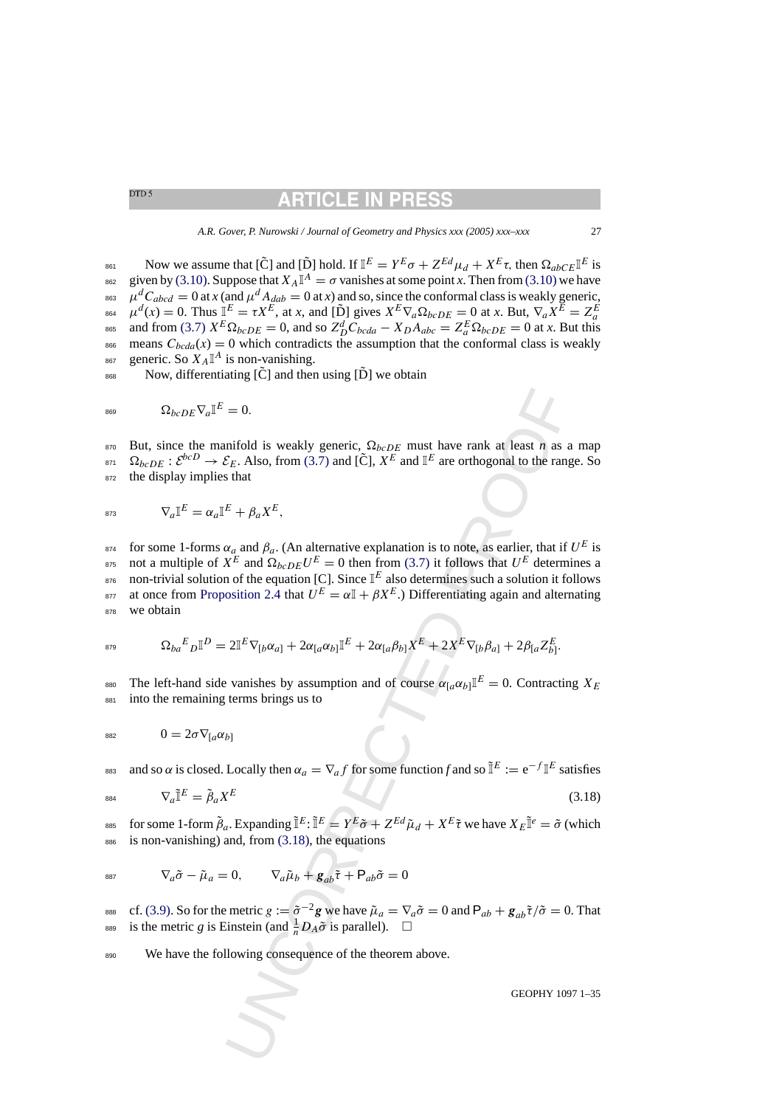*A.R. Gover, P. Nurowski / Journal of Geometry and Physics xxx (2005) xxx–xxx* 27

861 Now we assume that  $[\tilde{C}]$  and  $[\tilde{D}]$  hold. If  $I^E = Y^E \sigma + Z^{Ed} \mu_d + X^E \tau$ , then  $\Omega_{abc} I^E$  is given by [\(3.10\). S](#page-22-0)uppose that  $X_A \mathbb{I}^A = \sigma$  vanishes at some point *x*. Then from [\(3.10\)](#page-22-0) we have <sup>863</sup>  $\mu$ <sup>d</sup>C<sub>abcd</sub> = 0 at *x* (and  $\mu$ <sup>d</sup> A<sub>dab</sub> = 0 at *x*) and so, since the conformal class is weakly generic,  $\mu^{d}(x) = 0$ . Thus  $I_{E}^{E} = \tau X^{E}$ , at *x*, and [D̆] gives  $X^{E} \nabla_{a} \Omega_{bcDE} = 0$  at *x*. But,  $\nabla_{a} X^{E} = Z_{a}^{E}$ ass and from [\(3.7\)](#page-19-0)  $X^E \Omega_{bcDE} = 0$ , and so  $Z^d_D C_{bcda} - X_D A_{abc} = Z^E_a \Omega_{bcDE} = 0$  at *x*. But this <sup>866</sup> means  $C_{bcda}(x) = 0$  which contradicts the assumption that the conformal class is weakly <sup>867</sup> generic. So  $X_A \mathbb{I}^A$  is non-vanishing.

 $_{868}$  Now, differentiating [ $\tilde{C}$ ] and then using [ $\tilde{D}$ ] we obtain

$$
{}_{^{869}} \qquad \qquad \Omega_{bcDE}\nabla_a\mathbb{I}^E=0.
$$

870 But, since the manifold is weakly generic,  $\Omega_{bcDE}$  must have rank at least *n* as a map  $\delta^{B71}$   $\Omega_{bcDE}$  :  $\mathcal{E}^{bcD} \to \mathcal{E}_E$ . Also, from (3.7) and [C],  $X^E$  and  $\mathbb{I}^E$  are orthogonal to the range. So <sup>872</sup> the display implies that

$$
\nabla_a \mathbb{I}^E = \alpha_a \mathbb{I}^E + \beta_a X^E,
$$

= 0.<br>
explored is weakly generic,  $\Omega_{bcDE}$  must have rank at least *n* as a<br>
explored is weakly generic,  $\Omega_{bcDE}$  must have rank at least *n* as a<br>
s that<br>
the explored in (3.7) and [C],  $X^E$  and  $\mathbb{I}^E$  are orthogona  $f_{\text{B74}}$  for some 1-forms  $\alpha_a$  and  $\beta_a$ . (An alternative explanation is to note, as earlier, that if  $U^E$  is <sup>875</sup> not a multiple of  $X^E$  and  $\Omega_{bcDE}U^E = 0$  then from (3.7) it follows that  $U^E$  determines a  $\sigma$  non-trivial solution of the equation [C]. Since  $\mathbb{I}^E$  also determines such a solution it follows at once from [Proposition 2.4](#page-13-0) that  $U^E = \alpha \mathbb{I} + \beta X^E$ .) Differentiating again and alternating 878 we obtain

$$
\mathbf{S}_{ba}{}^E \mathbf{D} \mathbf{I}^D = 2\mathbf{I}^E \nabla_{[b} \alpha_{a]} + 2\alpha_{[a} \alpha_{b]} \mathbf{I}^E + 2\alpha_{[a} \beta_{b]} X^E + 2X^E \nabla_{[b} \beta_{a]} + 2\beta_{[a} Z^E_{b]}.
$$

<sup>880</sup> The left-hand side vanishes by assumption and of course  $\alpha_{a\alpha} \alpha_{b\alpha} \mathbb{I}^E = 0$ . Contracting  $X_E$ <sup>881</sup> into the remaining terms brings us to

$$
{}_{882} \qquad \qquad 0 = 2\sigma \nabla_{[a} \alpha_{b]}
$$

and so  $\alpha$  is closed. Locally then  $\alpha_a = \nabla_a f$  for some function f and so  $\tilde{\mathbb{I}}^E := e^{-f} \mathbb{I}^E$  satisfies

$$
\nabla_a \tilde{\mathbb{I}}^E = \tilde{\beta}_a X^E \tag{3.18}
$$

<sup>885</sup> for some 1-form  $\tilde{\beta}_a$ . Expanding  $\tilde{\mathbb{I}}^E$ :  $\tilde{\mathbb{I}}^E = Y^E \tilde{\sigma} + Z^{Ed} \tilde{\mu}_d + X^E \tilde{\tau}$  we have  $X_E \tilde{\mathbb{I}}^e = \tilde{\sigma}$  (which  $886$  is non-vanishing) and, from  $(3.18)$ , the equations

$$
\nabla_a \tilde{\sigma} - \tilde{\mu}_a = 0, \qquad \nabla_a \tilde{\mu}_b + g_{ab} \tilde{\tau} + P_{ab} \tilde{\sigma} = 0
$$

ess cf. [\(3.9\). S](#page-20-0)o for the metric  $g := \tilde{\sigma}^{-2}g$  we have  $\tilde{\mu}_a = \nabla_a \tilde{\sigma} = 0$  and  $P_{ab} + g_{ab} \tilde{\tau}/\tilde{\sigma} = 0$ . That is the metric *g* is Einstein (and  $\frac{1}{n}D_A\tilde{\sigma}$  is parallel).  $\square$ 

890 We have the following consequence of the theorem above.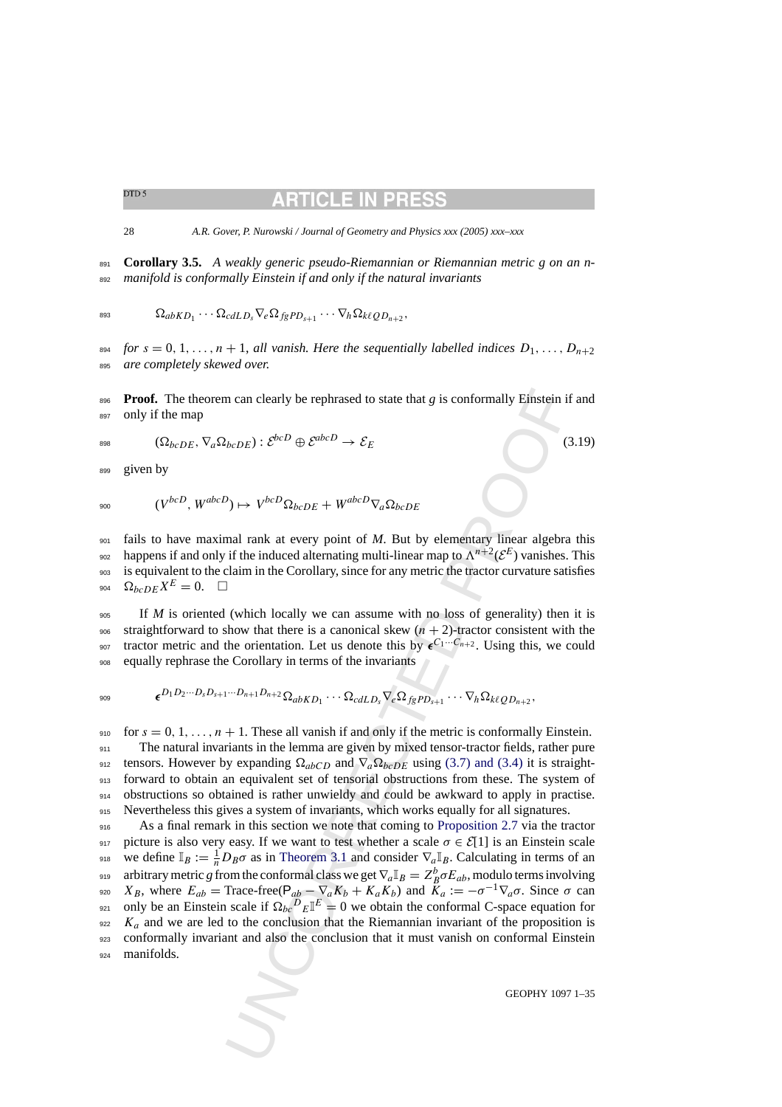<span id="page-27-0"></span>28 *A.R. Gover, P. Nurowski / Journal of Geometry and Physics xxx (2005) xxx–xxx*

<sup>891</sup> **Corollary 3.5.** *A weakly generic pseudo-Riemannian or Riemannian metric g on an n-*<sup>892</sup> *manifold is conformally Einstein if and only if the natural invariants*

$$
\mathbf{Q}_{abKD_1}\cdots \mathbf{Q}_{cdLD_s}\nabla_e\mathbf{Q}_{fgPD_{s+1}}\cdots \nabla_h\mathbf{Q}_{k\ell QD_{n+2}},
$$

<sup>894</sup> *for*  $s = 0, 1, \ldots, n + 1$ , *all vanish. Here the sequentially labelled indices*  $D_1, \ldots, D_{n+2}$ <sup>895</sup> *are completely skewed over.*

896 **Proof.** The theorem can clearly be rephrased to state that *g* is conformally Einstein if and <sup>897</sup> only if the map

$$
\text{898} \qquad (\Omega_{bcDE}, \nabla_a \Omega_{bcDE}) : \mathcal{E}^{bcD} \oplus \mathcal{E}^{abcD} \to \mathcal{E}_E \tag{3.19}
$$

899 given by

$$
V^{bcD}, W^{abcD}) \mapsto V^{bcD} \Omega_{bcDE} + W^{abcD} \nabla_a \Omega_{bcDE}
$$

 fails to have maximal rank at every point of *M*. But by elementary linear algebra this 902 happens if and only if the induced alternating multi-linear map to  $\Lambda^{n+2}(\mathcal{E}^E)$  vanishes. This is equivalent to the claim in the Corollary, since for any metric the tractor curvature satisfies  $\Omega_{bcDE}X^E = 0.$   $\Box$ 

<sup>905</sup> If *M* is oriented (which locally we can assume with no loss of generality) then it is 906 straightforward to show that there is a canonical skew  $(n + 2)$ -tractor consistent with the <sup>907</sup> tractor metric and the orientation. Let us denote this by  $\epsilon^{C_1 \cdots C_{n+2}}$ . Using this, we could <sup>908</sup> equally rephrase the Corollary in terms of the invariants

$$
\epsilon^{D_1D_2\cdots D_sD_{s+1}\cdots D_{n+1}D_{n+2}}\Omega_{abKD_1}\cdots \Omega_{cdLD_s}\nabla_e\Omega_{fgPD_{s+1}}\cdots \nabla_h\Omega_{k\ell QD_{n+2}},
$$

910 for  $s = 0, 1, \ldots, n + 1$ . These all vanish if and only if the metric is conformally Einstein.

 The natural invariants in the lemma are given by mixed tensor-tractor fields, rather pure 912 tensors. However by expanding  $\Omega_{abcD}$  and  $\nabla_a \Omega_{bcDE}$  using (3.7) and (3.4) it is straight- forward to obtain an equivalent set of tensorial obstructions from these. The system of obstructions so obtained is rather unwieldy and could be awkward to apply in practise. Nevertheless this gives a system of invariants, which works equally for all signatures.

n can clearly be rephrased to state that *g* is conformally Einstein if<br>  $\partial_{bc}DE$ ):  $\mathcal{E}^{bcD} \oplus \mathcal{E}^{abcD} \rightarrow \mathcal{E}_E$  (3)<br>  $\partial_{bc}DE + W^{abcD}\nabla_a\Omega_{bcDE}$  (3)<br>  $\partial_{bc}DE + W^{abcD}\nabla_a\Omega_{bcDE}$ <br>
mal rank at every point of *M*. But by e <sup>916</sup> As a final remark in this section we note that coming to Proposition 2.7 via the tractor 917 picture is also very easy. If we want to test whether a scale  $\sigma \in \mathcal{E}[1]$  is an Einstein scale 918 we define  $\mathbb{I}_B := \frac{1}{n}D_B\sigma$  as in Theorem 3.1 and consider  $\nabla_a \mathbb{I}_B$ . Calculating in terms of an arbitrary metric *g* from the conformal class we get  $\nabla_a \mathbb{I}_B = Z_B^b \sigma E_{ab}$ , modulo terms involving 920  $X_B$ , where  $E_{ab}$  = Trace-free(P<sub>ab</sub> –  $\nabla_a K_b + K_a K_b$ ) and  $\overline{K}_a := -\sigma^{-1} \nabla_a \sigma$ . Since  $\sigma$  can <sup>921</sup> only be an Einstein scale if  $\Omega_{bc}{}^D{}_E \mathbb{I}^E = 0$  we obtain the conformal C-space equation for  $\alpha_{922}$  K<sub>a</sub> and we are led to the conclusion that the Riemannian invariant of the proposition is <sup>923</sup> conformally invariant and also the conclusion that it must vanish on conformal Einstein <sup>924</sup> manifolds.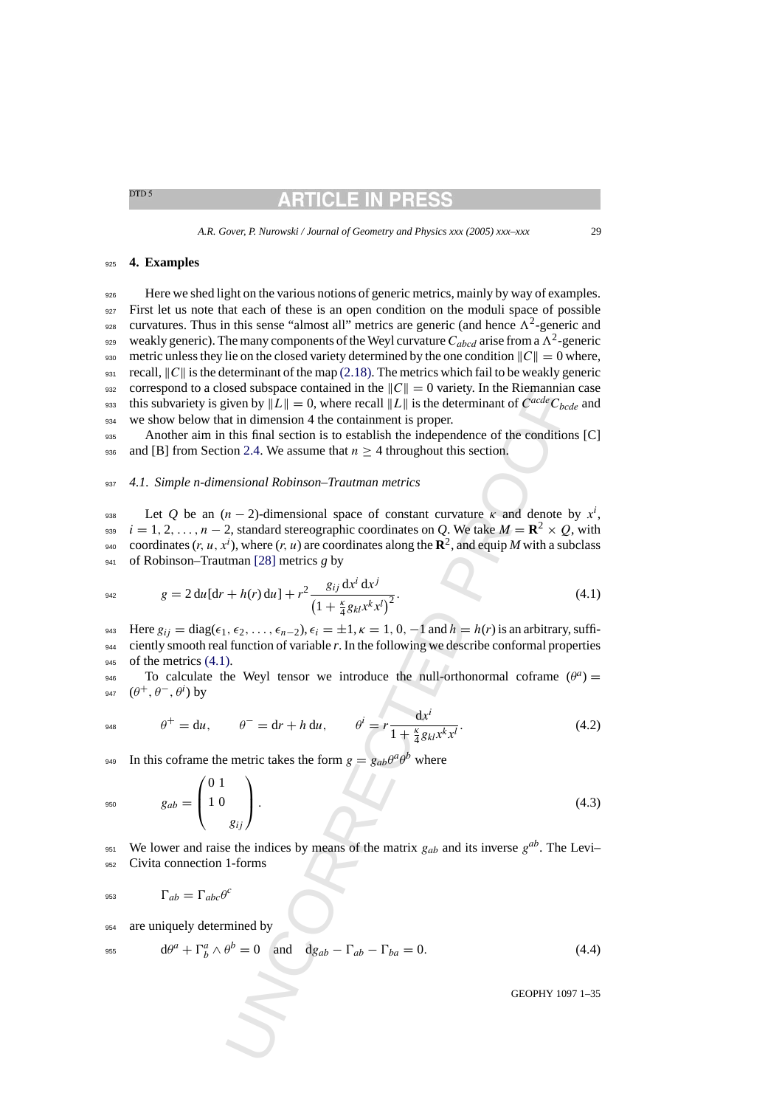### <span id="page-28-0"></span><sup>925</sup> **4. Examples**

<sup>926</sup> Here we shed light on the various notions of generic metrics, mainly by way of examples. 927 First let us note that each of these is an open condition on the moduli space of possible <sup>928</sup> curvatures. Thus in this sense "almost all" metrics are generic (and hence  $\Lambda^2$ -generic and weakly generic). The many components of the Weyl curvature  $C_{abcd}$  arise from a  $\Lambda^2$ -generic 930 metric unless they lie on the closed variety determined by the one condition  $||C|| = 0$  where, 931 recall,  $||C||$  is the determinant of the map [\(2.18\). T](#page-7-0)he metrics which fail to be weakly generic 932 correspond to a closed subspace contained in the  $||C|| = 0$  variety. In the Riemannian case this subvariety is given by  $||L|| = 0$ , where recall  $||L||$  is the determinant of  $C^{acde}C_{bcde}$  and 934 we show below that in dimension 4 the containment is proper.

<sup>935</sup> Another aim in this final section is to establish the independence of the conditions [C] 936 and [B] from Section 2.4. We assume that  $n \geq 4$  throughout this section.

# <sup>937</sup> *4.1. Simple n-dimensional Robinson–Trautman metrics*

sosed subspace contained in the  $||C|| = 0$  variety. In the Netermannia of  $C^{odd}C_{bc}$ <br>sosed subspace contained in the  $||C|| = 0$  variety. In the Neterminant of  $C^{odd}C_{bc}$ <br>at in dimension 4 the containment is proper.<br>this final  $238$  Let *Q* be an (*n* − 2)-dimensional space of constant curvature *κ* and denote by  $x<sup>i</sup>$ ,  $i = 1, 2, \ldots, n - 2$ , standard stereographic coordinates on *Q*. We take  $M = \mathbb{R}^2 \times Q$ , with <sup>940</sup> coordinates  $(r, u, x^i)$ , where  $(r, u)$  are coordinates along the  $\mathbb{R}^2$ , and equip *M* with a subclass <sup>941</sup> of Robinson–Trautman [28] metrics *g* by

942 
$$
g = 2 du[dr + h(r) du] + r^2 \frac{g_{ij} dx^i dx^j}{(1 + \frac{\kappa}{4} g_{kl} x^k x^l)^2}.
$$
 (4.1)

943 Here  $g_{ij} = \text{diag}(\epsilon_1, \epsilon_2, \ldots, \epsilon_{n-2}), \epsilon_i = \pm 1, \kappa = 1, 0, -1$  and  $h = h(r)$  is an arbitrary, suffi-<sup>944</sup> ciently smooth real function of variable *r*. In the following we describe conformal properties  $945$  of the metrics  $(4.1)$ .

 $\mathcal{P}_{q46}$  To calculate the Weyl tensor we introduce the null-orthonormal coframe  $(\theta^a)$  = 947  $(\theta^+, \theta^-, \theta^i)$  by

948 
$$
\theta^+ = du
$$
,  $\theta^- = dr + h du$ ,  $\theta^i = r \frac{dx^i}{1 + \frac{\kappa}{4} g_{kl} x^k x^l}$ . (4.2)

<sup>949</sup> In this coframe the metric takes the form  $g = g_{ab}\theta^a\theta^b$  where

$$
g_{ab} = \begin{pmatrix} 0 & 1 \\ 1 & 0 \\ g_{ij} \end{pmatrix} . \tag{4.3}
$$

We lower and raise the indices by means of the matrix  $g_{ab}$  and its inverse  $g^{ab}$ . The Levi– <sup>952</sup> Civita connection 1-forms

$$
\Gamma_{ab} = \Gamma_{abc} \theta^c
$$

<sup>954</sup> are uniquely determined by

$$
d\theta^{a} + \Gamma^{a}_{b} \wedge \theta^{b} = 0 \quad \text{and} \quad dg_{ab} - \Gamma_{ab} - \Gamma_{ba} = 0. \tag{4.4}
$$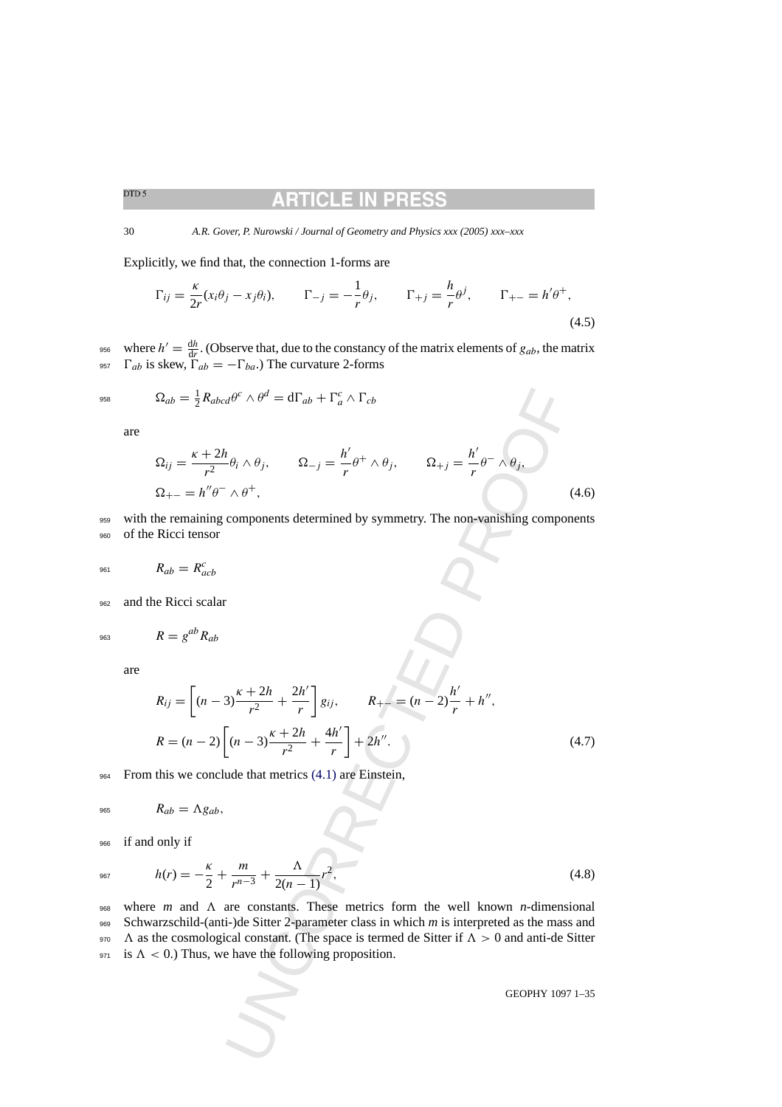#### ARTICLE IN PR

30 *A.R. Gover, P. Nurowski / Journal of Geometry and Physics xxx (2005) xxx–xxx*

Explicitly, we find that, the connection 1-forms are

$$
\Gamma_{ij} = \frac{\kappa}{2r}(x_i \theta_j - x_j \theta_i), \qquad \Gamma_{-j} = -\frac{1}{r} \theta_j, \qquad \Gamma_{+j} = \frac{h}{r} \theta^j, \qquad \Gamma_{+-} = h' \theta^+, \tag{4.5}
$$

956 where  $h' = \frac{dh}{dr}$ . (Observe that, due to the constancy of the matrix elements of  $g_{ab}$ , the matrix 957  $\Gamma_{ab}$  is skew,  $\Gamma_{ab} = -\Gamma_{ba}$ .) The curvature 2-forms

$$
^{958}
$$

$$
\Omega_{ab} = \frac{1}{2} R_{abcd} \theta^c \wedge \theta^d = d\Gamma_{ab} + \Gamma_a^c \wedge \Gamma_{cb}
$$

are

$$
\Omega_{ij} = \frac{\kappa + 2h}{r^2} \theta_i \wedge \theta_j, \qquad \Omega_{-j} = \frac{h'}{r} \theta^+ \wedge \theta_j, \qquad \Omega_{+j} = \frac{h'}{r} \theta^- \wedge \theta_j,
$$
\n
$$
\Omega_{+-} = h'' \theta^- \wedge \theta^+, \qquad (4.6)
$$

959 with the remaining components determined by symmetry. The non-vanishing components <sup>960</sup> of the Ricci tensor

$$
R_{ab} = R_{acb}^c
$$

962 and the Ricci scalar

$$
R = g^{ab} R_{ab}
$$

are

$$
\Omega_{ab} = \frac{1}{2} R_{abcd} \theta^c \wedge \theta^d = d\Gamma_{ab} + \Gamma_a^c \wedge \Gamma_{cb}
$$
  
\n
$$
\Omega_{ij} = \frac{\kappa + 2h}{r^2} \theta_i \wedge \theta_j, \qquad \Omega_{-j} = \frac{h'}{r} \theta^+ \wedge \theta_j, \qquad \Omega_{+j} = \frac{h'}{r} \theta^- \wedge \theta_j, \tag{4.6}
$$
  
\n
$$
\Omega_{+-} = h'' \theta^- \wedge \theta^+, \qquad (4.6)
$$
  
\n
$$
\Omega_{++} = h'' \theta^- \wedge \theta^+, \qquad (4.6)
$$
  
\n
$$
\Omega_{+j} = \frac{\kappa}{r} \theta^- \wedge \theta_j, \qquad (4.6)
$$
  
\n
$$
\Omega_{++} = \theta^a \theta^- \wedge \theta^+
$$
  
\n
$$
\text{Reicici tensor}
$$
  
\n
$$
R_{ab} = R_{acb}^c
$$
  
\n
$$
R_{ij} = \left[ (n-3) \frac{\kappa + 2h}{r^2} + \frac{2h'}{r} \right] g_{ij}, \qquad R_{+-} = (n-2) \frac{h'}{r} + h'', \qquad (4.7)
$$
  
\n
$$
R = (n-2) \left[ (n-3) \frac{\kappa + 2h}{r^2} + \frac{4h'}{r} \right] + 2h''.
$$
  
\nThis we conclude that metrics (4.1) are Einstein,  
\n
$$
R_{ab} = \Lambda g_{ab}, \qquad (4.8)
$$
  
\nonly if  
\n
$$
h(r) = -\frac{\kappa}{2} + \frac{m}{r^{n-3}} + \frac{\Lambda}{2(n-1)} r^2,
$$
  
\n
$$
m \text{ and } \Lambda \text{ are constants. These metrics form the well known } n\text{-dimensional}
$$
  
\n
$$
\text{the cosmological constant. (The space is turned de Sitter if } \Lambda > 0 \text{ and anti-de Sitter}
$$
  
\n
$$
\text{coDPHY 1097 1-35}
$$
  
\n
$$
\text{coDPHY 1097 1-35}
$$

<sup>964</sup> From this we conclude that metrics (4.1) are Einstein,

$$
R_{ab} = \Lambda g_{ab},
$$

<sup>966</sup> if and only if

$$
h(r) = -\frac{\kappa}{2} + \frac{m}{r^{n-3}} + \frac{\Lambda}{2(n-1)}r^2,
$$
\n(4.8)

 $_{968}$  where *m* and  $\Lambda$  are constants. These metrics form the well known *n*-dimensional <sup>969</sup> Schwarzschild-(anti-)de Sitter 2-parameter class in which *m* is interpreted as the mass and 970  $\Lambda$  as the cosmological constant. (The space is termed de Sitter if  $\Lambda > 0$  and anti-de Sitter 971 is  $\Lambda < 0$ .) Thus, we have the following proposition.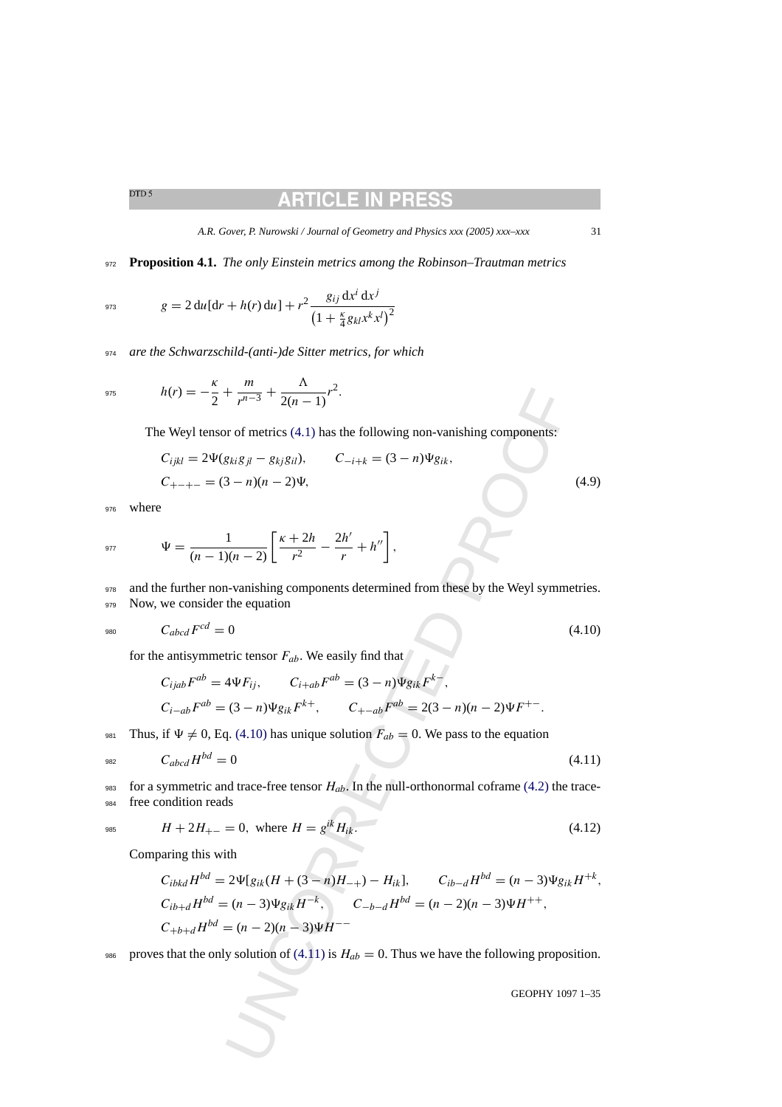# RTICLE IN

*A.R. Gover, P. Nurowski / Journal of Geometry and Physics xxx (2005) xxx–xxx* 31

<sup>972</sup> **Proposition 4.1.** *The only Einstein metrics among the Robinson–Trautman metrics*

$$
g = 2 du[dr + h(r) du] + r^{2} \frac{g_{ij} dx^{i} dx^{j}}{\left(1 + \frac{\kappa}{4} g_{kl} x^{k} x^{l}\right)^{2}}
$$

<sup>974</sup> *are the Schwarzschild-(anti-)de Sitter metrics, for which*

$$
h(r) = -\frac{\kappa}{2} + \frac{m}{r^{n-3}} + \frac{\Lambda}{2(n-1)}r^2.
$$

The Weyl tensor of metrics (4.1) has the following non-vanishing components:

$$
C_{ijkl} = 2\Psi(g_{ki}g_{jl} - g_{kj}g_{il}), \t C_{-i+k} = (3-n)\Psi g_{ik},
$$
  
\n
$$
C_{+-+-} = (3-n)(n-2)\Psi,
$$
\t(4.9)

<sup>976</sup> where

$$
\Psi = \frac{1}{(n-1)(n-2)} \left[ \frac{\kappa + 2h}{r^2} - \frac{2h'}{r} + h'' \right],
$$

978 and the further non-vanishing components determined from these by the Weyl symmetries. 979 Now, we consider the equation

$$
C_{abcd}F^{cd} = 0 \tag{4.10}
$$

for the antisymmetric tensor  $F_{ab}$ . We easily find that

$$
C_{ijab}F^{ab} = 4\Psi F_{ij}, \qquad C_{i+ab}F^{ab} = (3-n)\Psi g_{ik}F^{k-},
$$
  

$$
C_{i-ab}F^{ab} = (3-n)\Psi g_{ik}F^{k+}, \qquad C_{+-ab}F^{ab} = 2(3-n)(n-2)\Psi F^{+-}.
$$

981 Thus, if  $\Psi \neq 0$ , Eq. (4.10) has unique solution  $F_{ab} = 0$ . We pass to the equation

$$
C_{abcd}H^{bd}=0\tag{4.11}
$$

983 for a symmetric and trace-free tensor  $H_{ab}$ . In the null-orthonormal coframe (4.2) the trace-<sup>984</sup> free condition reads

$$
H + 2H_{+-} = 0, \text{ where } H = g^{ik} H_{ik}.
$$
 (4.12)

Comparing this with

$$
h(r) = -\frac{\gamma}{2} + \frac{m}{r^{n-3}} + \frac{1}{2(n-1)}r^2.
$$
  
\nwe Weyl tensor of metrics (4.1) has the following non-vanishing components:  
\n
$$
C_{ijkl} = 2\Psi(g_{kig}g_i - g_{kj}g_{il}), \qquad C_{-i+k} = (3 - n)\Psi g_{ik},
$$
  
\n
$$
\Psi = \frac{1}{(n-1)(n-2)} \left[ \frac{\kappa + 2h}{r^2} - \frac{2h'}{r} + h'' \right],
$$
  
\nne further non-vanishing components determined from these by the Weyl symmetries.  
\nwe consider the equation  
\n
$$
C_{abcd}F^{cd} = 0
$$
\n(4.10)  
\nentisymmetric tensor  $F_{ab}$ . We easily find that  
\n
$$
C_{ijab}F^{ab} = 4\Psi F_{ij}, \qquad C_{i+ab}F^{ab} = (3 - n)\Psi g_{ik}F^{k-},
$$
  
\n
$$
C_{i-ab}F^{ab} = (3 - n)\Psi g_{ik}F^{k+}, \qquad C_{+-ab}F^{ab} = 2(3 - n)(n-2)\Psi F^{+-}.
$$
  
\nif  $\Psi \neq 0$ , Eq. (4.10) has unique solution  $F_{ab} = 0$ . We pass to the equation  
\n
$$
C_{abcd}H^{bd} = 0
$$
\n(4.11)  
\nsymmetric and trace-free tensor  $H_{ab}$ . In the null-orthonormal coframe (4.2) the trace-  
\ncondition reads  
\n $H + 2H_{+-} = 0$ , where  $H = g^{ik}H_{ik}$ .  
\n
$$
C_{ibkd}H^{bd} = 2\Psi[g_{ik}(H + (3 - n)H_{-+}) - H_{ik}], \qquad C_{ib-d}H^{bd} = (n-3)\Psi g_{ik}H^{+k},
$$
  
\n
$$
C_{ib+d}H^{bd} = (n-3)\Psi g_{ik}H^{-k}, \qquad C_{-b-d}H^{bd} = (n-2)(n-3)\Psi H^{++},
$$
  
\n
$$
C_{ib+d}H^{bd} = (n-2)(n-3)\Psi H^{--}
$$
  
\nas that the only solution of (4.11) is  $H_{ab} = 0$ . Thus we have the following proposition.  
\nGEOPHY 1097 1-3

986 proves that the only solution of (4.11) is  $H_{ab} = 0$ . Thus we have the following proposition.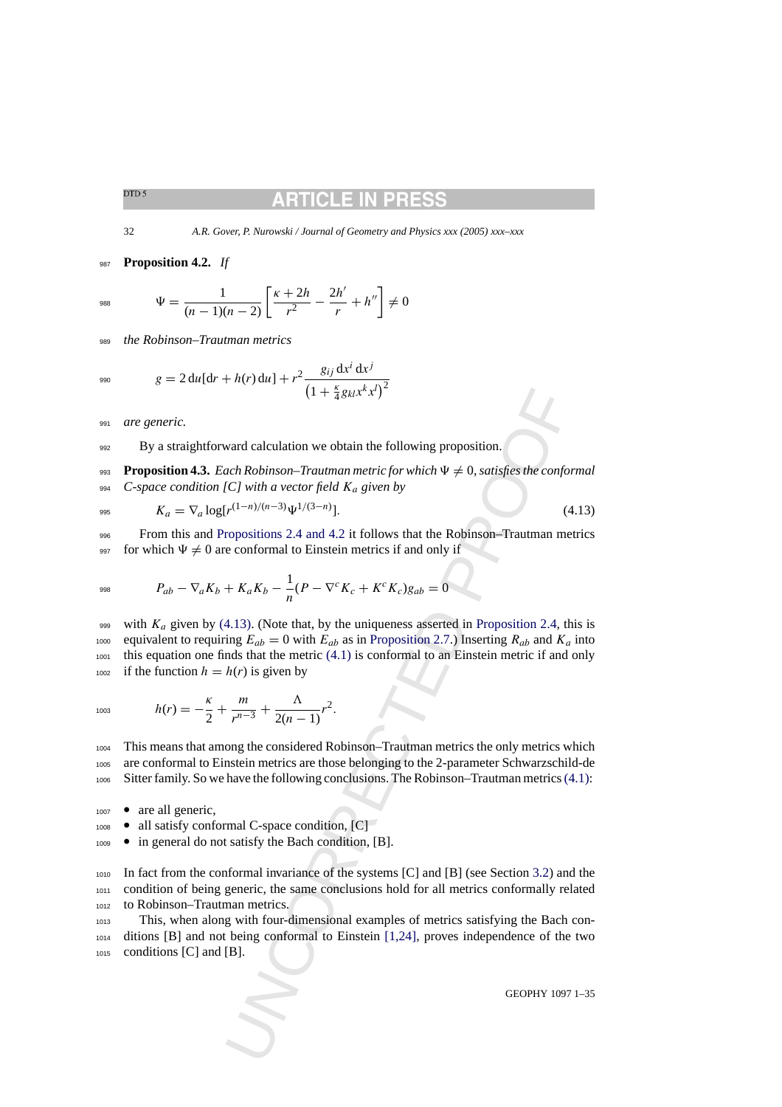32 *A.R. Gover, P. Nurowski / Journal of Geometry and Physics xxx (2005) xxx–xxx*

<sup>987</sup> **Proposition 4.2.** *If*

$$
\Psi = \frac{1}{(n-1)(n-2)} \left[ \frac{\kappa + 2h}{r^2} - \frac{2h'}{r} + h'' \right] \neq 0
$$

<sup>989</sup> *the Robinson–Trautman metrics*

$$
g = 2 du[dr + h(r) du] + r^{2} \frac{g_{ij} dx^{i} dx^{j}}{(1 + \frac{\kappa}{4} g_{kl} x^{k} x^{l})^{2}}
$$

<sup>991</sup> *are generic.*

992 By a straightforward calculation we obtain the following proposition.

**Proposition 4.3.** *Each Robinson–Trautman metric for which*  $\Psi \neq 0$ *, satisfies the conformal* <sup>994</sup> *C-space condition [C] with a vector field* Ka *given by*

$$
K_a = \nabla_a \log[r^{(1-n)/(n-3)} \Psi^{1/(3-n)}]. \tag{4.13}
$$

<sup>996</sup> From this and [Propositions 2.4 and 4.2](#page-13-0) it follows that the Robinson–Trautman metrics 997 for which  $\Psi \neq 0$  are conformal to Einstein metrics if and only if

998 
$$
P_{ab} - \nabla_a K_b + K_a K_b - \frac{1}{n} (P - \nabla^c K_c + K^c K_c) g_{ab} = 0
$$

 $(1 + \frac{5}{4} g_{B1} x^k x^4)^2$  $(1 + \frac{5}{4} g_{B1} x^k x^4)^2$  $(1 + \frac{5}{4} g_{B1} x^k x^4)^2$ <br>
ward calculation we obtain the following proposition.<br>
cach Robinson-Trautman metric for which  $\Psi \neq 0$ , satisfies the confocal<br>
CC  $|U^{(1-n)/(n-3)}\psi^{1/(3-n)}|$ .<br>
( $V^{(1-n)/(n-3)}\psi^{1/(3-n)}|$ .<br>
(roposition 999 with  $K_a$  given by (4.13). (Note that, by the uniqueness asserted in Proposition 2.4, this is 1000 equivalent to requiring  $E_{ab} = 0$  with  $E_{ab}$  as in Proposition 2.7.) Inserting  $R_{ab}$  and  $K_a$  into <sup>1001</sup> this equation one finds that the metric (4.1) is conformal to an Einstein metric if and only 1002 if the function  $h = h(r)$  is given by

$$
h(r) = -\frac{\kappa}{2} + \frac{m}{r^{n-3}} + \frac{\Lambda}{2(n-1)}r^2.
$$

<sup>1004</sup> This means that among the considered Robinson–Trautman metrics the only metrics which <sup>1005</sup> are conformal to Einstein metrics are those belonging to the 2-parameter Schwarzschild-de <sup>1006</sup> Sitter family. So we have the following conclusions. The Robinson–Trautman metrics[\(4.1\):](#page-28-0)

- <sup>1007</sup> are all generic,
- <sup>1008</sup> all satisfy conformal C-space condition, [C]
- <sup>1009</sup> in general do not satisfy the Bach condition, [B].

<sup>1010</sup> In fact from the conformal invariance of the systems [C] and [B] (see Section 3.2) and the <sup>1011</sup> condition of being generic, the same conclusions hold for all metrics conformally related <sup>1012</sup> to Robinson–Trautman metrics.

<sup>1013</sup> This, when along with four-dimensional examples of metrics satisfying the Bach con-<sup>1014</sup> ditions [B] and not being conformal to Einstein [1,24], proves independence of the two <sup>1015</sup> conditions [C] and [B].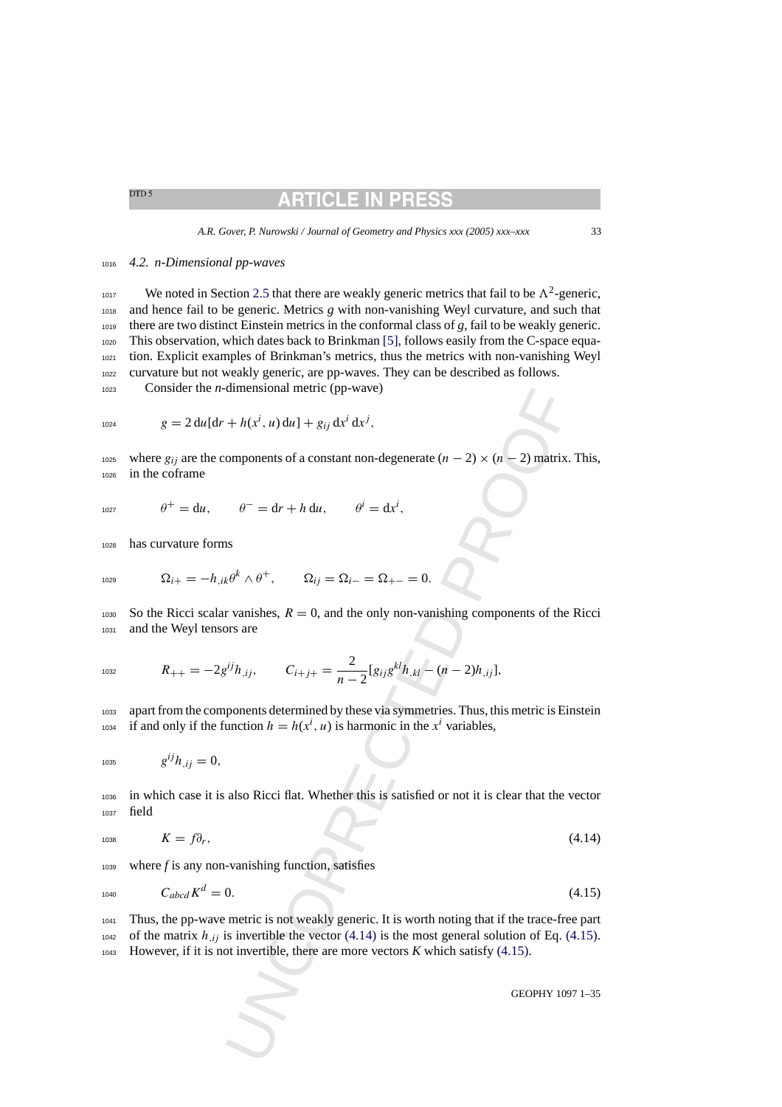# RTICLE IN

### <sup>1016</sup> *4.2. n-Dimensional pp-waves*

<sup>1017</sup> We noted in Section [2.5](#page-11-0) that there are weakly generic metrics that fail to be  $\Lambda^2$ -generic, and hence fail to be generic. Metrics *g* with non-vanishing Weyl curvature, and such that there are two distinct Einstein metrics in the conformal class of *g*, fail to be weakly generic. This observation, which dates back to Brinkman [\[5\], f](#page-33-0)ollows easily from the C-space equa- tion. Explicit examples of Brinkman's metrics, thus the metrics with non-vanishing Weyl curvature but not weakly generic, are pp-waves. They can be described as follows.

<sup>1023</sup> Consider the *n*-dimensional metric (pp-wave)

$$
{}_{1024} \t g = 2 du [dr + h(x^i, u) du] + g_{ij} dx^i dx^j,
$$

1025 where  $g_{ij}$  are the components of a constant non-degenerate  $(n - 2) \times (n - 2)$  matrix. This, <sup>1026</sup> in the coframe

 $\theta^+ = du, \qquad \theta^- = dr + h du, \qquad \theta^i = dx^i.$ 

<sup>1028</sup> has curvature forms

$$
\Omega_{i+} = -h_{,ik}\theta^k \wedge \theta^+, \qquad \Omega_{ij} = \Omega_{i-} = \Omega_{+-} = 0.
$$

1030 So the Ricci scalar vanishes,  $R = 0$ , and the only non-vanishing components of the Ricci <sup>1031</sup> and the Weyl tensors are

$$
R_{++}=-2g^{ij}h_{,ij},\qquad C_{i+j+}=\frac{2}{n-2}[g_{ij}g^{kl}h_{,kl}-(n-2)h_{,ij}],
$$

<sup>1033</sup> apart from the components determined by these via symmetries. Thus, this metric is Einstein <sup>1034</sup> if and only if the function  $h = h(x^i, u)$  is harmonic in the  $x^i$  variables,

1035  $g^{ij}h_{ij} = 0,$ 

<sup>1036</sup> in which case it is also Ricci flat. Whether this is satisfied or not it is clear that the vector <sup>1037</sup> field

$$
K = f\partial_r,\tag{4.14}
$$

<sup>1039</sup> where *f* is any non-vanishing function, satisfies

$$
C_{abcd}K^d = 0. \t\t(4.15)
$$

dimensional metric (pp-wave)<br>  $+ h(x^i, u) du] + g_{ij} dx^j dx^j$ ,<br>
omponents of a constant non-degenerate  $(n - 2) \times (n - 2)$  matrix.<br>  $\theta^- = dr + h du$ ,  $\theta^i = dx^i$ ,<br>
as<br>  $te^k \wedge \theta^+$ ,  $\Omega_{ij} = \Omega_{i-} = \Omega_{+-} = 0$ .<br>
or vanishes,  $R = 0$ , and the onl <sup>1041</sup> Thus, the pp-wave metric is not weakly generic. It is worth noting that if the trace-free part <sup>1042</sup> of the matrix  $h_{ij}$  is invertible the vector (4.14) is the most general solution of Eq. (4.15). <sup>1043</sup> However, if it is not invertible, there are more vectors *K* which satisfy (4.15).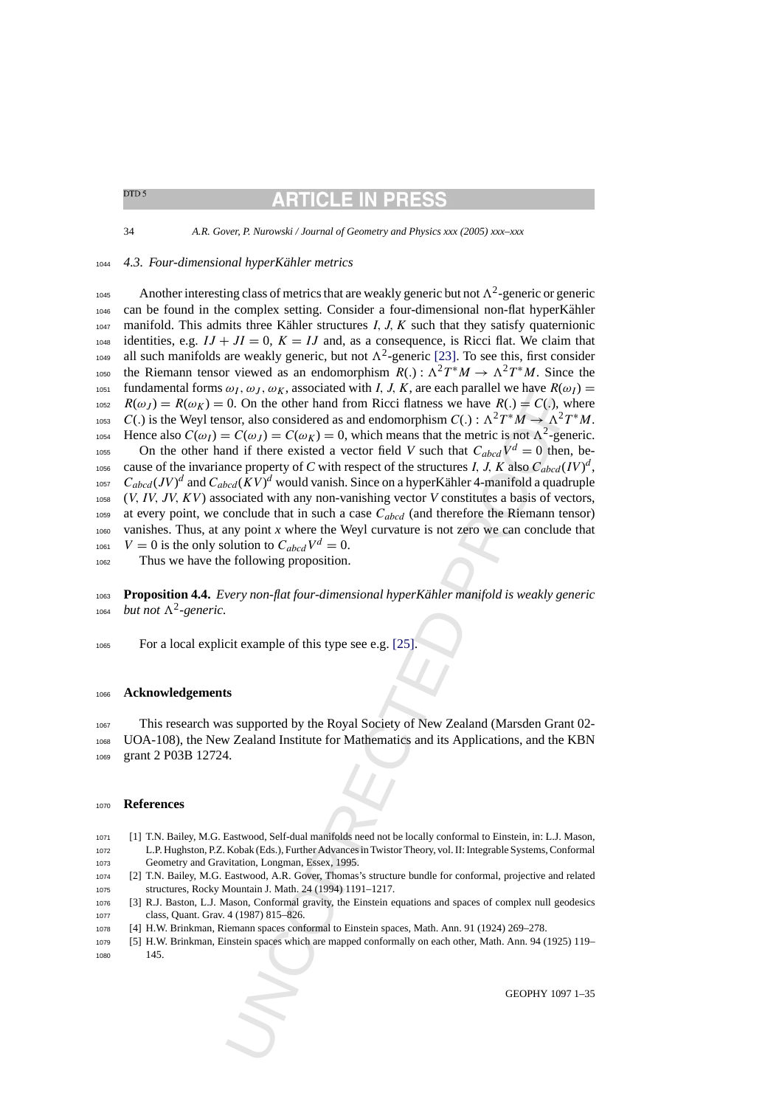# RTICLE IN PRI

<span id="page-33-0"></span>34 *A.R. Gover, P. Nurowski / Journal of Geometry and Physics xxx (2005) xxx–xxx*

### <sup>1044</sup> *4.3. Four-dimensional hyperK ¨ahler metrics*

*ω*), *ω*), *ω*<sub>**R**, associated with *l*, *l*, *A*, *k*, are each parallel we have *R*(ω) = *C*(ω), *w*), *ω*, *C*). The other hand from Ricci flatness we have *R*(*x*) = *C*(ω), woor, also considered as and endomorphis</sub> Another interesting class of metrics that are weakly generic but not  $\Lambda^2$ -generic or generic 1046 can be found in the complex setting. Consider a four-dimensional non-flat hyperKähler  $1047$  manifold. This admits three Kähler structures I, J, K such that they satisfy quaternionic  $1048$  identities, e.g.  $IJ + JI = 0$ ,  $K = IJ$  and, as a consequence, is Ricci flat. We claim that <sup>1049</sup> all such manifolds are weakly generic, but not  $\Lambda^2$ -generic [\[23\].](#page-34-0) To see this, first consider the Riemann tensor viewed as an endomorphism  $R(.) : \Lambda^2 T^* M \to \Lambda^2 T^* M$ . Since the 1051 fundamental forms  $\omega_I$ ,  $\omega_J$ ,  $\omega_K$ , associated with I, J, K, are each parallel we have  $R(\omega_I)$  = 1052  $R(\omega_J) = R(\omega_K) = 0$ . On the other hand from Ricci flatness we have  $R(.) = C(.)$ , where 1053 C(.) is the Weyl tensor, also considered as and endomorphism  $C(.) : \Lambda^2 T^*M \to \Lambda^2 T^*M$ . Hence also  $C(\omega_I) = C(\omega_J) = C(\omega_K) = 0$ , which means that the metric is not  $\Lambda^2$ -generic. os On the other hand if there existed a vector field *V* such that  $C_{abcd}V^d = 0$  then, be-<sup>1056</sup> cause of the invariance property of *C* with respect of the structures *I*, *J*, *K* also  $C_{abcd}(IV)^d$ , 1057  $C_{abcd}(JV)^d$  and  $C_{abcd}(KV)^d$  would vanish. Since on a hyperKähler 4-manifold a quadruple <sup>1058</sup> (V, IV, JV, KV) associated with any non-vanishing vector *V* constitutes a basis of vectors, 1059 at every point, we conclude that in such a case  $C_{abcd}$  (and therefore the Riemann tensor) <sup>1060</sup> vanishes. Thus, at any point *x* where the Weyl curvature is not zero we can conclude that <sup>1061</sup>  $V = 0$  is the only solution to  $C_{abcd}V^d = 0$ .

<sup>1062</sup> Thus we have the following proposition.

<sup>1063</sup> **Proposition 4.4.** *Every non-flat four-dimensional hyperK ¨ahler manifold is weakly generic*  $b$ <sub>1064</sub> *but not*  $\Lambda^2$ -generic.

<sup>1065</sup> For a local explicit example of this type see e.g. [25].

### <sup>1066</sup> **Acknowledgements**

<sup>1067</sup> This research was supported by the Royal Society of New Zealand (Marsden Grant 02- <sup>1068</sup> UOA-108), the New Zealand Institute for Mathematics and its Applications, and the KBN <sup>1069</sup> grant 2 P03B 12724.

### <sup>1070</sup> **References**

- <sup>1071</sup> [1] T.N. Bailey, M.G. Eastwood, Self-dual manifolds need not be locally conformal to Einstein, in: L.J. Mason, <sup>1072</sup> L.P. Hughston, P.Z. Kobak (Eds.), Further Advances in Twistor Theory, vol. II: Integrable Systems, Conformal <sup>1073</sup> Geometry and Gravitation, Longman, Essex, 1995.
- <sup>1074</sup> [2] T.N. Bailey, M.G. Eastwood, A.R. Gover, Thomas's structure bundle for conformal, projective and related <sup>1075</sup> structures, Rocky Mountain J. Math. 24 (1994) 1191–1217.
- <sup>1076</sup> [3] R.J. Baston, L.J. Mason, Conformal gravity, the Einstein equations and spaces of complex null geodesics <sup>1077</sup> class, Quant. Grav. 4 (1987) 815–826.
- <sup>1078</sup> [4] H.W. Brinkman, Riemann spaces conformal to Einstein spaces, Math. Ann. 91 (1924) 269–278.
- <sup>1079</sup> [5] H.W. Brinkman, Einstein spaces which are mapped conformally on each other, Math. Ann. 94 (1925) 119– <sup>1080</sup> 145.